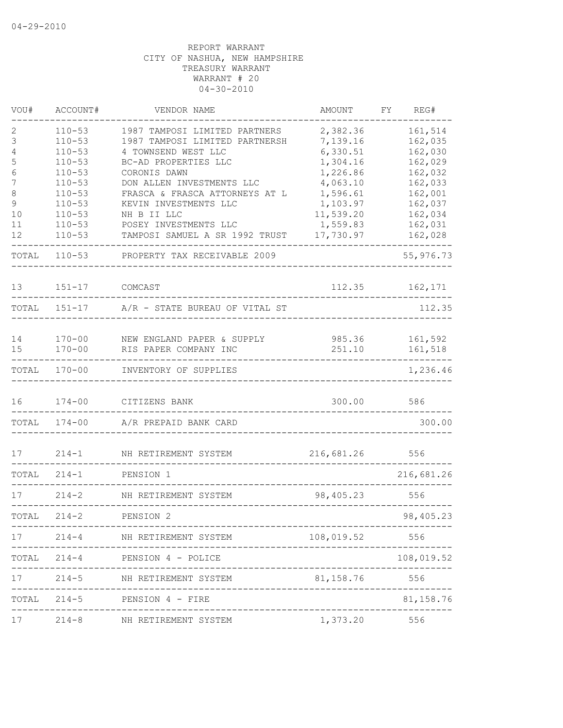| VOU#        | ACCOUNT#                               | VENDOR NAME                                                                            | AMOUNT                           | FY | REG#                          |
|-------------|----------------------------------------|----------------------------------------------------------------------------------------|----------------------------------|----|-------------------------------|
| 2<br>3<br>4 | $110 - 53$<br>$110 - 53$<br>$110 - 53$ | 1987 TAMPOSI LIMITED PARTNERS<br>1987 TAMPOSI LIMITED PARTNERSH<br>4 TOWNSEND WEST LLC | 2,382.36<br>7,139.16<br>6,330.51 |    | 161,514<br>162,035<br>162,030 |
| 5<br>6      | $110 - 53$<br>$110 - 53$               | BC-AD PROPERTIES LLC<br>CORONIS DAWN                                                   | 1,304.16<br>1,226.86             |    | 162,029<br>162,032            |
| 7           | $110 - 53$                             | DON ALLEN INVESTMENTS LLC                                                              | 4,063.10                         |    | 162,033                       |
| 8<br>9      | $110 - 53$<br>$110 - 53$               | FRASCA & FRASCA ATTORNEYS AT L<br>KEVIN INVESTMENTS LLC                                | 1,596.61<br>1,103.97             |    | 162,001<br>162,037            |
| 10          | $110 - 53$                             | NH B II LLC                                                                            | 11,539.20                        |    | 162,034                       |
| 11          | $110 - 53$                             | POSEY INVESTMENTS LLC                                                                  | 1,559.83                         |    | 162,031                       |
| 12          | $110 - 53$                             | TAMPOSI SAMUEL A SR 1992 TRUST                                                         | 17,730.97                        |    | 162,028                       |
| TOTAL       | $110 - 53$                             | PROPERTY TAX RECEIVABLE 2009                                                           |                                  |    | 55,976.73                     |
| 13          | $151 - 17$                             | COMCAST                                                                                | 112.35                           |    | 162,171                       |
| TOTAL       | $151 - 17$                             | A/R - STATE BUREAU OF VITAL ST                                                         |                                  |    | 112.35                        |
| 14          | $170 - 00$                             | NEW ENGLAND PAPER & SUPPLY                                                             | 985.36                           |    | 161,592                       |
| 15          | $170 - 00$                             | RIS PAPER COMPANY INC                                                                  | 251.10                           |    | 161,518                       |
| TOTAL       | $170 - 00$                             | INVENTORY OF SUPPLIES                                                                  |                                  |    | 1,236.46                      |
| 16          | $174 - 00$                             | CITIZENS BANK                                                                          | 300.00                           |    | 586                           |
| TOTAL       | $174 - 00$                             | A/R PREPAID BANK CARD                                                                  |                                  |    | 300.00                        |
| 17          | $214 - 1$                              | NH RETIREMENT SYSTEM                                                                   | 216,681.26                       |    | 556                           |
| TOTAL       | $214 - 1$                              | PENSION 1                                                                              |                                  |    | 216,681.26                    |
| 17          | $214 - 2$                              | NH RETIREMENT SYSTEM                                                                   | 98,405.23                        |    | 556                           |
| TOTAL       | $214 - 2$                              | PENSION 2                                                                              |                                  |    | 98,405.23                     |
| 17          | ----------                             | 214-4 NH RETIREMENT SYSTEM                                                             | 108,019.52                       |    | 556                           |
|             | __________                             | TOTAL 214-4 PENSION 4 - POLICE<br>-------------------------------------                |                                  |    | 108,019.52                    |
| 17          |                                        | 214-5 NH RETIREMENT SYSTEM                                                             | 81,158.76                        |    | 556<br>--------               |
|             |                                        | TOTAL 214-5 PENSION 4 - FIRE                                                           |                                  |    | 81,158.76                     |
| 17          |                                        | 214-8 NH RETIREMENT SYSTEM                                                             | 1,373.20 556                     |    |                               |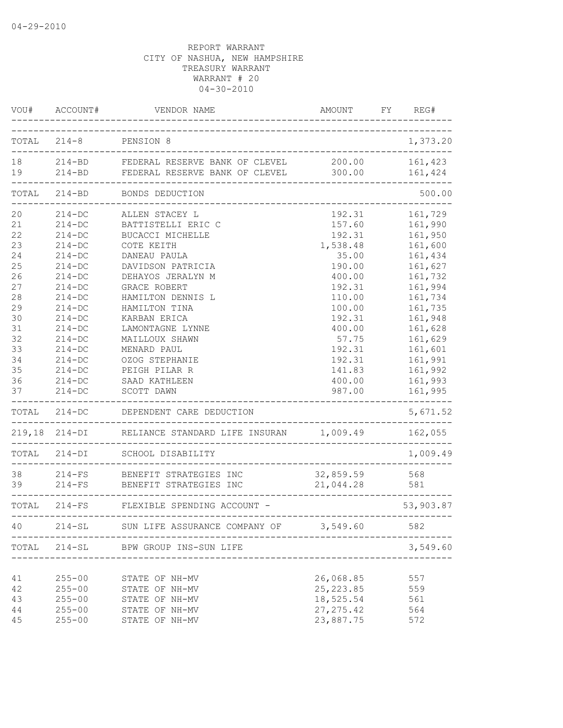|                                                                                                          | VOU# ACCOUNT#                                                                                                                                                                                                                        | VENDOR NAME                                                                                                                                                                                                                                                                                                                          | AMOUNT                                                                                                                                                                           | REG#<br>FY                                                                                                                                                                                         |
|----------------------------------------------------------------------------------------------------------|--------------------------------------------------------------------------------------------------------------------------------------------------------------------------------------------------------------------------------------|--------------------------------------------------------------------------------------------------------------------------------------------------------------------------------------------------------------------------------------------------------------------------------------------------------------------------------------|----------------------------------------------------------------------------------------------------------------------------------------------------------------------------------|----------------------------------------------------------------------------------------------------------------------------------------------------------------------------------------------------|
|                                                                                                          |                                                                                                                                                                                                                                      | TOTAL 214-8 PENSION 8                                                                                                                                                                                                                                                                                                                |                                                                                                                                                                                  | 1,373.20                                                                                                                                                                                           |
| 19                                                                                                       |                                                                                                                                                                                                                                      | 214-BD FEDERAL RESERVE BANK OF CLEVEL<br>214-BD FEDERAL RESERVE BANK OF CLEVEL                                                                                                                                                                                                                                                       | 200.00<br>300.00                                                                                                                                                                 | 161,423<br>161,424                                                                                                                                                                                 |
| TOTAL                                                                                                    | $214 - BD$                                                                                                                                                                                                                           | BONDS DEDUCTION                                                                                                                                                                                                                                                                                                                      |                                                                                                                                                                                  | 500.00                                                                                                                                                                                             |
| 20<br>21<br>22<br>23<br>24<br>25<br>26<br>27<br>28<br>29<br>30<br>31<br>32<br>33<br>34<br>35<br>36<br>37 | $214 - DC$<br>$214 - DC$<br>$214 - DC$<br>$214-DC$<br>$214-DC$<br>$214-DC$<br>$214-DC$<br>$214 - DC$<br>$214-DC$<br>$214-DC$<br>$214-DC$<br>$214-DC$<br>$214-DC$<br>$214-DC$<br>$214 - DC$<br>$214 - DC$<br>$214 - DC$<br>$214 - DC$ | ALLEN STACEY L<br>BATTISTELLI ERIC C<br>BUCACCI MICHELLE<br>COTE KEITH<br>DANEAU PAULA<br>DAVIDSON PATRICIA<br>DEHAYOS JERALYN M<br><b>GRACE ROBERT</b><br>HAMILTON DENNIS L<br>HAMILTON TINA<br>KARBAN ERICA<br>LAMONTAGNE LYNNE<br>MAILLOUX SHAWN<br>MENARD PAUL<br>OZOG STEPHANIE<br>PEIGH PILAR R<br>SAAD KATHLEEN<br>SCOTT DAWN | 192.31<br>157.60<br>192.31<br>1,538.48<br>35.00<br>190.00<br>400.00<br>192.31<br>110.00<br>100.00<br>192.31<br>400.00<br>57.75<br>192.31<br>192.31<br>141.83<br>400.00<br>987.00 | 161,729<br>161,990<br>161,950<br>161,600<br>161,434<br>161,627<br>161,732<br>161,994<br>161,734<br>161,735<br>161,948<br>161,628<br>161,629<br>161,601<br>161,991<br>161,992<br>161,993<br>161,995 |
|                                                                                                          | TOTAL 214-DC                                                                                                                                                                                                                         | DEPENDENT CARE DEDUCTION                                                                                                                                                                                                                                                                                                             |                                                                                                                                                                                  | 5,671.52                                                                                                                                                                                           |
| 219,18                                                                                                   |                                                                                                                                                                                                                                      | 214-DI RELIANCE STANDARD LIFE INSURAN 1,009.49 162,055                                                                                                                                                                                                                                                                               |                                                                                                                                                                                  |                                                                                                                                                                                                    |
| TOTAL                                                                                                    |                                                                                                                                                                                                                                      | 214-DI SCHOOL DISABILITY                                                                                                                                                                                                                                                                                                             |                                                                                                                                                                                  | 1,009.49                                                                                                                                                                                           |
| 38<br>39                                                                                                 | $214-FS$<br>$214-FS$                                                                                                                                                                                                                 | BENEFIT STRATEGIES INC<br>BENEFIT STRATEGIES INC                                                                                                                                                                                                                                                                                     | 32,859.59<br>21,044.28                                                                                                                                                           | 568<br>581                                                                                                                                                                                         |
|                                                                                                          |                                                                                                                                                                                                                                      | TOTAL 214-FS FLEXIBLE SPENDING ACCOUNT -<br>----------                                                                                                                                                                                                                                                                               |                                                                                                                                                                                  | 53,903.87                                                                                                                                                                                          |
| 40                                                                                                       | $214 - SL$                                                                                                                                                                                                                           | SUN LIFE ASSURANCE COMPANY OF                                                                                                                                                                                                                                                                                                        | 3,549.60                                                                                                                                                                         | 582                                                                                                                                                                                                |
| TOTAL                                                                                                    | $214-SL$                                                                                                                                                                                                                             | BPW GROUP INS-SUN LIFE                                                                                                                                                                                                                                                                                                               |                                                                                                                                                                                  | 3,549.60                                                                                                                                                                                           |
| 41<br>42<br>43<br>44<br>45                                                                               | $255 - 00$<br>$255 - 00$<br>$255 - 00$<br>$255 - 00$<br>$255 - 00$                                                                                                                                                                   | STATE OF NH-MV<br>STATE OF NH-MV<br>STATE OF NH-MV<br>STATE OF NH-MV<br>STATE OF NH-MV                                                                                                                                                                                                                                               | 26,068.85<br>25, 223.85<br>18,525.54<br>27, 275.42<br>23,887.75                                                                                                                  | 557<br>559<br>561<br>564<br>572                                                                                                                                                                    |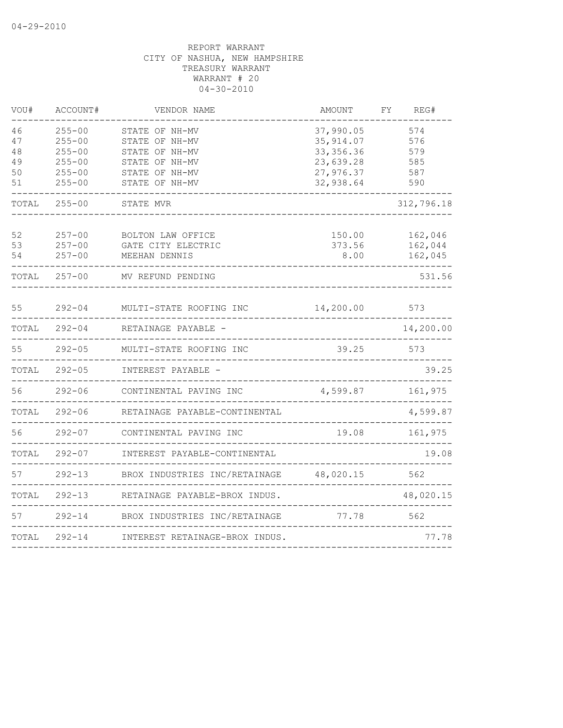| VOU#  | ACCOUNT#   | VENDOR NAME                    | AMOUNT     | FΥ | REG#       |
|-------|------------|--------------------------------|------------|----|------------|
| 46    | $255 - 00$ | STATE OF NH-MV                 | 37,990.05  |    | 574        |
| 47    | $255 - 00$ | STATE OF NH-MV                 | 35, 914.07 |    | 576        |
| 48    | $255 - 00$ | STATE OF NH-MV                 | 33, 356.36 |    | 579        |
| 49    | $255 - 00$ | STATE OF NH-MV                 | 23,639.28  |    | 585        |
| 50    | $255 - 00$ | STATE OF NH-MV                 | 27,976.37  |    | 587        |
| 51    | $255 - 00$ | STATE OF NH-MV                 | 32,938.64  |    | 590        |
| TOTAL | $255 - 00$ | STATE MVR                      |            |    | 312,796.18 |
| 52    | $257 - 00$ | BOLTON LAW OFFICE              | 150.00     |    | 162,046    |
| 53    | $257 - 00$ | GATE CITY ELECTRIC             | 373.56     |    | 162,044    |
| 54    | $257 - 00$ | MEEHAN DENNIS                  | 8.00       |    | 162,045    |
| TOTAL | $257 - 00$ | MV REFUND PENDING              |            |    | 531.56     |
| 55    | $292 - 04$ | MULTI-STATE ROOFING INC        | 14,200.00  |    | 573        |
| TOTAL | $292 - 04$ | RETAINAGE PAYABLE -            |            |    | 14,200.00  |
| 55    | $292 - 05$ | MULTI-STATE ROOFING INC        | 39.25      |    | 573        |
| TOTAL | $292 - 05$ | INTEREST PAYABLE -             |            |    | 39.25      |
| 56    | $292 - 06$ | CONTINENTAL PAVING INC         | 4,599.87   |    | 161,975    |
| TOTAL | $292 - 06$ | RETAINAGE PAYABLE-CONTINENTAL  |            |    | 4,599.87   |
| 56    | $292 - 07$ | CONTINENTAL PAVING INC         | 19.08      |    | 161,975    |
| TOTAL | $292 - 07$ | INTEREST PAYABLE-CONTINENTAL   |            |    | 19.08      |
| 57    | $292 - 13$ | BROX INDUSTRIES INC/RETAINAGE  | 48,020.15  |    | 562        |
| TOTAL | $292 - 13$ | RETAINAGE PAYABLE-BROX INDUS.  |            |    | 48,020.15  |
| 57    | $292 - 14$ | BROX INDUSTRIES INC/RETAINAGE  | 77.78      |    | 562        |
| TOTAL | $292 - 14$ | INTEREST RETAINAGE-BROX INDUS. |            |    | 77.78      |
|       |            |                                |            |    |            |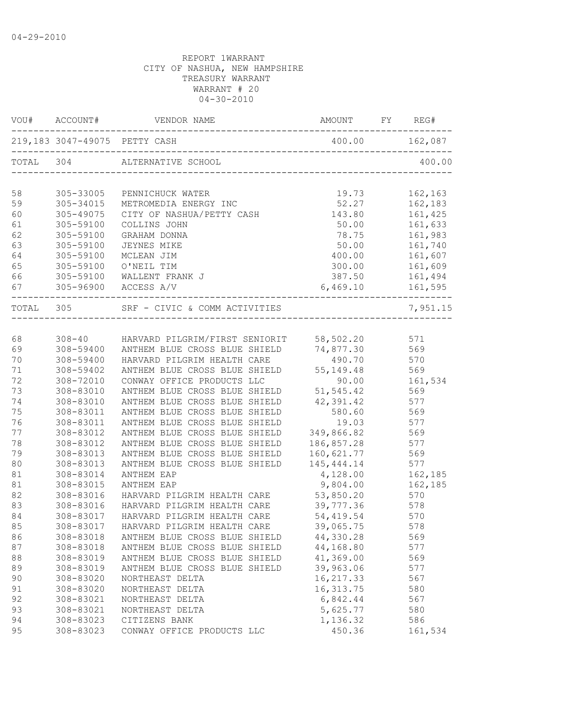| VOU#      | ACCOUNT#               | VENDOR NAME                                     | AMOUNT FY REG#   |     |          |
|-----------|------------------------|-------------------------------------------------|------------------|-----|----------|
|           |                        | 219,183 3047-49075 PETTY CASH                   | 400.00 162,087   |     |          |
| TOTAL 304 |                        | ALTERNATIVE SCHOOL                              |                  |     | 400.00   |
|           |                        |                                                 |                  |     |          |
| 58        | 305-33005              | PENNICHUCK WATER                                | 19.73            |     | 162,163  |
| 59        | 305-34015              | METROMEDIA ENERGY INC                           | 52.27            |     | 162,183  |
| 60        | 305-49075              | CITY OF NASHUA/PETTY CASH                       | 143.80           |     | 161,425  |
| 61        | 305-59100<br>305-59100 | COLLINS JOHN<br>GRAHAM DONNA                    | 50.00            |     | 161,633  |
| 62<br>63  | 305-59100              |                                                 | 78.75<br>50.00   |     | 161,983  |
| 64        |                        | JEYNES MIKE                                     |                  |     | 161,740  |
| 65        | 305-59100<br>305-59100 | MCLEAN JIM                                      | 400.00<br>300.00 |     | 161,607  |
| 66        |                        | O'NEIL TIM<br>WALLENT FRANK J                   | 387.50           |     | 161,609  |
| 67        | 305-59100              |                                                 |                  |     | 161,494  |
|           |                        | 305-96900 ACCESS A/V                            | 6,469.10         |     | 161,595  |
| TOTAL 305 |                        | SRF - CIVIC & COMM ACTIVITIES                   |                  |     | 7,951.15 |
|           |                        |                                                 |                  |     |          |
| 68        |                        | 308-40 HARVARD PILGRIM/FIRST SENIORIT 58,502.20 |                  |     | 571      |
| 69        | 308-59400              | ANTHEM BLUE CROSS BLUE SHIELD 74,877.30         |                  |     | 569      |
| 70        | 308-59400              | HARVARD PILGRIM HEALTH CARE                     | 490.70           |     | 570      |
| 71        | 308-59402              | ANTHEM BLUE CROSS BLUE SHIELD                   | 55, 149. 48      |     | 569      |
| 72        | 308-72010              | CONWAY OFFICE PRODUCTS LLC                      | 90.00            |     | 161,534  |
| 73        | 308-83010              | ANTHEM BLUE CROSS BLUE SHIELD                   | 51, 545.42       |     | 569      |
| 74        | 308-83010              | ANTHEM BLUE CROSS BLUE SHIELD                   | 42,391.42        |     | 577      |
| 75        | 308-83011              | ANTHEM BLUE CROSS BLUE SHIELD                   | 580.60           |     | 569      |
| 76        | 308-83011              | ANTHEM BLUE CROSS BLUE SHIELD                   | 19.03 577        |     |          |
| 77        | 308-83012              | ANTHEM BLUE CROSS BLUE SHIELD                   | 349,866.82 569   |     |          |
| 78        | 308-83012              | ANTHEM BLUE CROSS BLUE SHIELD                   | 186,857.28       |     | 577      |
| 79        | 308-83013              | ANTHEM BLUE CROSS BLUE SHIELD                   | 160,621.77       |     | 569      |
| 80        | 308-83013              | ANTHEM BLUE CROSS BLUE SHIELD                   | 145, 444.14      |     | 577      |
| 81        | 308-83014              | ANTHEM EAP                                      | 4,128.00         |     | 162,185  |
| 81        | 308-83015              | ANTHEM EAP                                      | 9,804.00         |     | 162,185  |
| 82        | 308-83016              | HARVARD PILGRIM HEALTH CARE                     | 53,850.20        |     | 570      |
| 83        | 308-83016              | HARVARD PILGRIM HEALTH CARE                     | 39,777.36        | 578 |          |
| 84        | 308-83017              | HARVARD PILGRIM HEALTH CARE                     | 54,419.54        |     | 570      |
| 85        | 308-83017              | HARVARD PILGRIM HEALTH CARE                     | 39,065.75        |     | 578      |
| 86        | 308-83018              | ANTHEM BLUE CROSS BLUE SHIELD                   | 44,330.28        |     | 569      |
| 87        | 308-83018              | ANTHEM BLUE CROSS BLUE SHIELD                   | 44,168.80        |     | 577      |
| 88        | 308-83019              | ANTHEM BLUE CROSS BLUE SHIELD                   | 41,369.00        |     | 569      |
| 89        | 308-83019              | ANTHEM BLUE CROSS BLUE SHIELD                   | 39,963.06        |     | 577      |
| 90        | 308-83020              | NORTHEAST DELTA                                 | 16, 217.33       |     | 567      |
| 91        | 308-83020              | NORTHEAST DELTA                                 | 16, 313.75       |     | 580      |
| 92        | 308-83021              | NORTHEAST DELTA                                 | 6,842.44         |     | 567      |
| 93        | 308-83021              | NORTHEAST DELTA                                 | 5,625.77         |     | 580      |
| 94        | 308-83023              | CITIZENS BANK                                   | 1,136.32         |     | 586      |
| 95        | 308-83023              | CONWAY OFFICE PRODUCTS LLC                      | 450.36           |     | 161,534  |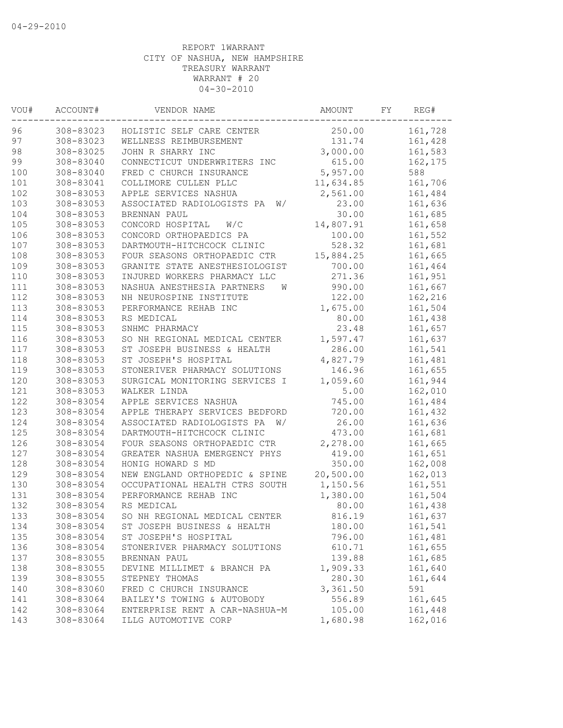| VOU# | ACCOUNT#  | VENDOR NAME                      | AMOUNT    | FY | REG#    |
|------|-----------|----------------------------------|-----------|----|---------|
| 96   | 308-83023 | HOLISTIC SELF CARE CENTER        | 250.00    |    | 161,728 |
| 97   | 308-83023 | WELLNESS REIMBURSEMENT           | 131.74    |    | 161,428 |
| 98   | 308-83025 | JOHN R SHARRY INC                | 3,000.00  |    | 161,583 |
| 99   | 308-83040 | CONNECTICUT UNDERWRITERS INC     | 615.00    |    | 162,175 |
| 100  | 308-83040 | FRED C CHURCH INSURANCE          | 5,957.00  |    | 588     |
| 101  | 308-83041 | COLLIMORE CULLEN PLLC            | 11,634.85 |    | 161,706 |
| 102  | 308-83053 | APPLE SERVICES NASHUA            | 2,561.00  |    | 161,484 |
| 103  | 308-83053 | ASSOCIATED RADIOLOGISTS PA<br>W/ | 23.00     |    | 161,636 |
| 104  | 308-83053 | BRENNAN PAUL                     | 30.00     |    | 161,685 |
| 105  | 308-83053 | CONCORD HOSPITAL<br>W/C          | 14,807.91 |    | 161,658 |
| 106  | 308-83053 | CONCORD ORTHOPAEDICS PA          | 100.00    |    | 161,552 |
| 107  | 308-83053 | DARTMOUTH-HITCHCOCK CLINIC       | 528.32    |    | 161,681 |
| 108  | 308-83053 | FOUR SEASONS ORTHOPAEDIC CTR     | 15,884.25 |    | 161,665 |
| 109  | 308-83053 | GRANITE STATE ANESTHESIOLOGIST   | 700.00    |    | 161,464 |
| 110  | 308-83053 | INJURED WORKERS PHARMACY LLC     | 271.36    |    | 161,951 |
| 111  | 308-83053 | NASHUA ANESTHESIA PARTNERS<br>W  | 990.00    |    | 161,667 |
| 112  | 308-83053 | NH NEUROSPINE INSTITUTE          | 122.00    |    | 162,216 |
| 113  | 308-83053 | PERFORMANCE REHAB INC            | 1,675.00  |    | 161,504 |
| 114  | 308-83053 | RS MEDICAL                       | 80.00     |    | 161,438 |
| 115  | 308-83053 | SNHMC PHARMACY                   | 23.48     |    | 161,657 |
| 116  | 308-83053 | SO NH REGIONAL MEDICAL CENTER    | 1,597.47  |    | 161,637 |
| 117  | 308-83053 | ST JOSEPH BUSINESS & HEALTH      | 286.00    |    | 161,541 |
| 118  | 308-83053 | ST JOSEPH'S HOSPITAL             | 4,827.79  |    | 161,481 |
| 119  | 308-83053 | STONERIVER PHARMACY SOLUTIONS    | 146.96    |    | 161,655 |
| 120  | 308-83053 | SURGICAL MONITORING SERVICES I   | 1,059.60  |    | 161,944 |
| 121  | 308-83053 | WALKER LINDA                     | 5.00      |    | 162,010 |
| 122  | 308-83054 | APPLE SERVICES NASHUA            | 745.00    |    | 161,484 |
| 123  | 308-83054 | APPLE THERAPY SERVICES BEDFORD   | 720.00    |    | 161,432 |
| 124  | 308-83054 | ASSOCIATED RADIOLOGISTS PA<br>W/ | 26.00     |    | 161,636 |
| 125  |           |                                  |           |    |         |
|      | 308-83054 | DARTMOUTH-HITCHCOCK CLINIC       | 473.00    |    | 161,681 |
| 126  | 308-83054 | FOUR SEASONS ORTHOPAEDIC CTR     | 2,278.00  |    | 161,665 |
| 127  | 308-83054 | GREATER NASHUA EMERGENCY PHYS    | 419.00    |    | 161,651 |
| 128  | 308-83054 | HONIG HOWARD S MD                | 350.00    |    | 162,008 |
| 129  | 308-83054 | NEW ENGLAND ORTHOPEDIC & SPINE   | 20,500.00 |    | 162,013 |
| 130  | 308-83054 | OCCUPATIONAL HEALTH CTRS SOUTH   | 1,150.56  |    | 161,551 |
| 131  | 308-83054 | PERFORMANCE REHAB INC            | 1,380.00  |    | 161,504 |
| 132  | 308-83054 | RS MEDICAL                       | 80.00     |    | 161,438 |
| 133  | 308-83054 | SO NH REGIONAL MEDICAL CENTER    | 816.19    |    | 161,637 |
| 134  | 308-83054 | ST JOSEPH BUSINESS & HEALTH      | 180.00    |    | 161,541 |
| 135  | 308-83054 | ST JOSEPH'S HOSPITAL             | 796.00    |    | 161,481 |
| 136  | 308-83054 | STONERIVER PHARMACY SOLUTIONS    | 610.71    |    | 161,655 |
| 137  | 308-83055 | BRENNAN PAUL                     | 139.88    |    | 161,685 |
| 138  | 308-83055 | DEVINE MILLIMET & BRANCH PA      | 1,909.33  |    | 161,640 |
| 139  | 308-83055 | STEPNEY THOMAS                   | 280.30    |    | 161,644 |
| 140  | 308-83060 | FRED C CHURCH INSURANCE          | 3,361.50  |    | 591     |
| 141  | 308-83064 | BAILEY'S TOWING & AUTOBODY       | 556.89    |    | 161,645 |
| 142  | 308-83064 | ENTERPRISE RENT A CAR-NASHUA-M   | 105.00    |    | 161,448 |
| 143  | 308-83064 | ILLG AUTOMOTIVE CORP             | 1,680.98  |    | 162,016 |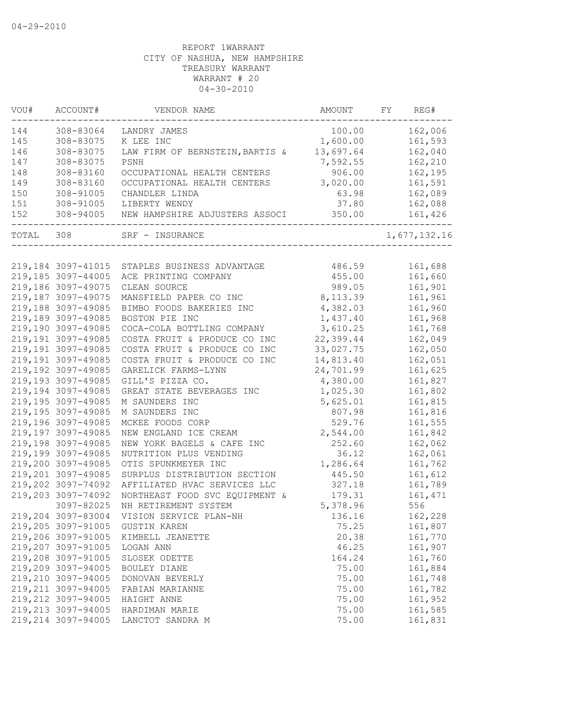| VOU#  | ACCOUNT#            | VENDOR NAME                     | AMOUNT    | FY | REG#         |
|-------|---------------------|---------------------------------|-----------|----|--------------|
| 144   | 308-83064           | LANDRY JAMES                    | 100.00    |    | 162,006      |
| 145   | 308-83075           | K LEE INC                       | 1,600.00  |    | 161,593      |
| 146   | 308-83075           | LAW FIRM OF BERNSTEIN, BARTIS & | 13,697.64 |    | 162,040      |
| 147   | 308-83075           | PSNH                            | 7,592.55  |    | 162,210      |
| 148   | 308-83160           | OCCUPATIONAL HEALTH CENTERS     | 906.00    |    | 162,195      |
| 149   | 308-83160           | OCCUPATIONAL HEALTH CENTERS     | 3,020.00  |    | 161,591      |
| 150   | 308-91005           | CHANDLER LINDA                  | 63.98     |    | 162,089      |
| 151   | 308-91005           | LIBERTY WENDY                   | 37.80     |    | 162,088      |
| 152   | 308-94005           | NEW HAMPSHIRE ADJUSTERS ASSOCI  | 350.00    |    | 161,426      |
| TOTAL | 308                 | SRF - INSURANCE                 |           |    | 1,677,132.16 |
|       |                     |                                 |           |    |              |
|       | 219, 184 3097-41015 | STAPLES BUSINESS ADVANTAGE      | 486.59    |    | 161,688      |
|       | 219,185 3097-44005  | ACE PRINTING COMPANY            | 455.00    |    | 161,660      |
|       | 219,186 3097-49075  | CLEAN SOURCE                    | 989.05    |    | 161,901      |
|       | 219,187 3097-49075  | MANSFIELD PAPER CO INC          | 8, 113.39 |    | 161,961      |
|       | 219,188 3097-49085  | BIMBO FOODS BAKERIES INC        | 4,382.03  |    | 161,960      |
|       | 219,189 3097-49085  | BOSTON PIE INC                  | 1,437.40  |    | 161,968      |
|       | 219,190 3097-49085  | COCA-COLA BOTTLING COMPANY      | 3,610.25  |    | 161,768      |
|       | 219,191 3097-49085  | COSTA FRUIT & PRODUCE CO INC    | 22,399.44 |    | 162,049      |
|       | 219,191 3097-49085  | COSTA FRUIT & PRODUCE CO INC    | 33,027.75 |    | 162,050      |
|       | 219,191 3097-49085  | COSTA FRUIT & PRODUCE CO INC    | 14,813.40 |    | 162,051      |
|       | 219,192 3097-49085  | GARELICK FARMS-LYNN             | 24,701.99 |    | 161,625      |
|       | 219,193 3097-49085  | GILL'S PIZZA CO.                | 4,380.00  |    | 161,827      |
|       | 219,194 3097-49085  | GREAT STATE BEVERAGES INC       | 1,025.30  |    | 161,802      |
|       | 219,195 3097-49085  | M SAUNDERS INC                  | 5,625.01  |    | 161,815      |
|       | 219,195 3097-49085  | M SAUNDERS INC                  | 807.98    |    | 161,816      |
|       | 219,196 3097-49085  | MCKEE FOODS CORP                | 529.76    |    | 161,555      |
|       | 219,197 3097-49085  | NEW ENGLAND ICE CREAM           | 2,544.00  |    | 161,842      |
|       | 219,198 3097-49085  | NEW YORK BAGELS & CAFE INC      | 252.60    |    | 162,062      |
|       | 219,199 3097-49085  | NUTRITION PLUS VENDING          | 36.12     |    | 162,061      |
|       | 219,200 3097-49085  | OTIS SPUNKMEYER INC             | 1,286.64  |    | 161,762      |
|       | 219,201 3097-49085  | SURPLUS DISTRIBUTION SECTION    | 445.50    |    | 161,612      |
|       | 219,202 3097-74092  | AFFILIATED HVAC SERVICES LLC    | 327.18    |    | 161,789      |
|       | 219,203 3097-74092  | NORTHEAST FOOD SVC EQUIPMENT &  | 179.31    |    | 161, 471     |
|       | 3097-82025          | NH RETIREMENT SYSTEM            | 5,378.96  |    | 556          |
|       | 219,204 3097-83004  | VISION SERVICE PLAN-NH          | 136.16    |    | 162,228      |
|       | 219,205 3097-91005  | <b>GUSTIN KAREN</b>             | 75.25     |    | 161,807      |
|       | 219,206 3097-91005  | KIMBELL JEANETTE                | 20.38     |    | 161,770      |
|       | 219,207 3097-91005  | LOGAN ANN                       | 46.25     |    | 161,907      |
|       | 219,208 3097-91005  | SLOSEK ODETTE                   | 164.24    |    | 161,760      |
|       | 219,209 3097-94005  | BOULEY DIANE                    | 75.00     |    | 161,884      |
|       | 219,210 3097-94005  | DONOVAN BEVERLY                 | 75.00     |    | 161,748      |
|       | 219, 211 3097-94005 | FABIAN MARIANNE                 | 75.00     |    | 161,782      |
|       | 219, 212 3097-94005 | HAIGHT ANNE                     | 75.00     |    | 161,952      |
|       | 219,213 3097-94005  | HARDIMAN MARIE                  | 75.00     |    | 161,585      |
|       | 219,214 3097-94005  | LANCTOT SANDRA M                | 75.00     |    | 161,831      |
|       |                     |                                 |           |    |              |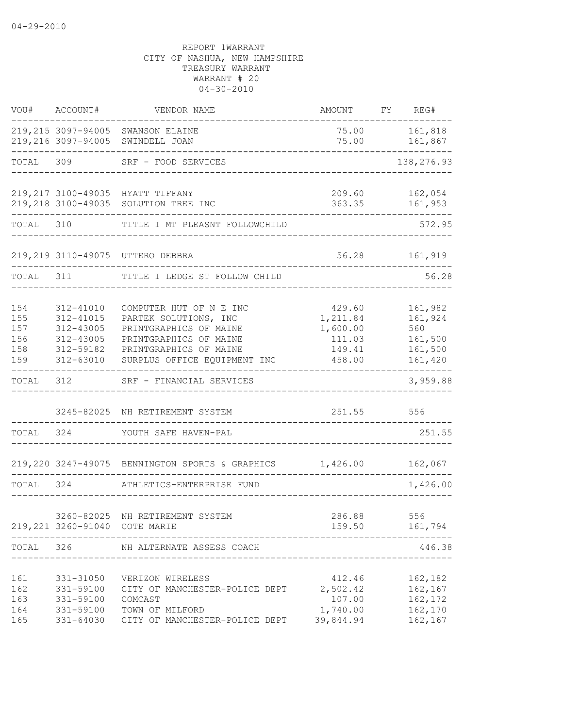| VOU#                                   | ACCOUNT#                                                                   | VENDOR NAME                                                                                                                                                    | AMOUNT                                                       | FY REG#                                                    |
|----------------------------------------|----------------------------------------------------------------------------|----------------------------------------------------------------------------------------------------------------------------------------------------------------|--------------------------------------------------------------|------------------------------------------------------------|
|                                        |                                                                            | 219,215 3097-94005 SWANSON ELAINE<br>219,216 3097-94005 SWINDELL JOAN                                                                                          | 75.00                                                        | 75.00    161,818<br>161,867                                |
| TOTAL                                  | 309                                                                        | SRF - FOOD SERVICES                                                                                                                                            |                                                              | --------<br>138,276.93                                     |
|                                        |                                                                            | 219,217 3100-49035 HYATT TIFFANY<br>219, 218 3100-49035 SOLUTION TREE INC                                                                                      | 209.60<br>363.35                                             | 162,054<br>161,953                                         |
| TOTAL                                  | 310                                                                        | TITLE I MT PLEASNT FOLLOWCHILD                                                                                                                                 |                                                              | 572.95                                                     |
|                                        |                                                                            | 219, 219 3110-49075 UTTERO DEBBRA                                                                                                                              | 56.28                                                        | 161,919                                                    |
| TOTAL                                  | 311                                                                        | TITLE I LEDGE ST FOLLOW CHILD                                                                                                                                  |                                                              | 56.28                                                      |
| 154<br>155<br>157<br>156<br>158<br>159 | 312-41010<br>312-41015<br>312-43005<br>312-43005<br>312-59182<br>312-63010 | COMPUTER HUT OF N E INC<br>PARTEK SOLUTIONS, INC<br>PRINTGRAPHICS OF MAINE<br>PRINTGRAPHICS OF MAINE<br>PRINTGRAPHICS OF MAINE<br>SURPLUS OFFICE EQUIPMENT INC | 429.60<br>1,211.84<br>1,600.00<br>111.03<br>149.41<br>458.00 | 161,982<br>161,924<br>560<br>161,500<br>161,500<br>161,420 |
| TOTAL                                  | 312                                                                        | SRF - FINANCIAL SERVICES                                                                                                                                       |                                                              | 3,959.88                                                   |
|                                        |                                                                            | 3245-82025 NH RETIREMENT SYSTEM                                                                                                                                | 251.55                                                       | 556                                                        |
| TOTAL                                  | 324                                                                        | YOUTH SAFE HAVEN-PAL                                                                                                                                           |                                                              | 251.55                                                     |
|                                        |                                                                            | 219,220 3247-49075 BENNINGTON SPORTS & GRAPHICS 1,426.00                                                                                                       |                                                              | 162,067                                                    |
| TOTAL                                  | 324                                                                        | ATHLETICS-ENTERPRISE FUND                                                                                                                                      |                                                              | 1,426.00                                                   |
|                                        |                                                                            | 3260-82025 NH RETIREMENT SYSTEM<br>219, 221 3260-91040 COTE MARIE                                                                                              | 286.88 556<br>159.50<br>____________________                 | 161,794                                                    |
| TOTAL                                  | 326                                                                        | NH ALTERNATE ASSESS COACH                                                                                                                                      |                                                              | 446.38                                                     |
| 161<br>162<br>163<br>164<br>165        | 331-31050<br>331-59100<br>331-59100<br>331-59100<br>331-64030              | VERIZON WIRELESS<br>CITY OF MANCHESTER-POLICE DEPT<br>COMCAST<br>TOWN OF MILFORD<br>CITY OF MANCHESTER-POLICE DEPT                                             | 412.46<br>2,502.42<br>107.00<br>1,740.00<br>39,844.94        | 162,182<br>162,167<br>162,172<br>162,170<br>162,167        |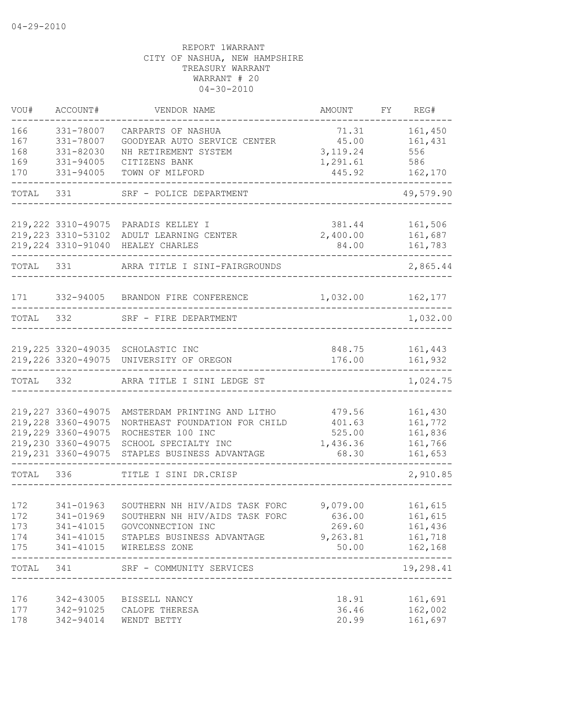| VOU#                            | ACCOUNT#                                                                                                     | VENDOR NAME                                                                                                                                                        | AMOUNT                                             | FY | REG#                                                |
|---------------------------------|--------------------------------------------------------------------------------------------------------------|--------------------------------------------------------------------------------------------------------------------------------------------------------------------|----------------------------------------------------|----|-----------------------------------------------------|
| 166<br>167<br>168<br>169<br>170 | 331-78007<br>331-78007<br>331-82030<br>331-94005<br>331-94005                                                | CARPARTS OF NASHUA<br>GOODYEAR AUTO SERVICE CENTER<br>NH RETIREMENT SYSTEM<br>CITIZENS BANK<br>TOWN OF MILFORD                                                     | 71.31<br>45.00<br>3, 119.24<br>1,291.61<br>445.92  |    | 161,450<br>161,431<br>556<br>586<br>162,170         |
| TOTAL                           | 331                                                                                                          | SRF - POLICE DEPARTMENT                                                                                                                                            |                                                    |    | 49,579.90                                           |
|                                 |                                                                                                              |                                                                                                                                                                    |                                                    |    |                                                     |
|                                 | 219, 223 3310-53102<br>219, 224 3310-91040                                                                   | 219, 222 3310-49075 PARADIS KELLEY I<br>ADULT LEARNING CENTER<br>HEALEY CHARLES                                                                                    | 381.44<br>2,400.00<br>84.00                        |    | 161,506<br>161,687<br>161,783                       |
| TOTAL                           | 331                                                                                                          | ARRA TITLE I SINI-FAIRGROUNDS                                                                                                                                      |                                                    |    | 2,865.44                                            |
| 171                             | 332-94005                                                                                                    | BRANDON FIRE CONFERENCE                                                                                                                                            | 1,032.00                                           |    | 162,177                                             |
| TOTAL                           | 332                                                                                                          | SRF - FIRE DEPARTMENT                                                                                                                                              |                                                    |    | 1,032.00                                            |
|                                 | 219,226 3320-49075                                                                                           | 219,225 3320-49035 SCHOLASTIC INC<br>UNIVERSITY OF OREGON                                                                                                          | 848.75<br>176.00                                   |    | 161,443<br>161,932                                  |
| TOTAL                           | 332                                                                                                          | ARRA TITLE I SINI LEDGE ST                                                                                                                                         |                                                    |    | 1,024.75                                            |
|                                 | 219, 227 3360-49075<br>219,228 3360-49075<br>219,229 3360-49075<br>219,230 3360-49075<br>219, 231 3360-49075 | AMSTERDAM PRINTING AND LITHO<br>NORTHEAST FOUNDATION FOR CHILD<br>ROCHESTER 100 INC<br>SCHOOL SPECIALTY INC<br>STAPLES BUSINESS ADVANTAGE                          | 479.56<br>401.63<br>525.00<br>1,436.36<br>68.30    |    | 161,430<br>161,772<br>161,836<br>161,766<br>161,653 |
| TOTAL                           | 336                                                                                                          | TITLE I SINI DR.CRISP                                                                                                                                              |                                                    |    | 2,910.85                                            |
| 172<br>172<br>173<br>174<br>175 | 341-01963<br>341-01969                                                                                       | SOUTHERN NH HIV/AIDS TASK FORC<br>SOUTHERN NH HIV/AIDS TASK FORC<br>341-41015 GOVCONNECTION INC<br>341-41015 STAPLES BUSINESS ADVANTAGE<br>341-41015 WIRELESS ZONE | 9,079.00<br>636.00<br>269.60<br>9, 263.81 161, 718 |    | 161,615<br>161,615<br>161,436<br>50.00    162,168   |
|                                 |                                                                                                              | TOTAL 341 SRF - COMMUNITY SERVICES                                                                                                                                 |                                                    |    | -----------<br>19,298.41                            |
| 176<br>177<br>178               |                                                                                                              | 342-43005 BISSELL NANCY<br>342-91025 CALOPE THERESA<br>342-94014 WENDT BETTY                                                                                       | 18.91<br>36.46<br>20.99                            |    | 161,691<br>162,002<br>161,697                       |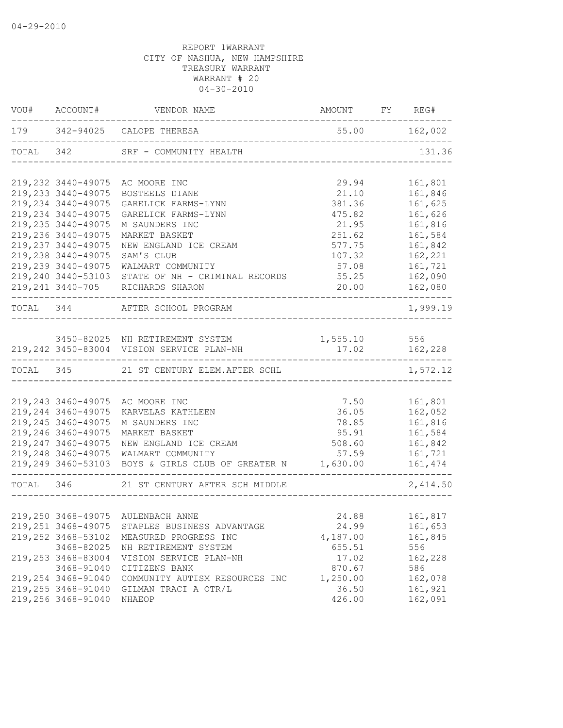| VOU# ACCOUNT#       |                                                                    |                                      |               |
|---------------------|--------------------------------------------------------------------|--------------------------------------|---------------|
|                     | 179 342-94025 CALOPE THERESA                                       | $55.00$ $162,002$                    |               |
|                     | TOTAL 342 SRF - COMMUNITY HEALTH                                   | ------------------------------------ | 131.36        |
|                     | 219,232 3440-49075 AC MOORE INC                                    | 29.94                                | 161,801       |
| 219, 233 3440-49075 | BOSTEELS DIANE                                                     | 21.10                                | 161,846       |
| 219, 234 3440-49075 | GARELICK FARMS-LYNN                                                | 381.36                               | 161,625       |
| 219, 234 3440-49075 | GARELICK FARMS-LYNN                                                | 475.82                               | 161,626       |
| 219,235 3440-49075  | M SAUNDERS INC                                                     | 21.95                                | 161,816       |
| 219,236 3440-49075  | MARKET BASKET                                                      | 251.62                               | 161,584       |
| 219, 237 3440-49075 | NEW ENGLAND ICE CREAM                                              | 577.75                               | 161,842       |
| 219,238 3440-49075  | SAM'S CLUB                                                         | 107.32                               | 162,221       |
| 219,239 3440-49075  | WALMART COMMUNITY                                                  | 57.08                                | 161,721       |
|                     | 219,240 3440-53103 STATE OF NH - CRIMINAL RECORDS                  | 55.25                                | 162,090       |
|                     | 219, 241 3440-705 RICHARDS SHARON                                  |                                      | .             |
|                     | TOTAL 344 AFTER SCHOOL PROGRAM                                     |                                      | 1,999.19      |
|                     |                                                                    |                                      |               |
|                     | 3450-82025 NH RETIREMENT SYSTEM 1,555.10 556                       |                                      |               |
|                     | 219,242 3450-83004 VISION SERVICE PLAN-NH 17.02 162,228            |                                      |               |
|                     | TOTAL 345 21 ST CENTURY ELEM.AFTER SCHL                            |                                      | 1,572.12      |
|                     |                                                                    |                                      |               |
|                     | 219,243 3460-49075 AC MOORE INC                                    | 7.50 161,801                         |               |
| 219, 244 3460-49075 | KARVELAS KATHLEEN                                                  | 36.05 162,052                        |               |
| 219, 245 3460-49075 | M SAUNDERS INC                                                     |                                      | 78.85 161,816 |
| 219,246 3460-49075  | MARKET BASKET                                                      |                                      | 95.91 161,584 |
| 219, 247 3460-49075 | NEW ENGLAND ICE CREAM                                              | 508.60                               | 161,842       |
|                     | 219, 248 3460-49075 WALMART COMMUNITY                              |                                      | 57.59 161,721 |
|                     | 219,249 3460-53103 BOYS & GIRLS CLUB OF GREATER N 1,630.00 161,474 |                                      |               |
|                     | TOTAL 346 21 ST CENTURY AFTER SCH MIDDLE                           |                                      | 2,414.50      |
|                     |                                                                    |                                      |               |
|                     | 219,250 3468-49075 AULENBACH ANNE                                  | 24.88                                | 161,817       |
| 219, 251 3468-49075 | STAPLES BUSINESS ADVANTAGE                                         | 24.99                                | 161,653       |
| 219,252 3468-53102  | MEASURED PROGRESS INC                                              | 4,187.00                             | 161,845       |
| 3468-82025          | NH RETIREMENT SYSTEM                                               | 655.51                               | 556           |
| 219,253 3468-83004  | VISION SERVICE PLAN-NH                                             | 17.02                                | 162,228       |
| 3468-91040          | CITIZENS BANK                                                      | 870.67                               | 586           |
| 219,254 3468-91040  | COMMUNITY AUTISM RESOURCES INC                                     | 1,250.00                             | 162,078       |
| 219,255 3468-91040  | GILMAN TRACI A OTR/L                                               | 36.50                                | 161,921       |
| 219,256 3468-91040  | NHAEOP                                                             | 426.00                               | 162,091       |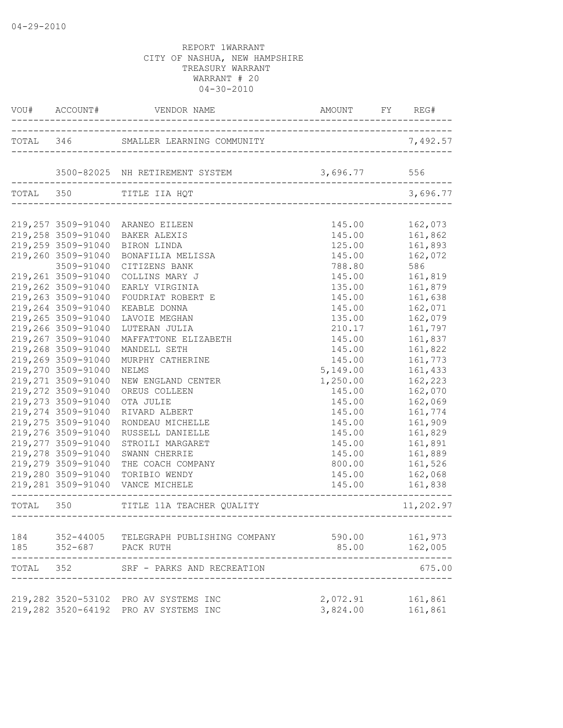|       |                     | VOU# ACCOUNT# VENDOR NAME AND AMOUNT FY RE        | AMOUNT FY REG# |                   |
|-------|---------------------|---------------------------------------------------|----------------|-------------------|
|       |                     |                                                   |                |                   |
|       |                     | 3500-82025 NH RETIREMENT SYSTEM 3,696.77 556      |                |                   |
|       |                     | TOTAL 350 TITLE IIA HQT                           |                | 3,696.77          |
|       |                     | 219,257 3509-91040 ARANEO EILEEN                  | 145.00         | 162,073           |
|       | 219,258 3509-91040  | BAKER ALEXIS                                      | 145.00         | 161,862           |
|       | 219,259 3509-91040  | BIRON LINDA                                       |                | 125.00 161,893    |
|       | 219,260 3509-91040  | BONAFILIA MELISSA                                 | 145.00         | 162,072           |
|       | 3509-91040          | CITIZENS BANK                                     | 788.80         | 586               |
|       | 219,261 3509-91040  | COLLINS MARY J                                    | 145.00         | 161,819           |
|       | 219,262 3509-91040  | EARLY VIRGINIA                                    | 135.00         | 161,879           |
|       | 219,263 3509-91040  | FOUDRIAT ROBERT E                                 | 145.00         | 161,638           |
|       | 219,264 3509-91040  | KEABLE DONNA                                      | 145.00         | 162,071           |
|       | 219,265 3509-91040  | LAVOIE MEGHAN                                     | 135.00         | 162,079           |
|       | 219,266 3509-91040  | LUTERAN JULIA                                     | 210.17         | 161,797           |
|       | 219,267 3509-91040  | MAFFATTONE ELIZABETH                              | 145.00         | 161,837           |
|       | 219,268 3509-91040  | MANDELL SETH                                      | 145.00         | 161,822           |
|       | 219,269 3509-91040  | MURPHY CATHERINE                                  | 145.00         | 161,773           |
|       | 219,270 3509-91040  | NELMS                                             | 5,149.00       | 161,433           |
|       | 219, 271 3509-91040 | NEW ENGLAND CENTER                                | 1,250.00       | 162,223           |
|       | 219,272 3509-91040  | OREUS COLLEEN                                     | 145.00         | 162,070           |
|       | 219, 273 3509-91040 | OTA JULIE                                         | 145.00         | 162,069           |
|       | 219,274 3509-91040  | RIVARD ALBERT                                     | 145.00         | 161,774           |
|       | 219,275 3509-91040  | RONDEAU MICHELLE                                  | 145.00         | 161,909           |
|       | 219,276 3509-91040  | RUSSELL DANIELLE                                  | 145.00         | 161,829           |
|       | 219,277 3509-91040  | STROILI MARGARET                                  | 145.00         | 161,891           |
|       | 219,278 3509-91040  | SWANN CHERRIE                                     |                | 145.00    161,889 |
|       | 219,279 3509-91040  | THE COACH COMPANY                                 | 800.00         | 161,526           |
|       | 219,280 3509-91040  | TORIBIO WENDY<br>219,281 3509-91040 VANCE MICHELE | 145.00         | 162,068           |
|       |                     | ---------------------------------                 | 145.00         | 161,838           |
|       |                     | TOTAL 350 TITLE 11A TEACHER QUALITY               |                | 11,202.97         |
| 184   |                     | 352-44005   TELEGRAPH PUBLISHING COMPANY          | 590.00         | 161,973           |
| 185   | 352-687 PACK RUTH   |                                                   | 85.00          | 162,005           |
| TOTAL | 352                 | SRF - PARKS AND RECREATION                        |                | 675.00            |
|       |                     | 219,282 3520-53102 PRO AV SYSTEMS INC             | 2,072.91       | 161,861           |
|       |                     | 219,282 3520-64192 PRO AV SYSTEMS INC             | 3,824.00       | 161,861           |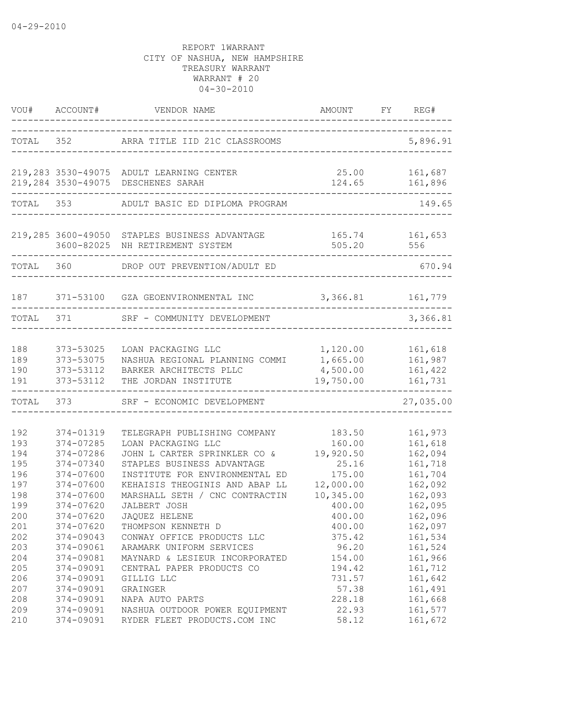|                          |                                                  | VOU# ACCOUNT# VENDOR NAME                                                                                                        | AMOUNT FY REG#                            |                                          |
|--------------------------|--------------------------------------------------|----------------------------------------------------------------------------------------------------------------------------------|-------------------------------------------|------------------------------------------|
|                          |                                                  | TOTAL 352 ARRA TITLE IID 21C CLASSROOMS                                                                                          |                                           | 5,896.91                                 |
|                          |                                                  | 219, 283 3530-49075 ADULT LEARNING CENTER                                                                                        | 25.00 161,687                             |                                          |
|                          |                                                  | 219,284 3530-49075 DESCHENES SARAH                                                                                               |                                           | 124.65 161,896                           |
|                          |                                                  | TOTAL 353 ADULT BASIC ED DIPLOMA PROGRAM                                                                                         |                                           | 149.65                                   |
|                          |                                                  | 219,285 3600-49050 STAPLES BUSINESS ADVANTAGE<br>3600-82025 NH RETIREMENT SYSTEM                                                 | 165.74<br>505.20                          | 161,653<br>556                           |
|                          |                                                  | TOTAL 360 DROP OUT PREVENTION/ADULT ED                                                                                           |                                           | 670.94                                   |
|                          |                                                  | 187 371-53100 GZA GEOENVIRONMENTAL INC                                                                                           | 3,366.81 161,779                          |                                          |
| TOTAL 371                |                                                  | SRF - COMMUNITY DEVELOPMENT                                                                                                      |                                           | 3,366.81                                 |
| 188<br>189<br>190<br>191 | 373-53025<br>373-53075<br>373-53112<br>373-53112 | LOAN PACKAGING LLC<br>NASHUA REGIONAL PLANNING COMMI 1,665.00<br>BARKER ARCHITECTS PLLC<br>THE JORDAN INSTITUTE                  | 1,120.00<br>4,500.00<br>19,750.00         | 161,618<br>161,987<br>161,422<br>161,731 |
| TOTAL                    | 373                                              | SRF - ECONOMIC DEVELOPMENT                                                                                                       |                                           | 27,035.00                                |
| 192<br>193<br>194        | 374-01319<br>374-07285<br>374-07286              | TELEGRAPH PUBLISHING COMPANY<br>LOAN PACKAGING LLC<br>JOHN L CARTER SPRINKLER CO &                                               | 183.50<br>160.00<br>19,920.50             | 161,973<br>161,618<br>162,094            |
| 195<br>196<br>197<br>198 | 374-07340<br>374-07600<br>374-07600<br>374-07600 | STAPLES BUSINESS ADVANTAGE<br>INSTITUTE FOR ENVIRONMENTAL ED<br>KEHAISIS THEOGINIS AND ABAP LL<br>MARSHALL SETH / CNC CONTRACTIN | 25.16<br>175.00<br>12,000.00<br>10,345.00 | 161,718<br>161,704<br>162,092<br>162,093 |
| 199<br>200<br>201        | 374-07620<br>374-07620<br>374-07620              | JALBERT JOSH<br>JAQUEZ HELENE<br>THOMPSON KENNETH D                                                                              | 400.00<br>400.00<br>400.00                | 162,095<br>162,096<br>162,097            |
| 202<br>203<br>204        | $374 - 09043$<br>374-09061<br>374-09081          | CONWAY OFFICE PRODUCTS LLC<br>ARAMARK UNIFORM SERVICES<br>MAYNARD & LESIEUR INCORPORATED                                         | 375.42<br>96.20<br>154.00                 | 161,534<br>161,524<br>161,966            |
| 205<br>206<br>207        | 374-09091<br>374-09091<br>374-09091              | CENTRAL PAPER PRODUCTS CO<br>GILLIG LLC<br>GRAINGER                                                                              | 194.42<br>731.57<br>57.38                 | 161,712<br>161,642<br>161,491            |
| 208<br>209<br>210        | 374-09091<br>374-09091<br>374-09091              | NAPA AUTO PARTS<br>NASHUA OUTDOOR POWER EQUIPMENT<br>RYDER FLEET PRODUCTS.COM INC                                                | 228.18<br>22.93<br>58.12                  | 161,668<br>161,577<br>161,672            |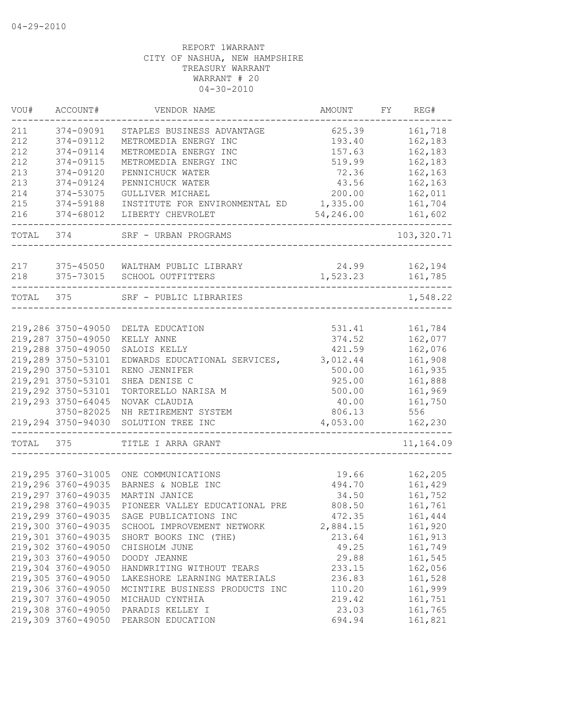| VOU#      | ACCOUNT#           | VENDOR NAME                    | AMOUNT    | FY | REG#       |
|-----------|--------------------|--------------------------------|-----------|----|------------|
| 211       | 374-09091          | STAPLES BUSINESS ADVANTAGE     | 625.39    |    | 161,718    |
| 212       | 374-09112          | METROMEDIA ENERGY INC          | 193.40    |    | 162,183    |
| 212       | 374-09114          | METROMEDIA ENERGY INC          | 157.63    |    | 162,183    |
| 212       | 374-09115          | METROMEDIA ENERGY INC          | 519.99    |    | 162,183    |
| 213       | 374-09120          | PENNICHUCK WATER               | 72.36     |    | 162,163    |
| 213       | 374-09124          | PENNICHUCK WATER               | 43.56     |    | 162,163    |
| 214       | 374-53075          | GULLIVER MICHAEL               | 200.00    |    | 162,011    |
| 215       | 374-59188          | INSTITUTE FOR ENVIRONMENTAL ED | 1,335.00  |    | 161,704    |
| 216       | 374-68012          | LIBERTY CHEVROLET              | 54,246.00 |    | 161,602    |
| TOTAL 374 |                    | SRF - URBAN PROGRAMS           |           |    | 103,320.71 |
|           |                    |                                |           |    |            |
|           | 217 375-45050      | WALTHAM PUBLIC LIBRARY         | 24.99     |    | 162,194    |
| 218       | 375-73015          | SCHOOL OUTFITTERS              | 1,523.23  |    | 161,785    |
| TOTAL 375 |                    | SRF - PUBLIC LIBRARIES         |           |    | 1,548.22   |
|           |                    |                                |           |    |            |
|           | 219,286 3750-49050 | DELTA EDUCATION                | 531.41    |    | 161,784    |
|           | 219,287 3750-49050 | KELLY ANNE                     | 374.52    |    | 162,077    |
|           | 219,288 3750-49050 | SALOIS KELLY                   | 421.59    |    | 162,076    |
|           | 219,289 3750-53101 | EDWARDS EDUCATIONAL SERVICES,  | 3,012.44  |    | 161,908    |
|           | 219,290 3750-53101 | RENO JENNIFER                  | 500.00    |    | 161,935    |
|           | 219,291 3750-53101 | SHEA DENISE C                  | 925.00    |    | 161,888    |
|           | 219,292 3750-53101 | TORTORELLO NARISA M            | 500.00    |    | 161,969    |
|           | 219,293 3750-64045 | NOVAK CLAUDIA                  | 40.00     |    | 161,750    |
|           | 3750-82025         | NH RETIREMENT SYSTEM           | 806.13    |    | 556        |
|           | 219,294 3750-94030 | SOLUTION TREE INC              | 4,053.00  |    | 162,230    |
| TOTAL     | 375                | TITLE I ARRA GRANT             |           |    | 11,164.09  |
|           |                    |                                |           |    |            |
|           | 219,295 3760-31005 | ONE COMMUNICATIONS             | 19.66     |    | 162,205    |
|           | 219,296 3760-49035 | BARNES & NOBLE INC             | 494.70    |    | 161,429    |
|           | 219,297 3760-49035 | MARTIN JANICE                  | 34.50     |    | 161,752    |
|           | 219,298 3760-49035 | PIONEER VALLEY EDUCATIONAL PRE | 808.50    |    | 161,761    |
|           | 219,299 3760-49035 | SAGE PUBLICATIONS INC          | 472.35    |    | 161,444    |
|           | 219,300 3760-49035 | SCHOOL IMPROVEMENT NETWORK     | 2,884.15  |    | 161,920    |
|           | 219,301 3760-49035 | SHORT BOOKS INC (THE)          | 213.64    |    | 161,913    |
|           | 219,302 3760-49050 | CHISHOLM JUNE                  | 49.25     |    | 161,749    |
|           | 219,303 3760-49050 | DOODY JEANNE                   | 29.88     |    | 161,545    |
|           | 219,304 3760-49050 | HANDWRITING WITHOUT TEARS      | 233.15    |    | 162,056    |
|           | 219,305 3760-49050 | LAKESHORE LEARNING MATERIALS   | 236.83    |    | 161,528    |
|           | 219,306 3760-49050 | MCINTIRE BUSINESS PRODUCTS INC | 110.20    |    | 161,999    |
|           | 219,307 3760-49050 | MICHAUD CYNTHIA                | 219.42    |    | 161,751    |
|           | 219,308 3760-49050 | PARADIS KELLEY I               | 23.03     |    | 161,765    |
|           | 219,309 3760-49050 | PEARSON EDUCATION              | 694.94    |    | 161,821    |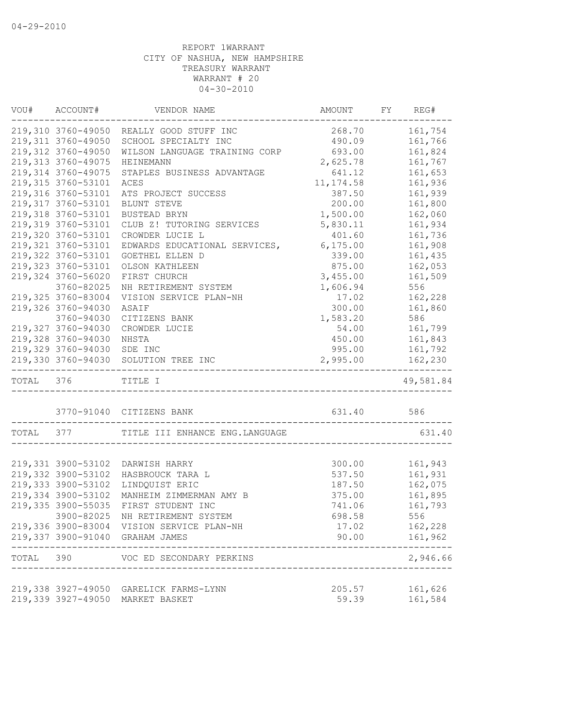|           | VOU# ACCOUNT#       | VENDOR NAME                               | AMOUNT     | FY | REG#              |
|-----------|---------------------|-------------------------------------------|------------|----|-------------------|
|           |                     | 219,310 3760-49050 REALLY GOOD STUFF INC  | 268.70     |    | 161,754           |
|           | 219, 311 3760-49050 | SCHOOL SPECIALTY INC                      | 490.09     |    | 161,766           |
|           | 219,312 3760-49050  | WILSON LANGUAGE TRAINING CORP             | 693.00     |    | 161,824           |
|           | 219, 313 3760-49075 | HEINEMANN                                 | 2,625.78   |    | 161,767           |
|           | 219, 314 3760-49075 | STAPLES BUSINESS ADVANTAGE                | 641.12     |    | 161,653           |
|           | 219, 315 3760-53101 | ACES                                      | 11, 174.58 |    | 161,936           |
|           | 219,316 3760-53101  | ATS PROJECT SUCCESS                       | 387.50     |    | 161,939           |
|           | 219,317 3760-53101  | BLUNT STEVE                               | 200.00     |    | 161,800           |
|           | 219,318 3760-53101  | BUSTEAD BRYN                              | 1,500.00   |    | 162,060           |
|           | 219,319 3760-53101  | CLUB Z! TUTORING SERVICES                 | 5,830.11   |    | 161,934           |
|           | 219,320 3760-53101  | CROWDER LUCIE L                           | 401.60     |    | 161,736           |
|           | 219, 321 3760-53101 | EDWARDS EDUCATIONAL SERVICES,             | 6, 175.00  |    | 161,908           |
|           | 219,322 3760-53101  | GOETHEL ELLEN D                           | 339.00     |    | 161,435           |
|           | 219, 323 3760-53101 | OLSON KATHLEEN                            | 875.00     |    | 162,053           |
|           | 219,324 3760-56020  | FIRST CHURCH                              | 3,455.00   |    | 161,509           |
|           | 3760-82025          | NH RETIREMENT SYSTEM                      | 1,606.94   |    | 556               |
|           | 219,325 3760-83004  |                                           | 17.02      |    | 162,228           |
|           |                     | VISION SERVICE PLAN-NH                    |            |    |                   |
|           | 219,326 3760-94030  | ASAIF                                     | 300.00     |    | 161,860           |
|           | 3760-94030          | CITIZENS BANK                             | 1,583.20   |    | 586               |
|           | 219,327 3760-94030  | CROWDER LUCIE                             | 54.00      |    | 161,799           |
|           | 219,328 3760-94030  | NHSTA                                     | 450.00     |    | 161,843           |
|           | 219,329 3760-94030  | SDE INC                                   | 995.00     |    | 161,792           |
|           |                     | 219,330 3760-94030 SOLUTION TREE INC      | 2,995.00   |    | 162,230           |
| TOTAL 376 |                     | TITLE I                                   |            |    | 49,581.84         |
|           |                     | 3770-91040 CITIZENS BANK                  | 631.40 586 |    |                   |
| TOTAL 377 |                     | TITLE III ENHANCE ENG. LANGUAGE           |            |    | 631.40            |
|           |                     |                                           |            |    |                   |
|           |                     | 219,331 3900-53102 DARWISH HARRY          | 300.00     |    | 161,943           |
|           | 219,332 3900-53102  | HASBROUCK TARA L                          | 537.50     |    | 161,931           |
|           | 219,333 3900-53102  | LINDQUIST ERIC                            | 187.50     |    | 162,075           |
|           | 219,334 3900-53102  | MANHEIM ZIMMERMAN AMY B                   | 375.00     |    | 161,895           |
|           | 219,335 3900-55035  | FIRST STUDENT INC                         | 741.06     |    | 161,793           |
|           | 3900-82025          | NH RETIREMENT SYSTEM                      | 698.58     |    | 556               |
|           |                     | 219,336 3900-83004 VISION SERVICE PLAN-NH | 17.02      |    | 162,228           |
|           |                     | 219,337 3900-91040 GRAHAM JAMES           | 90.00      |    | 161,962           |
| TOTAL     | 390                 | VOC ED SECONDARY PERKINS                  |            |    | -----<br>2,946.66 |
|           |                     |                                           |            |    |                   |
|           |                     | 219,338 3927-49050 GARELICK FARMS-LYNN    | 205.57     |    | 161,626           |
|           | 219,339 3927-49050  | MARKET BASKET                             | 59.39      |    | 161,584           |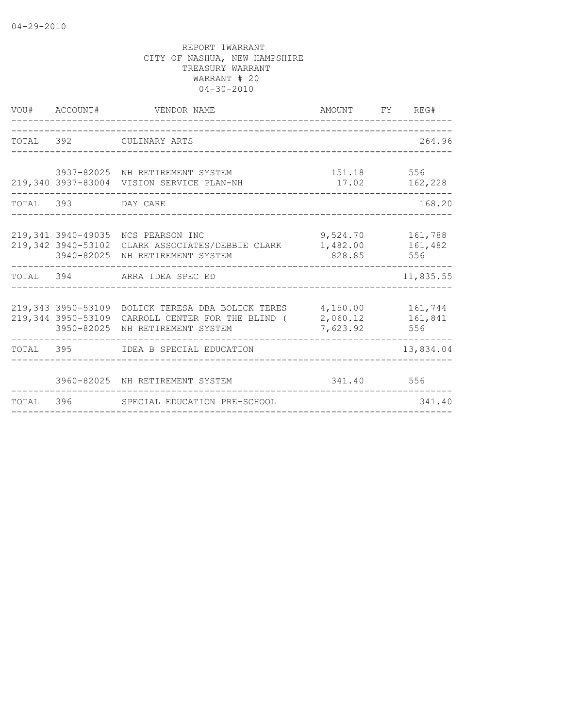| VOU# ACCOUNT#      | VENDOR NAME                                                                                                                                                  | AMOUNT FY REG#               |           |
|--------------------|--------------------------------------------------------------------------------------------------------------------------------------------------------------|------------------------------|-----------|
|                    | TOTAL 392 CULINARY ARTS                                                                                                                                      |                              | 264.96    |
|                    | 3937-82025 NH RETIREMENT SYSTEM<br>219,340 3937-83004 VISION SERVICE PLAN-NH                                                                                 | 151.18 556<br>17.02 162,228  |           |
| TOTAL 393 DAY CARE |                                                                                                                                                              |                              | 168.20    |
|                    | 219,341 3940-49035 NCS PEARSON INC 30,524.70 161,788<br>219,342 3940-53102 CLARK ASSOCIATES/DEBBIE CLARK 1,482.00 161,482<br>3940-82025 NH RETIREMENT SYSTEM | 828.85 556                   |           |
|                    | TOTAL 394 ARRA IDEA SPEC ED                                                                                                                                  |                              | 11,835.55 |
|                    | 219,343 3950-53109 BOLICK TERESA DBA BOLICK TERES 4,150.00 161,744<br>219,344 3950-53109 CARROLL CENTER FOR THE BLIND (<br>3950-82025 NH RETIREMENT SYSTEM   | 2,060.12 161,841<br>7,623.92 | 556       |
|                    | TOTAL 395 IDEA B SPECIAL EDUCATION                                                                                                                           |                              | 13,834.04 |
|                    | 3960-82025 NH RETIREMENT SYSTEM                                                                                                                              | 341.40 556                   |           |
|                    | TOTAL 396 SPECIAL EDUCATION PRE-SCHOOL                                                                                                                       |                              | 341.40    |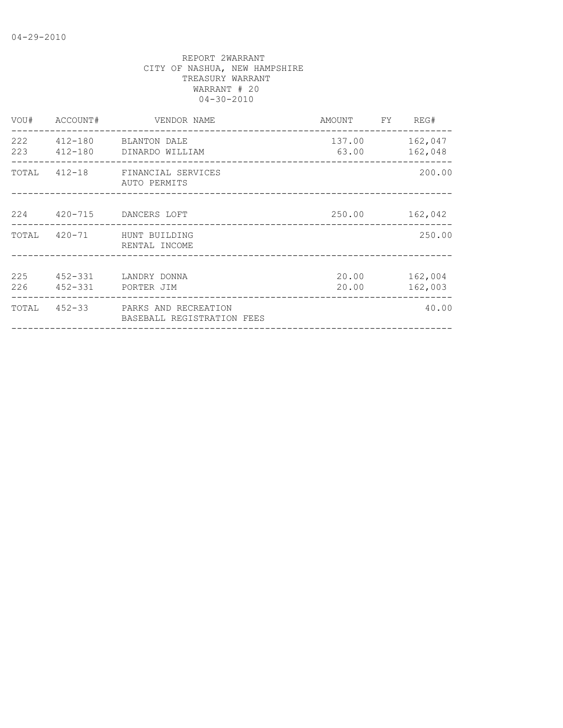| VOU# |                          | ACCOUNT# VENDOR NAME                                            | AMOUNT FY REG#          |                    |
|------|--------------------------|-----------------------------------------------------------------|-------------------------|--------------------|
|      |                          | 222   412-180   BLANTON DALE<br>223 412-180 DINARDO WILLIAM     | 137.00 162,047<br>63.00 | 162,048            |
|      |                          | TOTAL 412-18 FINANCIAL SERVICES<br>AUTO PERMITS                 |                         | 200.00             |
|      |                          | 224 420-715 DANCERS LOFT                                        | 250.00 162,042          |                    |
|      |                          | TOTAL 420-71 HUNT BUILDING<br>RENTAL INCOME                     |                         | 250.00             |
| 225  | 226  452-331  PORTER JIM | 452-331 LANDRY DONNA                                            | 20.00<br>20.00          | 162,004<br>162,003 |
|      |                          | TOTAL 452-33 PARKS AND RECREATION<br>BASEBALL REGISTRATION FEES |                         | 40.00              |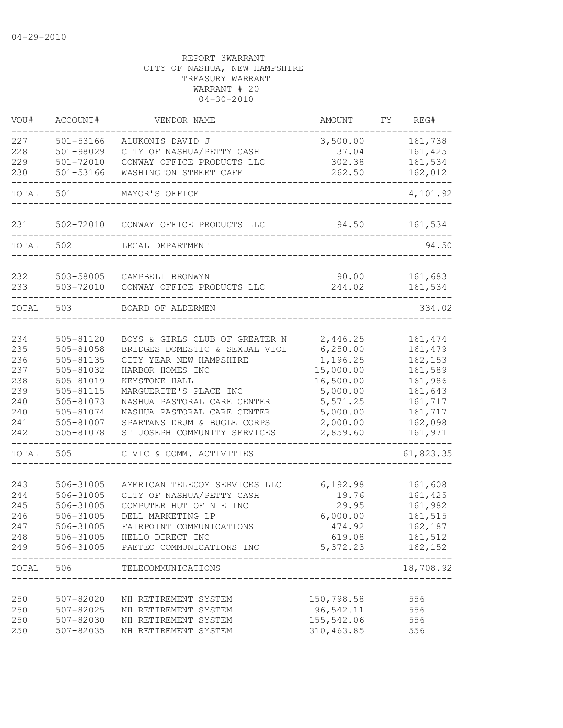| VOU#                                                               | ACCOUNT#                                                                                                                       | VENDOR NAME                                                                                                                                                                                                                                                                               | AMOUNT                                                                                                                   | FY | REG#                                                                                                        |
|--------------------------------------------------------------------|--------------------------------------------------------------------------------------------------------------------------------|-------------------------------------------------------------------------------------------------------------------------------------------------------------------------------------------------------------------------------------------------------------------------------------------|--------------------------------------------------------------------------------------------------------------------------|----|-------------------------------------------------------------------------------------------------------------|
| 227<br>228<br>229                                                  | 501-53166<br>501-98029<br>$501 - 72010$                                                                                        | ALUKONIS DAVID J<br>CITY OF NASHUA/PETTY CASH<br>CONWAY OFFICE PRODUCTS LLC                                                                                                                                                                                                               | 3,500.00<br>37.04<br>302.38                                                                                              |    | 161,738<br>161,425<br>161,534                                                                               |
| 230                                                                | 501-53166                                                                                                                      | WASHINGTON STREET CAFE                                                                                                                                                                                                                                                                    | 262.50                                                                                                                   |    | 162,012                                                                                                     |
| TOTAL                                                              | 501                                                                                                                            | MAYOR'S OFFICE                                                                                                                                                                                                                                                                            |                                                                                                                          |    | 4,101.92                                                                                                    |
| 231                                                                | 502-72010                                                                                                                      | CONWAY OFFICE PRODUCTS LLC                                                                                                                                                                                                                                                                | 94.50                                                                                                                    |    | 161,534                                                                                                     |
| TOTAL                                                              | 502                                                                                                                            | LEGAL DEPARTMENT                                                                                                                                                                                                                                                                          |                                                                                                                          |    | 94.50                                                                                                       |
| 232<br>233                                                         | 503-58005<br>503-72010                                                                                                         | CAMPBELL BRONWYN<br>CONWAY OFFICE PRODUCTS LLC                                                                                                                                                                                                                                            | 90.00<br>244.02                                                                                                          |    | 161,683<br>161,534                                                                                          |
| TOTAL                                                              | 503                                                                                                                            | BOARD OF ALDERMEN                                                                                                                                                                                                                                                                         |                                                                                                                          |    | 334.02                                                                                                      |
| 234<br>235<br>236<br>237<br>238<br>239<br>240<br>240<br>241<br>242 | 505-81120<br>505-81058<br>505-81135<br>505-81032<br>505-81019<br>505-81115<br>505-81073<br>505-81074<br>505-81007<br>505-81078 | BOYS & GIRLS CLUB OF GREATER N<br>BRIDGES DOMESTIC & SEXUAL VIOL<br>CITY YEAR NEW HAMPSHIRE<br>HARBOR HOMES INC<br>KEYSTONE HALL<br>MARGUERITE'S PLACE INC<br>NASHUA PASTORAL CARE CENTER<br>NASHUA PASTORAL CARE CENTER<br>SPARTANS DRUM & BUGLE CORPS<br>ST JOSEPH COMMUNITY SERVICES I | 2,446.25<br>6, 250.00<br>1,196.25<br>15,000.00<br>16,500.00<br>5,000.00<br>5, 571.25<br>5,000.00<br>2,000.00<br>2,859.60 |    | 161, 474<br>161,479<br>162,153<br>161,589<br>161,986<br>161,643<br>161,717<br>161,717<br>162,098<br>161,971 |
| TOTAL                                                              | 505                                                                                                                            | CIVIC & COMM. ACTIVITIES                                                                                                                                                                                                                                                                  |                                                                                                                          |    | 61,823.35                                                                                                   |
| 243<br>244<br>245<br>246<br>247<br>248<br>249                      | 506-31005<br>506-31005<br>506-31005<br>506-31005<br>506-31005                                                                  | AMERICAN TELECOM SERVICES LLC<br>CITY OF NASHUA/PETTY CASH<br>COMPUTER HUT OF N E INC<br>DELL MARKETING LP<br>FAIRPOINT COMMUNICATIONS<br>506-31005 HELLO DIRECT INC<br>506-31005 PAETEC COMMUNICATIONS INC                                                                               | 6,192.98<br>19.76<br>29.95<br>6,000.00<br>474.92<br>619.08<br>5, 372.23 162, 152                                         |    | 161,608<br>161,425<br>161,982<br>161,515<br>162,187<br>161,512<br>-----                                     |
| TOTAL                                                              | 506                                                                                                                            | TELECOMMUNICATIONS                                                                                                                                                                                                                                                                        |                                                                                                                          |    | 18,708.92                                                                                                   |
| 250<br>250<br>250<br>250                                           | 507-82020<br>507-82025<br>507-82030<br>507-82035                                                                               | NH RETIREMENT SYSTEM<br>NH RETIREMENT SYSTEM<br>NH RETIREMENT SYSTEM<br>NH RETIREMENT SYSTEM                                                                                                                                                                                              | 150,798.58<br>96,542.11<br>155,542.06<br>310, 463.85                                                                     |    | 556<br>556<br>556<br>556                                                                                    |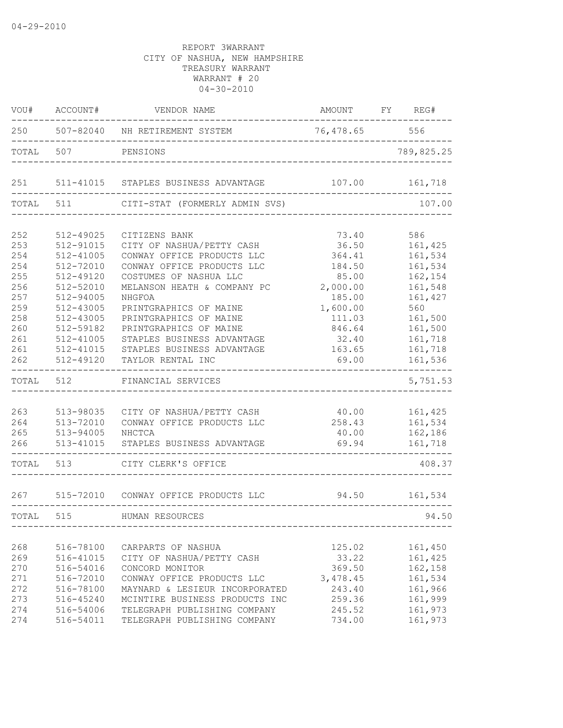| VOU#  | ACCOUNT#  | VENDOR NAME                          | AMOUNT FY REG# |            |
|-------|-----------|--------------------------------------|----------------|------------|
| 250   |           | 507-82040 NH RETIREMENT SYSTEM       | 76,478.65 556  |            |
| TOTAL | 507       | PENSIONS                             |                | 789,825.25 |
| 251   |           | 511-41015 STAPLES BUSINESS ADVANTAGE | 107.00         | 161,718    |
| TOTAL | 511       | CITI-STAT (FORMERLY ADMIN SVS)       |                | 107.00     |
| 252   | 512-49025 | CITIZENS BANK                        | 73.40          | 586        |
| 253   | 512-91015 | CITY OF NASHUA/PETTY CASH            | 36.50          | 161,425    |
| 254   | 512-41005 | CONWAY OFFICE PRODUCTS LLC           | 364.41         | 161,534    |
| 254   | 512-72010 | CONWAY OFFICE PRODUCTS LLC           | 184.50         | 161,534    |
| 255   | 512-49120 | COSTUMES OF NASHUA LLC               | 85.00          | 162,154    |
| 256   | 512-52010 | MELANSON HEATH & COMPANY PC          | 2,000.00       | 161,548    |
| 257   | 512-94005 | NHGFOA                               | 185.00         | 161,427    |
| 259   | 512-43005 | PRINTGRAPHICS OF MAINE               | 1,600.00       | 560        |
| 258   | 512-43005 | PRINTGRAPHICS OF MAINE               | 111.03         | 161,500    |
| 260   | 512-59182 | PRINTGRAPHICS OF MAINE               | 846.64         | 161,500    |
| 261   | 512-41005 | STAPLES BUSINESS ADVANTAGE           | 32.40          | 161,718    |
| 261   | 512-41015 | STAPLES BUSINESS ADVANTAGE           | 163.65         | 161,718    |
| 262   | 512-49120 | TAYLOR RENTAL INC                    | 69.00          | 161,536    |
| TOTAL | 512       | FINANCIAL SERVICES                   |                | 5,751.53   |
|       |           |                                      |                |            |
| 263   | 513-98035 | CITY OF NASHUA/PETTY CASH            | 40.00          | 161,425    |
| 264   | 513-72010 | CONWAY OFFICE PRODUCTS LLC           | 258.43         | 161,534    |
| 265   | 513-94005 | NHCTCA                               | 40.00          | 162,186    |
| 266   | 513-41015 | STAPLES BUSINESS ADVANTAGE           | 69.94          | 161,718    |
| TOTAL | 513       | CITY CLERK'S OFFICE                  |                | 408.37     |
| 267   |           | 515-72010 CONWAY OFFICE PRODUCTS LLC | 94.50          | 161,534    |
| TOTAL | 515       | HUMAN RESOURCES                      |                | 94.50      |
|       |           |                                      |                |            |
| 268   | 516-78100 | CARPARTS OF NASHUA                   | 125.02         | 161,450    |
| 269   | 516-41015 | CITY OF NASHUA/PETTY CASH            | 33.22          | 161,425    |
| 270   | 516-54016 | CONCORD MONITOR                      | 369.50         | 162,158    |
| 271   | 516-72010 | CONWAY OFFICE PRODUCTS LLC           | 3,478.45       | 161,534    |
| 272   | 516-78100 | MAYNARD & LESIEUR INCORPORATED       | 243.40         | 161,966    |
| 273   | 516-45240 | MCINTIRE BUSINESS PRODUCTS INC       | 259.36         | 161,999    |
| 274   | 516-54006 | TELEGRAPH PUBLISHING COMPANY         | 245.52         | 161,973    |
| 274   | 516-54011 | TELEGRAPH PUBLISHING COMPANY         | 734.00         | 161,973    |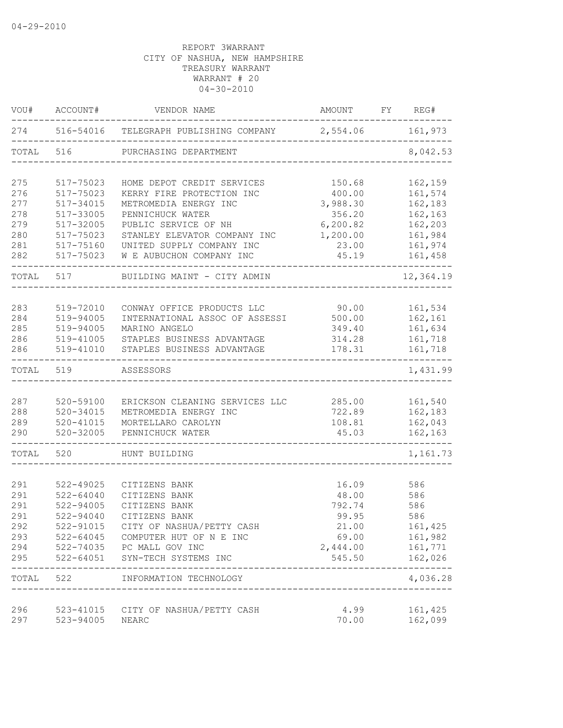| VOU#       | ACCOUNT#               | VENDOR NAME                                              | AMOUNT                          | FY | REG#               |
|------------|------------------------|----------------------------------------------------------|---------------------------------|----|--------------------|
|            |                        | 274 516-54016 TELEGRAPH PUBLISHING COMPANY 2,554.06      |                                 |    | 161,973            |
| TOTAL      | 516                    | PURCHASING DEPARTMENT                                    |                                 |    | 8,042.53           |
| 275        | 517-75023              | HOME DEPOT CREDIT SERVICES                               | 150.68                          |    | 162,159            |
| 276        | 517-75023              | KERRY FIRE PROTECTION INC                                | 400.00                          |    | 161,574            |
| 277        | 517-34015              | METROMEDIA ENERGY INC                                    | 3,988.30                        |    | 162,183            |
| 278        | 517-33005              | PENNICHUCK WATER                                         | 356.20                          |    | 162,163            |
| 279        | 517-32005              | PUBLIC SERVICE OF NH                                     | 6, 200.82                       |    | 162,203            |
| 280<br>281 | 517-75023              | STANLEY ELEVATOR COMPANY INC                             | 1,200.00                        |    | 161,984<br>161,974 |
| 282        | 517-75160<br>517-75023 | UNITED SUPPLY COMPANY INC<br>W E AUBUCHON COMPANY INC    | 23.00<br>45.19                  |    | 161,458            |
| TOTAL      | 517                    | BUILDING MAINT - CITY ADMIN                              |                                 |    | 12,364.19          |
|            |                        |                                                          |                                 |    |                    |
| 283        | 519-72010              | CONWAY OFFICE PRODUCTS LLC                               | 90.00                           |    | 161,534            |
| 284        | 519-94005              | INTERNATIONAL ASSOC OF ASSESSI                           | 500.00                          |    | 162,161            |
| 285        | 519-94005              | MARINO ANGELO                                            | 349.40                          |    | 161,634            |
| 286<br>286 | 519-41005<br>519-41010 | STAPLES BUSINESS ADVANTAGE<br>STAPLES BUSINESS ADVANTAGE | 314.28<br>178.31                |    | 161,718<br>161,718 |
|            |                        |                                                          |                                 |    |                    |
| TOTAL      | 519                    | ASSESSORS                                                |                                 |    | 1,431.99           |
| 287        | 520-59100              | ERICKSON CLEANING SERVICES LLC                           | 285.00                          |    | 161,540            |
| 288        | 520-34015              | METROMEDIA ENERGY INC                                    | 722.89                          |    | 162,183            |
| 289        | $520 - 41015$          | MORTELLARO CAROLYN                                       | 108.81                          |    | 162,043            |
| 290        | 520-32005              | PENNICHUCK WATER                                         | 45.03                           |    | 162,163            |
| TOTAL      | 520                    | HUNT BUILDING                                            |                                 |    | 1,161.73           |
| 291        | $522 - 49025$          | CITIZENS BANK                                            | 16.09                           |    | 586                |
| 291        | $522 - 64040$          | CITIZENS BANK                                            | 48.00                           |    | 586                |
| 291        | 522-94005              | CITIZENS BANK                                            | 792.74                          |    | 586                |
| 291        | 522-94040              | CITIZENS BANK                                            | 99.95                           |    | 586                |
| 292        | 522-91015              | CITY OF NASHUA/PETTY CASH                                | 21.00                           |    | 161,425            |
| 293        | $522 - 64045$          | COMPUTER HUT OF N E INC                                  | 69.00                           |    | 161,982            |
| 294        | 522-74035              | PC MALL GOV INC                                          | 2,444.00                        |    | 161,771            |
| 295        | $522 - 64051$          | SYN-TECH SYSTEMS INC                                     | 545.50                          |    | 162,026            |
| TOTAL      | 522                    | INFORMATION TECHNOLOGY                                   | _______________________________ |    | 4,036.28           |
| 296        | 523-41015              | CITY OF NASHUA/PETTY CASH                                | 4.99                            |    | 161,425            |
| 297        | 523-94005              | NEARC                                                    | 70.00                           |    | 162,099            |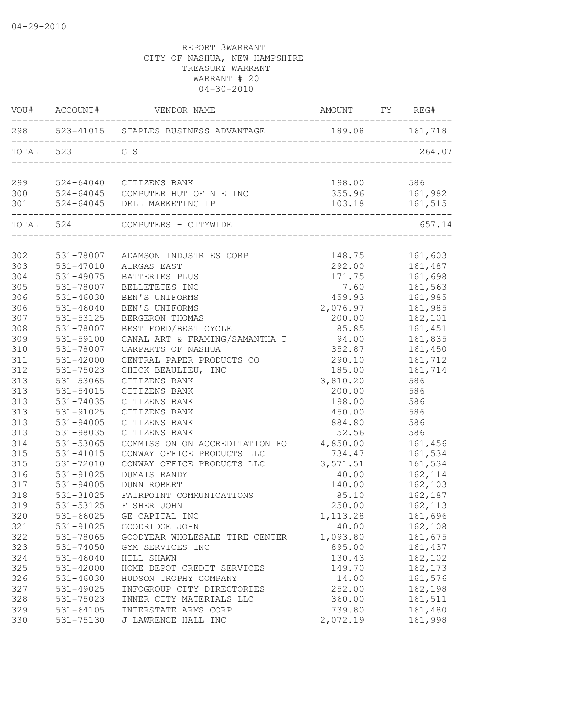|            | VOU# ACCOUNT#              | VENDOR NAME                                                                                                              | AMOUNT FY REG# |                                                |
|------------|----------------------------|--------------------------------------------------------------------------------------------------------------------------|----------------|------------------------------------------------|
|            |                            | 298 523-41015 STAPLES BUSINESS ADVANTAGE 189.08 161,718                                                                  |                |                                                |
|            | TOTAL 523                  | GIS                                                                                                                      |                | 264.07                                         |
|            |                            |                                                                                                                          |                |                                                |
|            |                            |                                                                                                                          |                |                                                |
|            | ----------------------     | 299 524-64040 CITIZENS BANK<br>300 524-64045 COMPUTER HUT OF N E INC<br>301 524-64045 DELL MARKETING LP<br>------------- |                | 198.00 586<br>355.96 161,982<br>103.18 161,515 |
|            |                            | TOTAL 524 COMPUTERS - CITYWIDE                                                                                           |                | 657.14                                         |
|            |                            |                                                                                                                          |                |                                                |
| 302        | 531-78007                  | ADAMSON INDUSTRIES CORP                                                                                                  |                | 148.75 161,603                                 |
| 303        | 531-47010                  | AIRGAS EAST                                                                                                              | 292.00         | 161,487                                        |
| 304        | 531-49075                  | BATTERIES PLUS                                                                                                           | 171.75         | 161,698<br>161,563                             |
| 305<br>306 | 531-78007<br>$531 - 46030$ | BELLETETES INC<br>BEN'S UNIFORMS                                                                                         | 7.60<br>459.93 | 161,985                                        |
| 306        | $531 - 46040$              | BEN'S UNIFORMS                                                                                                           | 2,076.97       | 161,985                                        |
| 307        | 531-53125                  | BERGERON THOMAS                                                                                                          | 200.00         | 162,101                                        |
| 308        | 531-78007                  | BEST FORD/BEST CYCLE                                                                                                     | 85.85          | 161,451                                        |
| 309        | 531-59100                  | CANAL ART & FRAMING/SAMANTHA T 94.00                                                                                     |                | 161,835                                        |
| 310        | 531-78007                  | CARPARTS OF NASHUA                                                                                                       | 352.87         | 161,450                                        |
| 311        | 531-42000                  | CENTRAL PAPER PRODUCTS CO                                                                                                | 290.10         | 161,712                                        |
| 312        | 531-75023                  | CHICK BEAULIEU, INC                                                                                                      | 185.00         | 161,714                                        |
| 313        | 531-53065                  | CITIZENS BANK                                                                                                            | 3,810.20       | 586                                            |
| 313        | 531-54015                  | CITIZENS BANK                                                                                                            | 200.00         | 586                                            |
| 313        | 531-74035                  | CITIZENS BANK                                                                                                            | 198.00 586     |                                                |
| 313        | 531-91025                  | CITIZENS BANK                                                                                                            | 450.00 586     |                                                |
| 313        | 531-94005                  | CITIZENS BANK                                                                                                            | 884.80 586     |                                                |
| 313        | 531-98035                  | CITIZENS BANK                                                                                                            | 52.56 586      |                                                |
| 314        | 531-53065                  | COMMISSION ON ACCREDITATION FO 4,850.00                                                                                  |                | 161,456                                        |
| 315        | $531 - 41015$              | CONWAY OFFICE PRODUCTS LLC                                                                                               | 734.47         | 161,534                                        |
| 315        | 531-72010                  | CONWAY OFFICE PRODUCTS LLC                                                                                               | 3,571.51       | 161,534                                        |
| 316        | 531-91025                  | DUMAIS RANDY                                                                                                             | 40.00          | 162,114                                        |
| 317        | 531-94005                  | DUNN ROBERT                                                                                                              | 140.00         | 162,103                                        |
| 318        | 531-31025                  | FAIRPOINT COMMUNICATIONS                                                                                                 |                | 85.10    162,187                               |
| 319        | 531-53125                  | FISHER JOHN                                                                                                              |                | 250.00 162,113                                 |
| 320        | 531-66025                  | GE CAPITAL INC                                                                                                           | 1, 113.28      | 161,696                                        |
| 321        | 531-91025                  | GOODRIDGE JOHN                                                                                                           | 40.00          | 162,108                                        |
| 322        | 531-78065                  | GOODYEAR WHOLESALE TIRE CENTER                                                                                           | 1,093.80       | 161,675                                        |
| 323        | 531-74050                  | GYM SERVICES INC                                                                                                         | 895.00         | 161,437                                        |
| 324        | $531 - 46040$              | HILL SHAWN                                                                                                               | 130.43         | 162,102                                        |
| 325        | 531-42000                  | HOME DEPOT CREDIT SERVICES                                                                                               | 149.70         | 162,173                                        |
| 326        | 531-46030                  | HUDSON TROPHY COMPANY                                                                                                    | 14.00          | 161,576                                        |
| 327        | 531-49025                  | INFOGROUP CITY DIRECTORIES                                                                                               | 252.00         | 162,198                                        |
| 328        | 531-75023                  | INNER CITY MATERIALS LLC                                                                                                 | 360.00         | 161,511                                        |
| 329        | $531 - 64105$              | INTERSTATE ARMS CORP                                                                                                     | 739.80         | 161,480                                        |
| 330        | 531-75130                  | J LAWRENCE HALL INC                                                                                                      | 2,072.19       | 161,998                                        |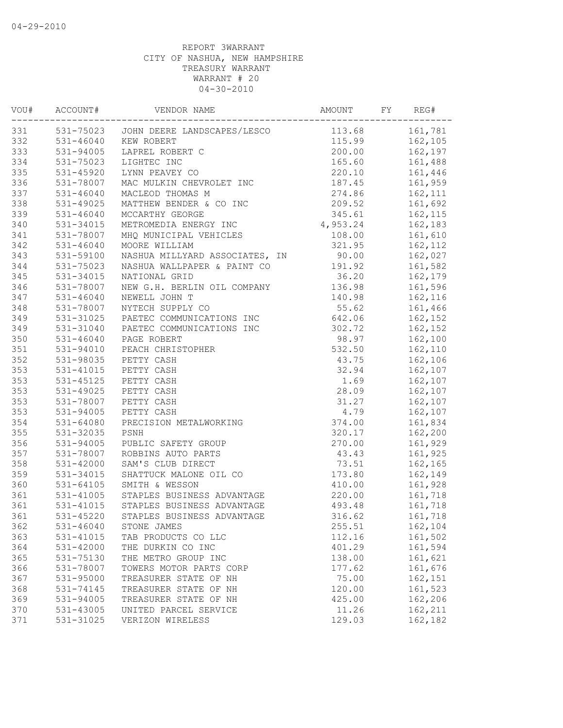| VOU# | ACCOUNT#             | VENDOR NAME                           | AMOUNT         | FY | REG#           |
|------|----------------------|---------------------------------------|----------------|----|----------------|
| 331  |                      | 531-75023 JOHN DEERE LANDSCAPES/LESCO | 113.68 161,781 |    |                |
| 332  | 531-46040 KEW ROBERT |                                       |                |    | 115.99 162,105 |
| 333  | 531-94005            | LAPREL ROBERT C                       | 200.00         |    | 162,197        |
| 334  | 531-75023            | LIGHTEC INC                           | 165.60         |    | 161,488        |
| 335  | $531 - 45920$        | LYNN PEAVEY CO                        | 220.10         |    | 161,446        |
| 336  | 531-78007            | MAC MULKIN CHEVROLET INC              | 187.45         |    | 161,959        |
| 337  | $531 - 46040$        | MACLEOD THOMAS M                      | 274.86         |    | 162,111        |
| 338  | 531-49025            | MATTHEW BENDER & CO INC               | 209.52         |    | 161,692        |
| 339  | $531 - 46040$        | MCCARTHY GEORGE                       | 345.61         |    | 162,115        |
| 340  | 531-34015            | METROMEDIA ENERGY INC                 | 4,953.24       |    | 162,183        |
| 341  | 531-78007            | MHQ MUNICIPAL VEHICLES                | 108.00         |    | 161,610        |
| 342  | 531-46040            | MOORE WILLIAM                         | 321.95         |    | 162,112        |
| 343  | 531-59100            | NASHUA MILLYARD ASSOCIATES, IN        | 90.00          |    | 162,027        |
| 344  | $531 - 75023$        | NASHUA WALLPAPER & PAINT CO           | 191.92         |    | 161,582        |
| 345  | 531-34015            | NATIONAL GRID                         | 36.20          |    | 162,179        |
| 346  | 531-78007            | NEW G.H. BERLIN OIL COMPANY           | 136.98         |    | 161,596        |
| 347  | $531 - 46040$        | NEWELL JOHN T                         | 140.98         |    | 162,116        |
| 348  | 531-78007            | NYTECH SUPPLY CO                      | 55.62          |    | 161,466        |
| 349  | 531-31025            | PAETEC COMMUNICATIONS INC             | 642.06         |    | 162,152        |
| 349  |                      | 531-31040 PAETEC COMMUNICATIONS INC   | 302.72         |    | 162,152        |
| 350  | 531-46040            | PAGE ROBERT                           | 98.97          |    | 162,100        |
| 351  | 531-94010            | PEACH CHRISTOPHER                     | 532.50         |    | 162,110        |
| 352  | 531-98035            | PETTY CASH                            | 43.75          |    | 162,106        |
| 353  | 531-41015            | PETTY CASH                            | 32.94          |    | 162,107        |
| 353  | 531-45125            | PETTY CASH                            | 1.69           |    | 162,107        |
| 353  | 531-49025            | PETTY CASH                            | 28.09          |    | 162,107        |
| 353  | 531-78007            | PETTY CASH                            | 31.27          |    | 162,107        |
| 353  | 531-94005            | PETTY CASH                            | 4.79           |    |                |
|      |                      |                                       |                |    | 162,107        |
| 354  | 531-64080            | PRECISION METALWORKING                | 374.00         |    | 161,834        |
| 355  | 531-32035            | PSNH                                  | 320.17         |    | 162,200        |
| 356  | 531-94005            | PUBLIC SAFETY GROUP                   | 270.00         |    | 161,929        |
| 357  | 531-78007            | ROBBINS AUTO PARTS                    | 43.43          |    | 161,925        |
| 358  | 531-42000            | SAM'S CLUB DIRECT                     | 73.51          |    | 162,165        |
| 359  | 531-34015            | SHATTUCK MALONE OIL CO                | 173.80         |    | 162,149        |
| 360  | $531 - 64105$        | SMITH & WESSON                        | 410.00         |    | 161,928        |
| 361  | 531-41005            | STAPLES BUSINESS ADVANTAGE            | 220.00         |    | 161,718        |
| 361  | 531-41015            | STAPLES BUSINESS ADVANTAGE            | 493.48         |    | 161,718        |
| 361  | 531-45220            | STAPLES BUSINESS ADVANTAGE            | 316.62         |    | 161,718        |
| 362  | $531 - 46040$        | STONE JAMES                           | 255.51         |    | 162,104        |
| 363  | 531-41015            | TAB PRODUCTS CO LLC                   | 112.16         |    | 161,502        |
| 364  | $531 - 42000$        | THE DURKIN CO INC                     | 401.29         |    | 161,594        |
| 365  | 531-75130            | THE METRO GROUP INC                   | 138.00         |    | 161,621        |
| 366  | 531-78007            | TOWERS MOTOR PARTS CORP               | 177.62         |    | 161,676        |
| 367  | 531-95000            | TREASURER STATE OF NH                 | 75.00          |    | 162,151        |
| 368  | 531-74145            | TREASURER STATE OF NH                 | 120.00         |    | 161,523        |
| 369  | 531-94005            | TREASURER STATE OF NH                 | 425.00         |    | 162,206        |
| 370  | 531-43005            | UNITED PARCEL SERVICE                 | 11.26          |    | 162,211        |
| 371  | 531-31025            | VERIZON WIRELESS                      | 129.03         |    | 162,182        |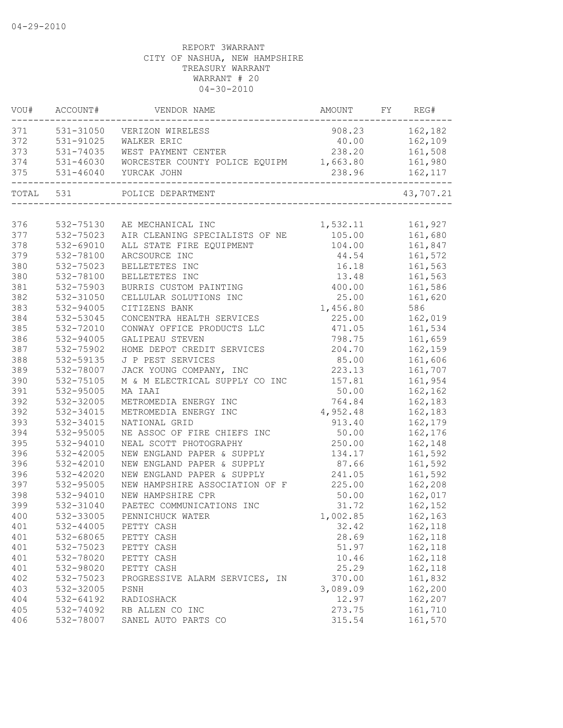| VOU#      | ACCOUNT#  | VENDOR NAME                                     | AMOUNT FY REG# |                    |
|-----------|-----------|-------------------------------------------------|----------------|--------------------|
| 371       | 531-31050 | VERIZON WIRELESS                                |                | 908.23 162,182     |
| 372       | 531-91025 | WALKER ERIC                                     |                | 40.00 162,109      |
| 373       | 531-74035 | WEST PAYMENT CENTER                             |                | 238.20 161,508     |
| 374       | 531-46030 | WORCESTER COUNTY POLICE EQUIPM 1,663.80 161,980 |                |                    |
| 375       | 531-46040 | YURCAK JOHN                                     | 238.96         | 162,117<br>------- |
| TOTAL 531 |           | POLICE DEPARTMENT                               |                | 43,707.21          |
|           |           |                                                 |                |                    |
| 376       | 532-75130 | AE MECHANICAL INC                               | 1,532.11       | 161,927            |
| 377       | 532-75023 | AIR CLEANING SPECIALISTS OF NE                  | 105.00         | 161,680            |
| 378       | 532-69010 | ALL STATE FIRE EQUIPMENT                        | 104.00         | 161,847            |
| 379       | 532-78100 | ARCSOURCE INC                                   | 44.54          | 161,572            |
| 380       | 532-75023 | BELLETETES INC                                  | 16.18          | 161,563            |
| 380       | 532-78100 | BELLETETES INC                                  | 13.48          | 161,563            |
| 381       | 532-75903 | BURRIS CUSTOM PAINTING                          | 400.00         | 161,586            |
| 382       | 532-31050 | CELLULAR SOLUTIONS INC                          | 25.00          | 161,620            |
| 383       | 532-94005 | CITIZENS BANK                                   | 1,456.80       | 586                |
| 384       | 532-53045 | CONCENTRA HEALTH SERVICES                       | 225.00         | 162,019            |
| 385       | 532-72010 | CONWAY OFFICE PRODUCTS LLC                      | 471.05         | 161,534            |
| 386       | 532-94005 | GALIPEAU STEVEN                                 | 798.75         | 161,659            |
| 387       | 532-75902 | HOME DEPOT CREDIT SERVICES                      | 204.70         | 162,159            |
| 388       | 532-59135 | J P PEST SERVICES                               | 85.00          | 161,606            |
| 389       | 532-78007 | JACK YOUNG COMPANY, INC                         | 223.13         | 161,707            |
| 390       | 532-75105 | M & M ELECTRICAL SUPPLY CO INC                  | 157.81         | 161,954            |
| 391       | 532-95005 | MA IAAI                                         | 50.00          | 162,162            |
| 392       | 532-32005 | METROMEDIA ENERGY INC                           | 764.84         | 162,183            |
| 392       | 532-34015 | METROMEDIA ENERGY INC                           | 4,952.48       | 162,183            |
| 393       | 532-34015 | NATIONAL GRID                                   | 913.40         | 162,179            |
| 394       | 532-95005 | NE ASSOC OF FIRE CHIEFS INC                     | 50.00          | 162,176            |
| 395       | 532-94010 | NEAL SCOTT PHOTOGRAPHY                          | 250.00         | 162,148            |
| 396       | 532-42005 | NEW ENGLAND PAPER & SUPPLY                      | 134.17         | 161,592            |
| 396       | 532-42010 | NEW ENGLAND PAPER & SUPPLY                      | 87.66          | 161,592            |
| 396       | 532-42020 | NEW ENGLAND PAPER & SUPPLY                      | 241.05         | 161,592            |
| 397       | 532-95005 | NEW HAMPSHIRE ASSOCIATION OF F                  | 225.00         | 162,208            |
| 398       | 532-94010 | NEW HAMPSHIRE CPR                               | 50.00          | 162,017            |
| 399       | 532-31040 | PAETEC COMMUNICATIONS INC                       | 31.72          | 162,152            |
| 400       | 532-33005 | PENNICHUCK WATER                                | 1,002.85       | 162,163            |
| 401       | 532-44005 | PETTY CASH                                      | 32.42          | 162,118            |
| 401       | 532-68065 | PETTY CASH                                      | 28.69          | 162,118            |
| 401       | 532-75023 | PETTY CASH                                      | 51.97          | 162,118            |
| 401       | 532-78020 | PETTY CASH                                      | 10.46          | 162,118            |
| 401       | 532-98020 | PETTY CASH                                      | 25.29          | 162,118            |
| 402       | 532-75023 | PROGRESSIVE ALARM SERVICES, IN                  | 370.00         | 161,832            |
| 403       | 532-32005 | PSNH                                            | 3,089.09       | 162,200            |
| 404       | 532-64192 | RADIOSHACK                                      | 12.97          | 162,207            |
| 405       | 532-74092 | RB ALLEN CO INC                                 | 273.75         | 161,710            |
| 406       | 532-78007 | SANEL AUTO PARTS CO                             | 315.54         | 161,570            |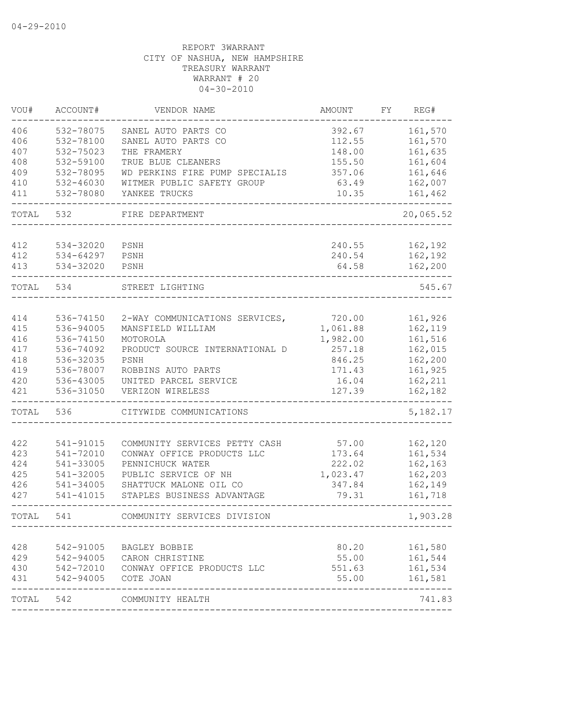| VOU#  | ACCOUNT#               | VENDOR NAME                    | AMOUNT   | FΥ | REG#      |
|-------|------------------------|--------------------------------|----------|----|-----------|
| 406   | 532-78075              | SANEL AUTO PARTS CO            | 392.67   |    | 161,570   |
| 406   | 532-78100              | SANEL AUTO PARTS CO            | 112.55   |    | 161,570   |
| 407   | 532-75023              | THE FRAMERY                    | 148.00   |    | 161,635   |
| 408   | 532-59100              | TRUE BLUE CLEANERS             | 155.50   |    | 161,604   |
| 409   | 532-78095              | WD PERKINS FIRE PUMP SPECIALIS | 357.06   |    | 161,646   |
| 410   | 532-46030              | WITMER PUBLIC SAFETY GROUP     | 63.49    |    | 162,007   |
| 411   | 532-78080              | YANKEE TRUCKS                  | 10.35    |    | 161,462   |
| TOTAL | 532                    | FIRE DEPARTMENT                |          |    | 20,065.52 |
| 412   | 534-32020              | PSNH                           | 240.55   |    | 162,192   |
| 412   | 534-64297              | PSNH                           | 240.54   |    | 162,192   |
| 413   | 534-32020              | PSNH                           | 64.58    |    | 162,200   |
| TOTAL | 534                    | STREET LIGHTING                |          |    | 545.67    |
|       |                        |                                |          |    |           |
| 414   | 536-74150              | 2-WAY COMMUNICATIONS SERVICES, | 720.00   |    | 161,926   |
| 415   | 536-94005              | MANSFIELD WILLIAM              | 1,061.88 |    | 162,119   |
| 416   | 536-74150              | MOTOROLA                       | 1,982.00 |    | 161,516   |
| 417   | 536-74092              | PRODUCT SOURCE INTERNATIONAL D | 257.18   |    | 162,015   |
| 418   | 536-32035              | PSNH                           | 846.25   |    | 162,200   |
| 419   | 536-78007              | ROBBINS AUTO PARTS             | 171.43   |    | 161,925   |
| 420   | 536-43005              | UNITED PARCEL SERVICE          | 16.04    |    | 162,211   |
| 421   | 536-31050              | VERIZON WIRELESS               | 127.39   |    | 162,182   |
| TOTAL | 536                    | CITYWIDE COMMUNICATIONS        |          |    | 5, 182.17 |
| 422   | 541-91015              | COMMUNITY SERVICES PETTY CASH  | 57.00    |    | 162,120   |
| 423   | 541-72010              | CONWAY OFFICE PRODUCTS LLC     | 173.64   |    | 161,534   |
| 424   | 541-33005              | PENNICHUCK WATER               | 222.02   |    | 162,163   |
| 425   | 541-32005              | PUBLIC SERVICE OF NH           | 1,023.47 |    | 162,203   |
| 426   | 541-34005              | SHATTUCK MALONE OIL CO         | 347.84   |    | 162,149   |
| 427   | 541-41015              | STAPLES BUSINESS ADVANTAGE     | 79.31    |    | 161,718   |
| TOTAL | 541                    | COMMUNITY SERVICES DIVISION    |          |    | 1,903.28  |
|       |                        |                                |          |    |           |
| 428   | 542-91005              | BAGLEY BOBBIE                  | 80.20    |    | 161,580   |
| 429   | 542-94005<br>542-72010 | CARON CHRISTINE                | 55.00    |    | 161,544   |
| 430   |                        | CONWAY OFFICE PRODUCTS LLC     | 551.63   |    | 161,534   |
| 431   | 542-94005              | COTE JOAN                      | 55.00    |    | 161,581   |
|       |                        |                                |          |    |           |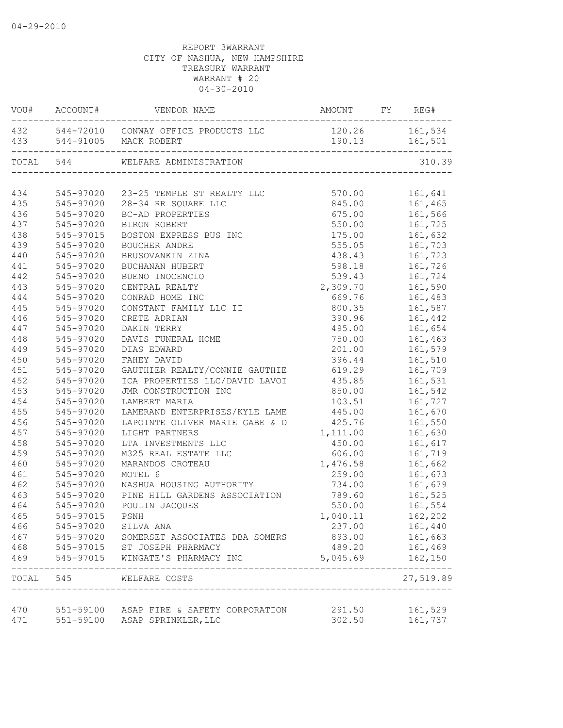|     | VOU# ACCOUNT# | VENDOR NAME                                                           | AMOUNT                           | FY | REG#              |
|-----|---------------|-----------------------------------------------------------------------|----------------------------------|----|-------------------|
|     |               | 432 544-72010 CONWAY OFFICE PRODUCTS LLC<br>433 544-91005 MACK ROBERT | 120.26 161,534<br>190.13 161,501 |    |                   |
|     | TOTAL 544     | WELFARE ADMINISTRATION                                                |                                  |    | 310.39            |
|     |               | --------------------------------                                      |                                  |    |                   |
| 434 |               | 545-97020 23-25 TEMPLE ST REALTY LLC                                  | 570.00                           |    | 161,641           |
| 435 |               | 545-97020 28-34 RR SQUARE LLC                                         | 845.00                           |    | 161,465           |
| 436 | 545-97020     | BC-AD PROPERTIES                                                      |                                  |    | 675.00 161,566    |
| 437 | 545-97020     | BIRON ROBERT                                                          |                                  |    | 550.00    161,725 |
| 438 | 545-97015     | BOSTON EXPRESS BUS INC                                                |                                  |    | 175.00 161,632    |
| 439 | 545-97020     | BOUCHER ANDRE                                                         | 555.05                           |    | 161,703           |
| 440 | 545-97020     | BRUSOVANKIN ZINA                                                      | 438.43                           |    | 161,723           |
| 441 | 545-97020     | BUCHANAN HUBERT                                                       | 598.18                           |    | 161,726           |
| 442 | 545-97020     | BUENO INOCENCIO                                                       | 539.43                           |    | 161,724           |
| 443 | 545-97020     | CENTRAL REALTY                                                        | 2,309.70                         |    | 161,590           |
| 444 | 545-97020     | CONRAD HOME INC                                                       | 669.76                           |    | 161,483           |
| 445 | 545-97020     | CONSTANT FAMILY LLC II                                                | 800.35                           |    | 161,587           |
| 446 | 545-97020     | CRETE ADRIAN                                                          | 390.96                           |    | 161,442           |
| 447 | 545-97020     | DAKIN TERRY                                                           | 495.00                           |    | 161,654           |
| 448 | 545-97020     | DAVIS FUNERAL HOME                                                    | 750.00                           |    | 161,463           |
| 449 | 545-97020     | DIAS EDWARD                                                           | 201.00                           |    | 161,579           |
| 450 | 545-97020     | FAHEY DAVID                                                           | 396.44                           |    | 161,510           |
| 451 | 545-97020     | GAUTHIER REALTY/CONNIE GAUTHIE                                        | 619.29                           |    | 161,709           |
| 452 | 545-97020     | ICA PROPERTIES LLC/DAVID LAVOI                                        | 435.85                           |    | 161,531           |
| 453 | 545-97020     | JMR CONSTRUCTION INC                                                  | 850.00                           |    | 161,542           |
| 454 | 545-97020     | LAMBERT MARIA                                                         | 103.51                           |    | 161,727           |
| 455 | 545-97020     | LAMERAND ENTERPRISES/KYLE LAME 445.00                                 |                                  |    | 161,670           |
| 456 | 545-97020     | LAPOINTE OLIVER MARIE GABE & D 425.76                                 |                                  |    | 161,550           |
| 457 | 545-97020     | LIGHT PARTNERS                                                        | 1, 111.00                        |    | 161,630           |
| 458 | 545-97020     | LTA INVESTMENTS LLC                                                   | 450.00                           |    | 161,617           |
| 459 | 545-97020     | M325 REAL ESTATE LLC                                                  | 606.00                           |    | 161,719           |
| 460 | 545-97020     | MARANDOS CROTEAU                                                      | 1,476.58                         |    | 161,662           |
| 461 | 545-97020     | MOTEL 6                                                               | 259.00                           |    | 161,673           |
| 462 | 545-97020     | NASHUA HOUSING AUTHORITY                                              | 734.00                           |    | 161,679           |
| 463 | 545-97020     | PINE HILL GARDENS ASSOCIATION                                         |                                  |    | 789.60 161,525    |
| 464 | 545-97020     | POULIN JACQUES                                                        |                                  |    | 550.00 161,554    |
| 465 | 545-97015     | PSNH                                                                  | 1,040.11                         |    | 162,202           |
| 466 | 545-97020     | SILVA ANA                                                             | 237.00                           |    | 161,440           |
| 467 | 545-97020     | SOMERSET ASSOCIATES DBA SOMERS                                        | 893.00                           |    | 161,663           |
| 468 |               |                                                                       | 489.20                           |    | 161,469           |
| 469 | 545-97015     | 545-97015 ST JOSEPH PHARMACY<br>WINGATE'S PHARMACY INC                | 5,045.69                         |    | 162,150           |
|     |               | TOTAL 545 WELFARE COSTS                                               |                                  |    | 27,519.89         |
|     |               |                                                                       |                                  |    |                   |
| 470 |               | 551-59100 ASAP FIRE & SAFETY CORPORATION                              | 291.50                           |    | 161,529           |
| 471 |               | 551-59100 ASAP SPRINKLER, LLC                                         | 302.50                           |    | 161,737           |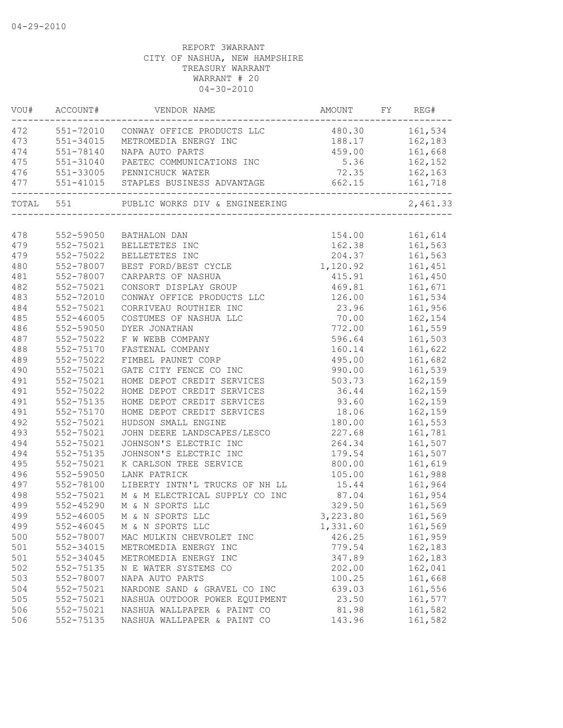| VOU#      | ACCOUNT#      | VENDOR NAME                          | AMOUNT         | FY | REG#                   |
|-----------|---------------|--------------------------------------|----------------|----|------------------------|
| 472       |               | 551-72010 CONWAY OFFICE PRODUCTS LLC | 480.30 161,534 |    |                        |
| 473       | 551-34015     | METROMEDIA ENERGY INC                | 188.17         |    | 162,183                |
| 474       | 551-78140     | NAPA AUTO PARTS                      | 459.00         |    | 161,668                |
| 475       | 551-31040     | PAETEC COMMUNICATIONS INC            |                |    | 5.36 162,152           |
| 476       |               | 551-33005 PENNICHUCK WATER           | 72.35          |    | 162,163                |
| 477       |               | 551-41015 STAPLES BUSINESS ADVANTAGE | 662.15         |    | 161,718<br>$- - - - -$ |
| TOTAL 551 |               | PUBLIC WORKS DIV & ENGINEERING       |                |    | 2,461.33               |
|           |               |                                      |                |    |                        |
| 478       | 552-59050     | BATHALON DAN                         |                |    |                        |
| 479       | 552-75021     | BELLETETES INC                       | 162.38         |    | 161,563                |
| 479       | 552-75022     | BELLETETES INC                       | 204.37         |    | 161,563                |
| 480       | 552-78007     | BEST FORD/BEST CYCLE                 | 1,120.92       |    | 161,451                |
| 481       | 552-78007     | CARPARTS OF NASHUA                   | 415.91         |    | 161,450                |
| 482       | 552-75021     | CONSORT DISPLAY GROUP                | 469.81         |    | 161,671                |
| 483       | 552-72010     | CONWAY OFFICE PRODUCTS LLC           | 126.00         |    | 161,534                |
| 484       | 552-75021     | CORRIVEAU ROUTHIER INC               | 23.96          |    | 161,956                |
| 485       | 552-46005     | COSTUMES OF NASHUA LLC               | 70.00          |    | 162,154                |
| 486       | 552-59050     | DYER JONATHAN                        | 772.00         |    | 161,559                |
| 487       | 552-75022     | F W WEBB COMPANY                     | 596.64         |    | 161,503                |
| 488       | 552-75170     | FASTENAL COMPANY                     | 160.14         |    | 161,622                |
| 489       | 552-75022     | FIMBEL PAUNET CORP                   | 495.00         |    | 161,682                |
| 490       | 552-75021     | GATE CITY FENCE CO INC               | 990.00         |    | 161,539                |
| 491       | 552-75021     | HOME DEPOT CREDIT SERVICES           | 503.73         |    | 162,159                |
| 491       | 552-75022     | HOME DEPOT CREDIT SERVICES           | 36.44          |    | 162,159                |
| 491       | 552-75135     | HOME DEPOT CREDIT SERVICES           | 93.60          |    | 162,159                |
| 491       | 552-75170     | HOME DEPOT CREDIT SERVICES           | 18.06          |    | 162,159                |
| 492       | 552-75021     | HUDSON SMALL ENGINE                  | 180.00         |    | 161,553                |
| 493       | 552-75021     | JOHN DEERE LANDSCAPES/LESCO          | 227.68         |    | 161,781                |
| 494       | 552-75021     | JOHNSON'S ELECTRIC INC               | 264.34         |    | 161,507                |
| 494       | 552-75135     | JOHNSON'S ELECTRIC INC               | 179.54         |    | 161,507                |
| 495       | 552-75021     | K CARLSON TREE SERVICE               | 800.00         |    | 161,619                |
| 496       | 552-59050     | LANK PATRICK                         | 105.00         |    | 161,988                |
| 497       | 552-78100     | LIBERTY INTN'L TRUCKS OF NH LL       | 15.44          |    | 161,964                |
| 498       | 552-75021     | M & M ELECTRICAL SUPPLY CO INC       | 87.04          |    | 161,954                |
| 499       | 552-45290     | M & N SPORTS LLC                     | 329.50         |    | 161,569                |
| 499       | $552 - 46005$ | M & N SPORTS LLC                     | 3,223.80       |    | 161,569                |
| 499       | 552-46045     | M & N SPORTS LLC                     | 1,331.60       |    | 161,569                |
| 500       | 552-78007     | MAC MULKIN CHEVROLET INC             | 426.25         |    | 161,959                |
| 501       | 552-34015     | METROMEDIA ENERGY INC                | 779.54         |    | 162,183                |
| 501       | 552-34045     | METROMEDIA ENERGY INC                | 347.89         |    | 162,183                |
| 502       | 552-75135     | N E WATER SYSTEMS CO                 | 202.00         |    | 162,041                |
| 503       | 552-78007     | NAPA AUTO PARTS                      | 100.25         |    | 161,668                |
| 504       | 552-75021     | NARDONE SAND & GRAVEL CO INC         | 639.03         |    | 161,556                |
| 505       | 552-75021     | NASHUA OUTDOOR POWER EQUIPMENT       | 23.50          |    | 161,577                |
| 506       | 552-75021     | NASHUA WALLPAPER & PAINT CO          | 81.98          |    | 161,582                |
| 506       | 552-75135     | NASHUA WALLPAPER & PAINT CO          | 143.96         |    | 161,582                |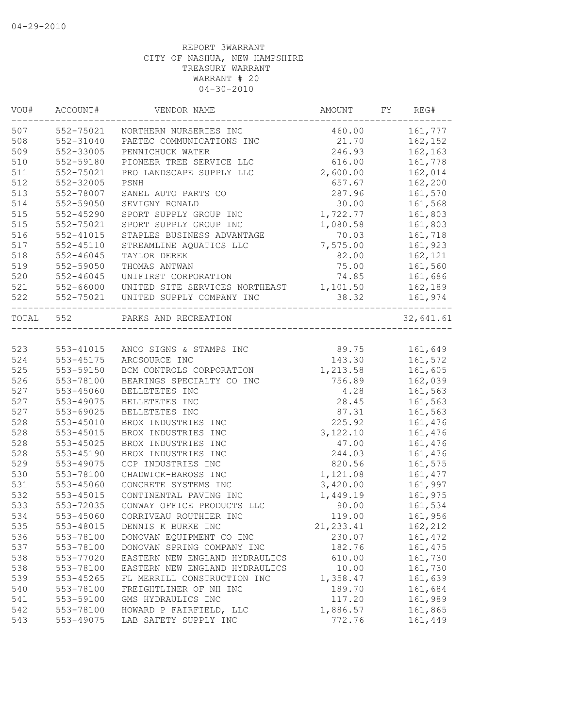| VOU#      | ACCOUNT#      | VENDOR NAME                    | AMOUNT     | FY | REG#      |
|-----------|---------------|--------------------------------|------------|----|-----------|
| 507       | 552-75021     | NORTHERN NURSERIES INC         | 460.00     |    | 161,777   |
| 508       | 552-31040     | PAETEC COMMUNICATIONS INC      | 21.70      |    | 162,152   |
| 509       | 552-33005     | PENNICHUCK WATER               | 246.93     |    | 162,163   |
| 510       | 552-59180     | PIONEER TREE SERVICE LLC       | 616.00     |    | 161,778   |
| 511       | 552-75021     | PRO LANDSCAPE SUPPLY LLC       | 2,600.00   |    | 162,014   |
| 512       | 552-32005     | PSNH                           | 657.67     |    | 162,200   |
| 513       | 552-78007     | SANEL AUTO PARTS CO            | 287.96     |    | 161,570   |
| 514       | 552-59050     | SEVIGNY RONALD                 | 30.00      |    | 161,568   |
| 515       | 552-45290     | SPORT SUPPLY GROUP INC         | 1,722.77   |    | 161,803   |
| 515       | 552-75021     | SPORT SUPPLY GROUP INC         | 1,080.58   |    | 161,803   |
| 516       | 552-41015     | STAPLES BUSINESS ADVANTAGE     | 70.03      |    | 161,718   |
| 517       | $552 - 45110$ | STREAMLINE AQUATICS LLC        | 7,575.00   |    | 161,923   |
| 518       | $552 - 46045$ | TAYLOR DEREK                   | 82.00      |    | 162,121   |
| 519       | 552-59050     | THOMAS ANTWAN                  | 75.00      |    | 161,560   |
| 520       | $552 - 46045$ | UNIFIRST CORPORATION           | 74.85      |    | 161,686   |
| 521       | 552-66000     | UNITED SITE SERVICES NORTHEAST | 1,101.50   |    | 162,189   |
| 522       | 552-75021     | UNITED SUPPLY COMPANY INC      | 38.32      |    | 161,974   |
| TOTAL 552 |               | PARKS AND RECREATION           |            |    | 32,641.61 |
|           |               |                                |            |    |           |
| 523       | 553-41015     | ANCO SIGNS & STAMPS INC        | 89.75      |    | 161,649   |
| 524       | 553-45175     | ARCSOURCE INC                  | 143.30     |    | 161,572   |
| 525       | 553-59150     | BCM CONTROLS CORPORATION       | 1,213.58   |    | 161,605   |
| 526       | 553-78100     | BEARINGS SPECIALTY CO INC      | 756.89     |    | 162,039   |
| 527       | 553-45060     | BELLETETES INC                 | 4.28       |    | 161,563   |
| 527       | 553-49075     | BELLETETES INC                 | 28.45      |    | 161,563   |
| 527       | 553-69025     | BELLETETES INC                 | 87.31      |    | 161,563   |
| 528       | 553-45010     | BROX INDUSTRIES INC            | 225.92     |    | 161,476   |
| 528       | 553-45015     | BROX INDUSTRIES INC            | 3,122.10   |    | 161,476   |
| 528       | 553-45025     | BROX INDUSTRIES INC            | 47.00      |    | 161,476   |
| 528       | 553-45190     | BROX INDUSTRIES INC            | 244.03     |    | 161,476   |
| 529       | 553-49075     | CCP INDUSTRIES INC             | 820.56     |    | 161,575   |
| 530       | 553-78100     | CHADWICK-BAROSS INC            | 1,121.08   |    | 161, 477  |
| 531       | 553-45060     | CONCRETE SYSTEMS INC           | 3,420.00   |    | 161,997   |
| 532       | 553-45015     | CONTINENTAL PAVING INC         | 1,449.19   |    | 161,975   |
| 533       | 553-72035     | CONWAY OFFICE PRODUCTS LLC     | 90.00      |    | 161,534   |
| 534       | 553-45060     | CORRIVEAU ROUTHIER INC         | 119.00     |    | 161,956   |
| 535       | 553-48015     | DENNIS K BURKE INC             | 21, 233.41 |    | 162,212   |
| 536       | 553-78100     | DONOVAN EQUIPMENT CO INC       | 230.07     |    | 161, 472  |
| 537       | 553-78100     | DONOVAN SPRING COMPANY INC     | 182.76     |    | 161, 475  |
| 538       | 553-77020     | EASTERN NEW ENGLAND HYDRAULICS | 610.00     |    | 161,730   |
| 538       | 553-78100     | EASTERN NEW ENGLAND HYDRAULICS | 10.00      |    | 161,730   |
| 539       | 553-45265     | FL MERRILL CONSTRUCTION INC    | 1,358.47   |    | 161,639   |
| 540       | 553-78100     | FREIGHTLINER OF NH INC         | 189.70     |    | 161,684   |
| 541       | 553-59100     | GMS HYDRAULICS INC             | 117.20     |    | 161,989   |
| 542       | 553-78100     | HOWARD P FAIRFIELD, LLC        | 1,886.57   |    | 161,865   |
| 543       | 553-49075     | LAB SAFETY SUPPLY INC          | 772.76     |    | 161,449   |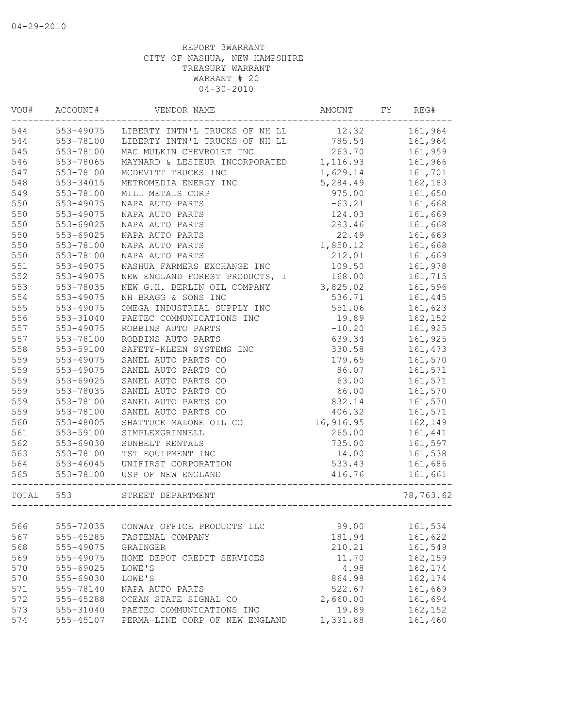| VOU#  | ACCOUNT#      | VENDOR NAME                             | AMOUNT    | FY | REG#      |
|-------|---------------|-----------------------------------------|-----------|----|-----------|
| 544   | 553-49075     | LIBERTY INTN'L TRUCKS OF NH LL 12.32    |           |    | 161,964   |
| 544   | 553-78100     | LIBERTY INTN'L TRUCKS OF NH LL 785.54   |           |    | 161,964   |
| 545   | 553-78100     | MAC MULKIN CHEVROLET INC                | 263.70    |    | 161,959   |
| 546   | 553-78065     | MAYNARD & LESIEUR INCORPORATED 1,116.93 |           |    | 161,966   |
| 547   | 553-78100     | MCDEVITT TRUCKS INC                     | 1,629.14  |    | 161,701   |
| 548   | 553-34015     | METROMEDIA ENERGY INC                   | 5,284.49  |    | 162,183   |
| 549   | 553-78100     | MILL METALS CORP                        | 975.00    |    | 161,650   |
| 550   | 553-49075     | NAPA AUTO PARTS                         | $-63.21$  |    | 161,668   |
| 550   | 553-49075     | NAPA AUTO PARTS                         | 124.03    |    | 161,669   |
| 550   | 553-69025     | NAPA AUTO PARTS                         | 293.46    |    | 161,668   |
| 550   | 553-69025     | NAPA AUTO PARTS                         | 22.49     |    | 161,669   |
| 550   | 553-78100     | NAPA AUTO PARTS                         | 1,850.12  |    | 161,668   |
| 550   | 553-78100     | NAPA AUTO PARTS                         | 212.01    |    | 161,669   |
| 551   | 553-49075     | NASHUA FARMERS EXCHANGE INC             | 109.50    |    | 161,978   |
| 552   | 553-49075     | NEW ENGLAND FOREST PRODUCTS, I          | 168.00    |    | 161,715   |
| 553   | 553-78035     | NEW G.H. BERLIN OIL COMPANY             | 3,825.02  |    | 161,596   |
| 554   | 553-49075     | NH BRAGG & SONS INC                     | 536.71    |    | 161,445   |
| 555   | 553-49075     | OMEGA INDUSTRIAL SUPPLY INC             | 551.06    |    | 161,623   |
| 556   | 553-31040     | PAETEC COMMUNICATIONS INC               | 19.89     |    | 162,152   |
| 557   | 553-49075     | ROBBINS AUTO PARTS                      | $-10.20$  |    | 161,925   |
| 557   | 553-78100     | ROBBINS AUTO PARTS                      | 639.34    |    | 161,925   |
| 558   | 553-59100     | SAFETY-KLEEN SYSTEMS INC                | 330.58    |    | 161,473   |
| 559   | 553-49075     | SANEL AUTO PARTS CO                     | 179.65    |    | 161,570   |
| 559   | 553-49075     | SANEL AUTO PARTS CO                     | 86.07     |    | 161,571   |
| 559   | 553-69025     | SANEL AUTO PARTS CO                     | 63.00     |    | 161,571   |
| 559   | 553-78035     | SANEL AUTO PARTS CO                     | 66.00     |    | 161,570   |
| 559   | 553-78100     | SANEL AUTO PARTS CO                     | 832.14    |    | 161,570   |
| 559   | 553-78100     | SANEL AUTO PARTS CO                     | 406.32    |    | 161,571   |
| 560   | 553-48005     | SHATTUCK MALONE OIL CO                  | 16,916.95 |    | 162,149   |
| 561   | 553-59100     | SIMPLEXGRINNELL                         | 265.00    |    | 161,441   |
| 562   | 553-69030     | SUNBELT RENTALS                         | 735.00    |    | 161,597   |
| 563   | 553-78100     | TST EQUIPMENT INC                       | 14.00     |    | 161,538   |
| 564   | $553 - 46045$ | UNIFIRST CORPORATION                    | 533.43    |    | 161,686   |
| 565   | 553-78100     | USP OF NEW ENGLAND                      | 416.76    |    | 161,661   |
| TOTAL | 553           | ____________<br>STREET DEPARTMENT       |           |    | 78,763.62 |
|       |               |                                         |           |    |           |
| 566   | 555-72035     | CONWAY OFFICE PRODUCTS LLC              | 99.00     |    | 161,534   |
| 567   | 555-45285     | FASTENAL COMPANY                        | 181.94    |    | 161,622   |
| 568   | 555-49075     | GRAINGER                                | 210.21    |    | 161,549   |
| 569   | 555-49075     | HOME DEPOT CREDIT SERVICES              | 11.70     |    | 162,159   |
| 570   | 555-69025     | LOWE'S                                  | 4.98      |    | 162,174   |
| 570   | 555-69030     | LOWE'S                                  | 864.98    |    | 162,174   |
| 571   | 555-78140     | NAPA AUTO PARTS                         | 522.67    |    | 161,669   |
| 572   | 555-45288     | OCEAN STATE SIGNAL CO                   | 2,660.00  |    | 161,694   |
| 573   | 555-31040     | PAETEC COMMUNICATIONS INC               | 19.89     |    | 162,152   |
| 574   | 555-45107     | PERMA-LINE CORP OF NEW ENGLAND          | 1,391.88  |    | 161,460   |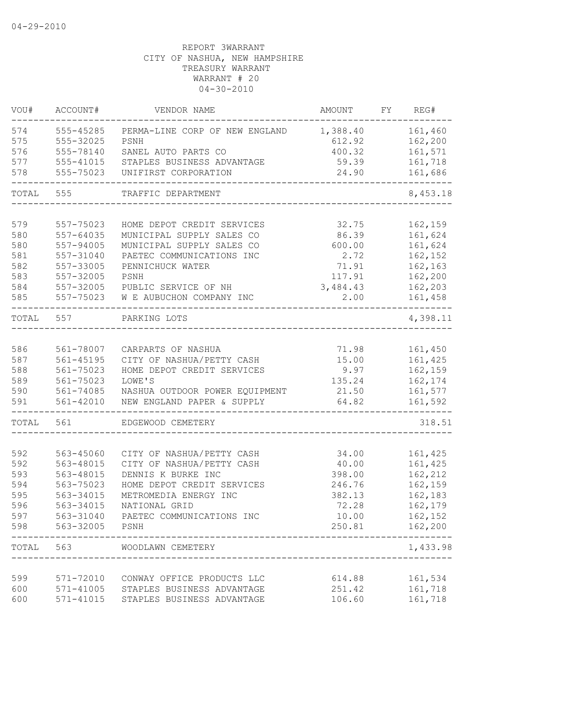| VOU#       | ACCOUNT#               | VENDOR NAME                    | AMOUNT           | FY REG#            |
|------------|------------------------|--------------------------------|------------------|--------------------|
| 574        | 555-45285              | PERMA-LINE CORP OF NEW ENGLAND | 1,388.40         | 161,460            |
| 575        | 555-32025              | PSNH                           | 612.92           | 162,200            |
| 576        | 555-78140              | SANEL AUTO PARTS CO            | 400.32           | 161,571            |
| 577        | 555-41015              | STAPLES BUSINESS ADVANTAGE     | 59.39            | 161,718            |
| 578        | 555-75023              | UNIFIRST CORPORATION           | 24.90            | 161,686            |
| TOTAL      | 555                    | TRAFFIC DEPARTMENT             |                  | 8,453.18           |
|            |                        |                                |                  |                    |
| 579        | 557-75023              | HOME DEPOT CREDIT SERVICES     | 32.75            | 162,159            |
| 580        | 557-64035              | MUNICIPAL SUPPLY SALES CO      | 86.39            | 161,624            |
| 580        | 557-94005              | MUNICIPAL SUPPLY SALES CO      | 600.00           | 161,624            |
| 581<br>582 | 557-31040<br>557-33005 | PAETEC COMMUNICATIONS INC      | 2.72             | 162,152            |
|            |                        | PENNICHUCK WATER               | 71.91            | 162,163            |
| 583<br>584 | 557-32005<br>557-32005 | PSNH<br>PUBLIC SERVICE OF NH   | 117.91           | 162,200            |
| 585        | 557-75023              | W E AUBUCHON COMPANY INC       | 3,484.43<br>2.00 | 162,203<br>161,458 |
|            |                        |                                |                  |                    |
| TOTAL      | 557                    | PARKING LOTS                   |                  | 4,398.11           |
| 586        | 561-78007              | CARPARTS OF NASHUA             | 71.98            | 161,450            |
| 587        | $561 - 45195$          | CITY OF NASHUA/PETTY CASH      | 15.00            | 161,425            |
| 588        | 561-75023              | HOME DEPOT CREDIT SERVICES     | 9.97             | 162,159            |
| 589        | 561-75023              | LOWE'S                         | 135.24           | 162,174            |
| 590        | 561-74085              | NASHUA OUTDOOR POWER EQUIPMENT | 21.50            | 161,577            |
| 591        | $561 - 42010$          | NEW ENGLAND PAPER & SUPPLY     | 64.82            | 161,592            |
| TOTAL      | 561                    | EDGEWOOD CEMETERY              |                  | 318.51             |
|            |                        |                                |                  |                    |
| 592        | 563-45060              | CITY OF NASHUA/PETTY CASH      | 34.00            | 161,425            |
| 592        | 563-48015              | CITY OF NASHUA/PETTY CASH      | 40.00            | 161,425            |
| 593        | 563-48015              | DENNIS K BURKE INC             | 398.00           | 162,212            |
| 594        | 563-75023              | HOME DEPOT CREDIT SERVICES     | 246.76           | 162,159            |
| 595        | 563-34015              | METROMEDIA ENERGY INC          | 382.13           | 162,183            |
| 596        | 563-34015              | NATIONAL GRID                  | 72.28            | 162,179            |
| 597        | 563-31040              | PAETEC COMMUNICATIONS INC      | 10.00            | 162,152            |
| 598        | 563-32005              | PSNH<br>____________________   | 250.81           | 162,200            |
| TOTAL      | 563                    | WOODLAWN CEMETERY              |                  | 1,433.98           |
|            |                        |                                |                  |                    |
| 599        | 571-72010              | CONWAY OFFICE PRODUCTS LLC     | 614.88           | 161,534            |
| 600        | 571-41005              | STAPLES BUSINESS ADVANTAGE     | 251.42           | 161,718            |
| 600        | 571-41015              | STAPLES BUSINESS ADVANTAGE     | 106.60           | 161,718            |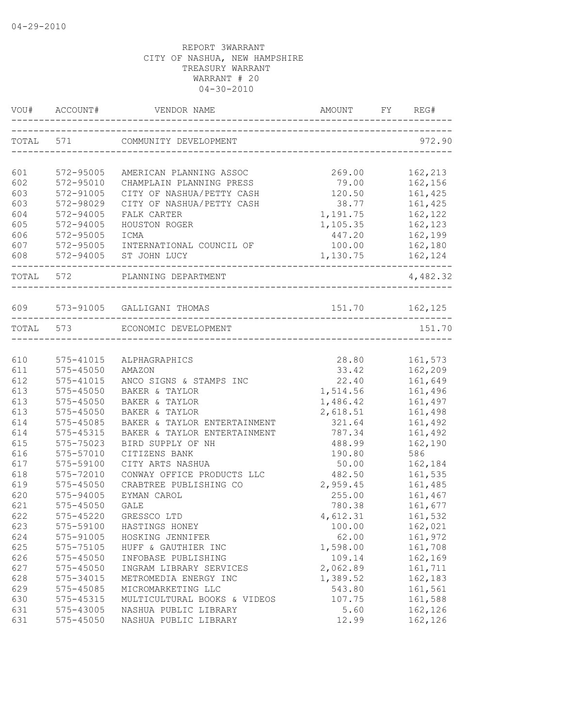|     |                                 | VOU# ACCOUNT# VENDOR NAME AMOUNT FY REC           |                    | FY REG#        |
|-----|---------------------------------|---------------------------------------------------|--------------------|----------------|
|     |                                 | TOTAL 571 COMMUNITY DEVELOPMENT                   |                    | 972.90         |
|     |                                 |                                                   |                    |                |
| 601 | 572-95005                       | AMERICAN PLANNING ASSOC                           | 269.00             | 162,213        |
| 602 | 572-95010                       | CHAMPLAIN PLANNING PRESS                          | 79.00              | 162,156        |
| 603 | 572-91005                       | CITY OF NASHUA/PETTY CASH                         | 120.50<br>38.77    | 161,425        |
| 603 | 572-98029                       | CITY OF NASHUA/PETTY CASH                         |                    | 161,425        |
| 604 | 572-94005                       | FALK CARTER                                       | 1, 191.75 162, 122 |                |
| 605 | 572-94005                       | HOUSTON ROGER                                     | 1,105.35 162,123   |                |
| 606 | 572-95005                       | ICMA                                              | 447.20 162,199     |                |
| 607 | 572-95005                       | INTERNATIONAL COUNCIL OF                          |                    | 100.00 162,180 |
| 608 | ------------------------------- | 572-94005 ST JOHN LUCY                            | 1,130.75 162,124   | -------        |
|     | TOTAL 572                       | PLANNING DEPARTMENT<br>-------------------------- |                    | 4,482.32       |
|     |                                 | 609 573-91005 GALLIGANI THOMAS                    | 151.70 162,125     |                |
|     |                                 | TOTAL 573 ECONOMIC DEVELOPMENT                    |                    |                |
|     |                                 |                                                   |                    | 151.70         |
| 610 | 575-41015                       | ALPHAGRAPHICS                                     | 28.80              | 161,573        |
| 611 |                                 | AMAZON                                            | 33.42              | 162,209        |
| 612 | $575 - 45050$<br>575-45050      | ANCO SIGNS & STAMPS INC                           | 22.40              | 161,649        |
| 613 | $575 - 45050$                   | BAKER & TAYLOR                                    | 1,514.56           | 161,496        |
| 613 | 575-45050                       | BAKER & TAYLOR                                    | 1,486.42           | 161,497        |
| 613 | $575 - 45050$                   | BAKER & TAYLOR                                    | 2,618.51           | 161,498        |
| 614 | 575-45085                       | BAKER & TAYLOR ENTERTAINMENT                      | 321.64             | 161,492        |
| 614 | 575-45315                       | BAKER & TAYLOR ENTERTAINMENT                      | 787.34             | 161,492        |
| 615 | 575-75023                       | BIRD SUPPLY OF NH                                 | 488.99             | 162,190        |
| 616 | 575-57010                       | CITIZENS BANK                                     | 190.80             | 586            |
| 617 | 575-59100                       | CITY ARTS NASHUA                                  | 50.00              | 162,184        |
| 618 | 575-72010                       | CONWAY OFFICE PRODUCTS LLC                        | 482.50             | 161,535        |
| 619 | 575-45050                       | CRABTREE PUBLISHING CO                            | 2,959.45           | 161,485        |
| 620 | 575-94005                       | EYMAN CAROL                                       | 255.00             | 161,467        |
| 621 | 575-45050                       | <b>GALE</b>                                       | 780.38             | 161,677        |
| 622 | 575-45220                       | GRESSCO LTD                                       | 4,612.31           | 161,532        |
| 623 | 575-59100                       | HASTINGS HONEY                                    | 100.00             | 162,021        |
| 624 | 575-91005                       | HOSKING JENNIFER                                  | 62.00              | 161,972        |
| 625 | 575-75105                       | HUFF & GAUTHIER INC                               | 1,598.00           | 161,708        |
| 626 | 575-45050                       | INFOBASE PUBLISHING                               | 109.14             | 162,169        |
| 627 | 575-45050                       | INGRAM LIBRARY SERVICES                           | 2,062.89           | 161,711        |
| 628 | 575-34015                       | METROMEDIA ENERGY INC                             | 1,389.52           | 162,183        |
| 629 | 575-45085                       | MICROMARKETING LLC                                | 543.80             | 161,561        |
| 630 | 575-45315                       | MULTICULTURAL BOOKS & VIDEOS                      | 107.75             | 161,588        |
| 631 | 575-43005                       | NASHUA PUBLIC LIBRARY                             | 5.60               | 162,126        |
| 631 | 575-45050                       | NASHUA PUBLIC LIBRARY                             | 12.99              | 162,126        |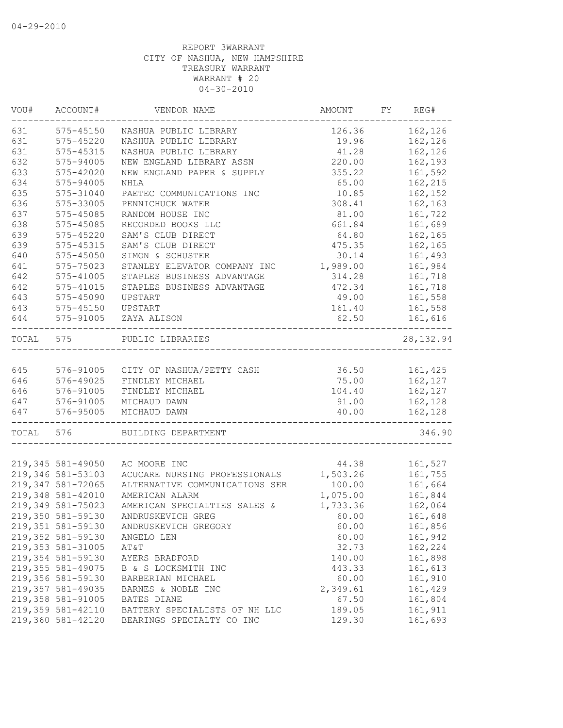| VOU#  | ACCOUNT#           | VENDOR NAME                    | AMOUNT   | FY. | REG#       |
|-------|--------------------|--------------------------------|----------|-----|------------|
| 631   | 575-45150          | NASHUA PUBLIC LIBRARY          | 126.36   |     | 162,126    |
| 631   | $575 - 45220$      | NASHUA PUBLIC LIBRARY          | 19.96    |     | 162,126    |
| 631   | 575-45315          | NASHUA PUBLIC LIBRARY          | 41.28    |     | 162,126    |
| 632   | 575-94005          | NEW ENGLAND LIBRARY ASSN       | 220.00   |     | 162,193    |
| 633   | 575-42020          | NEW ENGLAND PAPER & SUPPLY     | 355.22   |     | 161,592    |
| 634   | 575-94005          | <b>NHLA</b>                    | 65.00    |     | 162,215    |
| 635   | 575-31040          | PAETEC COMMUNICATIONS INC      | 10.85    |     | 162,152    |
| 636   | 575-33005          | PENNICHUCK WATER               | 308.41   |     | 162,163    |
| 637   | 575-45085          | RANDOM HOUSE INC               | 81.00    |     | 161,722    |
| 638   | 575-45085          | RECORDED BOOKS LLC             | 661.84   |     | 161,689    |
| 639   | $575 - 45220$      | SAM'S CLUB DIRECT              | 64.80    |     | 162,165    |
| 639   | 575-45315          | SAM'S CLUB DIRECT              | 475.35   |     | 162,165    |
| 640   | 575-45050          | SIMON & SCHUSTER               | 30.14    |     | 161,493    |
| 641   | 575-75023          | STANLEY ELEVATOR COMPANY INC   | 1,989.00 |     | 161,984    |
| 642   | 575-41005          | STAPLES BUSINESS ADVANTAGE     | 314.28   |     | 161,718    |
| 642   | $575 - 41015$      | STAPLES BUSINESS ADVANTAGE     | 472.34   |     | 161,718    |
| 643   | 575-45090          | UPSTART                        | 49.00    |     | 161,558    |
| 643   | 575-45150          | UPSTART                        | 161.40   |     | 161,558    |
| 644   | 575-91005          | ZAYA ALISON                    | 62.50    |     | 161,616    |
| TOTAL | 575                | PUBLIC LIBRARIES               |          |     | 28, 132.94 |
|       |                    |                                |          |     |            |
| 645   | 576-91005          | CITY OF NASHUA/PETTY CASH      | 36.50    |     | 161,425    |
| 646   | 576-49025          | FINDLEY MICHAEL                | 75.00    |     | 162,127    |
| 646   | 576-91005          | FINDLEY MICHAEL                | 104.40   |     | 162,127    |
| 647   | 576-91005          | MICHAUD DAWN                   | 91.00    |     | 162,128    |
| 647   | 576-95005          | MICHAUD DAWN                   | 40.00    |     | 162,128    |
| TOTAL | 576                | BUILDING DEPARTMENT            |          |     | 346.90     |
|       |                    |                                |          |     |            |
|       | 219,345 581-49050  | AC MOORE INC                   | 44.38    |     | 161,527    |
|       | 219,346 581-53103  | ACUCARE NURSING PROFESSIONALS  | 1,503.26 |     | 161,755    |
|       | 219,347 581-72065  | ALTERNATIVE COMMUNICATIONS SER | 100.00   |     | 161,664    |
|       | 219,348 581-42010  | AMERICAN ALARM                 | 1,075.00 |     | 161,844    |
|       | 219,349 581-75023  | AMERICAN SPECIALTIES SALES &   | 1,733.36 |     | 162,064    |
|       | 219,350 581-59130  | ANDRUSKEVICH GREG              | 60.00    |     | 161,648    |
|       | 219,351 581-59130  | ANDRUSKEVICH GREGORY           | 60.00    |     | 161,856    |
|       | 219,352 581-59130  | ANGELO LEN                     | 60.00    |     | 161,942    |
|       | 219, 353 581-31005 | AT&T                           | 32.73    |     | 162,224    |
|       | 219,354 581-59130  | AYERS BRADFORD                 | 140.00   |     | 161,898    |
|       | 219, 355 581-49075 | B & S LOCKSMITH INC            | 443.33   |     | 161,613    |
|       | 219,356 581-59130  | BARBERIAN MICHAEL              | 60.00    |     | 161,910    |
|       | 219,357 581-49035  | BARNES & NOBLE INC             | 2,349.61 |     | 161,429    |
|       | 219,358 581-91005  | BATES DIANE                    | 67.50    |     | 161,804    |
|       | 219,359 581-42110  | BATTERY SPECIALISTS OF NH LLC  | 189.05   |     | 161,911    |
|       | 219,360 581-42120  | BEARINGS SPECIALTY CO INC      | 129.30   |     | 161,693    |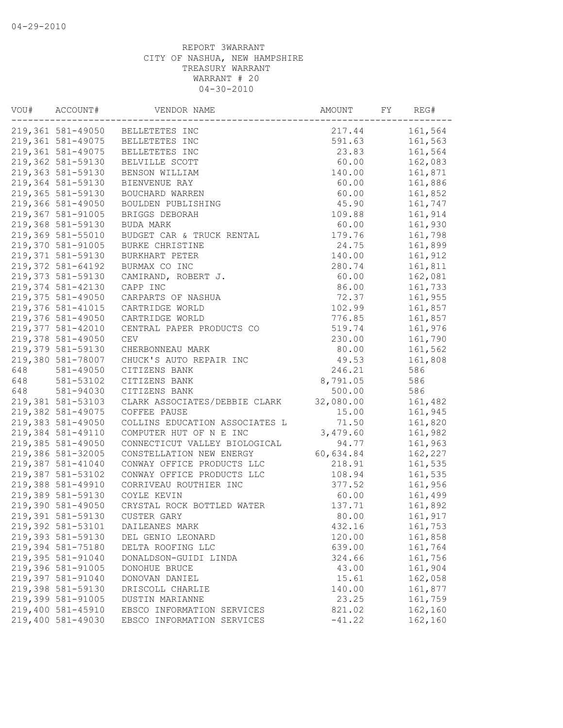| VOU# | ACCOUNT#                       | VENDOR NAME                      | AMOUNT    | FY | REG#    |
|------|--------------------------------|----------------------------------|-----------|----|---------|
|      |                                | 219,361 581-49050 BELLETETES INC | 217.44    |    | 161,564 |
|      | 219,361 581-49075              | BELLETETES INC                   | 591.63    |    | 161,563 |
|      | 219,361 581-49075              | BELLETETES INC                   | 23.83     |    | 161,564 |
|      | 219,362 581-59130              | BELVILLE SCOTT                   | 60.00     |    | 162,083 |
|      | 219,363 581-59130              | BENSON WILLIAM                   | 140.00    |    | 161,871 |
|      | 219,364 581-59130              | BIENVENUE RAY                    | 60.00     |    | 161,886 |
|      | 219,365 581-59130              | BOUCHARD WARREN                  | 60.00     |    | 161,852 |
|      | 219,366 581-49050              | BOULDEN PUBLISHING               | 45.90     |    | 161,747 |
|      | 219,367 581-91005              | BRIGGS DEBORAH                   | 109.88    |    | 161,914 |
|      | 219,368 581-59130              | BUDA MARK                        | 60.00     |    | 161,930 |
|      | 219,369 581-55010              | BUDGET CAR & TRUCK RENTAL        | 179.76    |    | 161,798 |
|      | 219,370 581-91005              | BURKE CHRISTINE                  | 24.75     |    | 161,899 |
|      | 219,371 581-59130              | BURKHART PETER                   | 140.00    |    | 161,912 |
|      | 219,372 581-64192              | BURMAX CO INC                    | 280.74    |    | 161,811 |
|      | 219,373 581-59130              | CAMIRAND, ROBERT J.              | 60.00     |    | 162,081 |
|      | 219,374 581-42130              | CAPP INC                         | 86.00     |    | 161,733 |
|      | 219,375 581-49050              | CARPARTS OF NASHUA               | 72.37     |    | 161,955 |
|      | 219,376 581-41015              | CARTRIDGE WORLD                  | 102.99    |    | 161,857 |
|      | 219,376 581-49050              | CARTRIDGE WORLD                  | 776.85    |    | 161,857 |
|      | 219,377 581-42010              | CENTRAL PAPER PRODUCTS CO        | 519.74    |    | 161,976 |
|      | 219,378 581-49050              | CEV                              | 230.00    |    | 161,790 |
|      | 219,379 581-59130              | CHERBONNEAU MARK                 | 80.00     |    | 161,562 |
|      | 219,380 581-78007              | CHUCK'S AUTO REPAIR INC          | 49.53     |    | 161,808 |
| 648  | 581-49050                      | CITIZENS BANK                    | 246.21    |    | 586     |
| 648  | 581-53102                      | CITIZENS BANK                    | 8,791.05  |    | 586     |
| 648  |                                | CITIZENS BANK                    | 500.00    |    | 586     |
|      | 581-94030<br>219,381 581-53103 |                                  | 32,080.00 |    |         |
|      |                                | CLARK ASSOCIATES/DEBBIE CLARK    |           |    | 161,482 |
|      | 219,382 581-49075              | COFFEE PAUSE                     | 15.00     |    | 161,945 |
|      | 219,383 581-49050              | COLLINS EDUCATION ASSOCIATES L   | 71.50     |    | 161,820 |
|      | 219,384 581-49110              | COMPUTER HUT OF N E INC          | 3,479.60  |    | 161,982 |
|      | 219,385 581-49050              | CONNECTICUT VALLEY BIOLOGICAL    | 94.77     |    | 161,963 |
|      | 219,386 581-32005              | CONSTELLATION NEW ENERGY         | 60,634.84 |    | 162,227 |
|      | 219,387 581-41040              | CONWAY OFFICE PRODUCTS LLC       | 218.91    |    | 161,535 |
|      | 219,387 581-53102              | CONWAY OFFICE PRODUCTS LLC       | 108.94    |    | 161,535 |
|      | 219,388 581-49910              | CORRIVEAU ROUTHIER INC           | 377.52    |    | 161,956 |
|      | 219,389 581-59130              | COYLE KEVIN                      | 60.00     |    | 161,499 |
|      | 219,390 581-49050              | CRYSTAL ROCK BOTTLED WATER       | 137.71    |    | 161,892 |
|      | 219,391 581-59130              | CUSTER GARY                      | 80.00     |    | 161,917 |
|      | 219,392 581-53101              | DAILEANES MARK                   | 432.16    |    | 161,753 |
|      | 219,393 581-59130              | DEL GENIO LEONARD                | 120.00    |    | 161,858 |
|      | 219,394 581-75180              | DELTA ROOFING LLC                | 639.00    |    | 161,764 |
|      | 219,395 581-91040              | DONALDSON-GUIDI LINDA            | 324.66    |    | 161,756 |
|      | 219,396 581-91005              | DONOHUE BRUCE                    | 43.00     |    | 161,904 |
|      | 219,397 581-91040              | DONOVAN DANIEL                   | 15.61     |    | 162,058 |
|      | 219,398 581-59130              | DRISCOLL CHARLIE                 | 140.00    |    | 161,877 |
|      | 219,399 581-91005              | DUSTIN MARIANNE                  | 23.25     |    | 161,759 |
|      | 219,400 581-45910              | EBSCO INFORMATION SERVICES       | 821.02    |    | 162,160 |
|      | 219,400 581-49030              | EBSCO INFORMATION SERVICES       | $-41.22$  |    | 162,160 |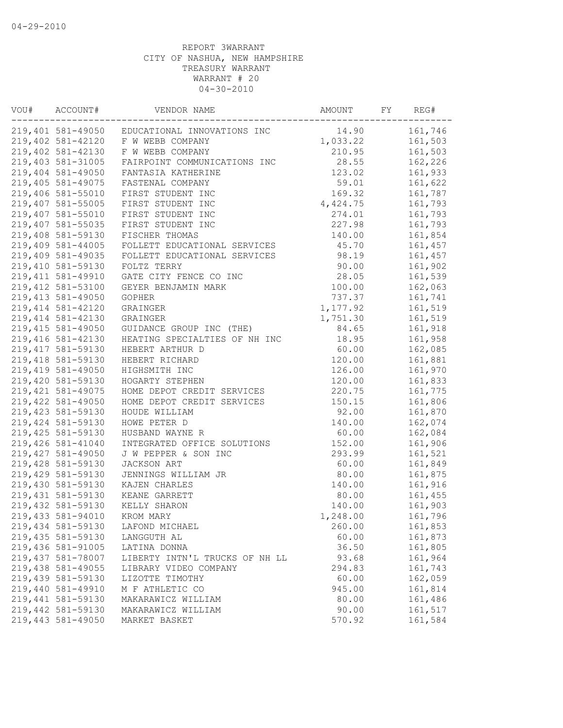| VOU# | ACCOUNT#                                | VENDOR NAME                    | AMOUNT   | FY | REG#    |
|------|-----------------------------------------|--------------------------------|----------|----|---------|
|      | 219,401 581-49050                       | EDUCATIONAL INNOVATIONS INC    | 14.90    |    | 161,746 |
|      | 219,402 581-42120                       | F W WEBB COMPANY               | 1,033.22 |    | 161,503 |
|      | 219,402 581-42130                       | F W WEBB COMPANY               | 210.95   |    | 161,503 |
|      | 219,403 581-31005                       | FAIRPOINT COMMUNICATIONS INC   | 28.55    |    | 162,226 |
|      | 219,404 581-49050                       | FANTASIA KATHERINE             | 123.02   |    | 161,933 |
|      | 219,405 581-49075                       | FASTENAL COMPANY               | 59.01    |    | 161,622 |
|      | 219,406 581-55010                       | FIRST STUDENT INC              | 169.32   |    | 161,787 |
|      | 219,407 581-55005                       | FIRST STUDENT INC              | 4,424.75 |    | 161,793 |
|      | 219,407 581-55010                       | FIRST STUDENT INC              | 274.01   |    | 161,793 |
|      | 219,407 581-55035                       | FIRST STUDENT INC              | 227.98   |    | 161,793 |
|      | 219,408 581-59130                       | FISCHER THOMAS                 | 140.00   |    | 161,854 |
|      | 219,409 581-44005                       | FOLLETT EDUCATIONAL SERVICES   | 45.70    |    | 161,457 |
|      | 219,409 581-49035                       | FOLLETT EDUCATIONAL SERVICES   | 98.19    |    | 161,457 |
|      | 219,410 581-59130                       | FOLTZ TERRY                    | 90.00    |    | 161,902 |
|      | 219, 411 581-49910                      | GATE CITY FENCE CO INC         | 28.05    |    | 161,539 |
|      | 219, 412 581-53100                      | GEYER BENJAMIN MARK            | 100.00   |    | 162,063 |
|      | 219, 413 581-49050                      | GOPHER                         | 737.37   |    | 161,741 |
|      | 219, 414 581-42120                      | GRAINGER                       | 1,177.92 |    | 161,519 |
|      | 219, 414 581-42130                      | GRAINGER                       | 1,751.30 |    | 161,519 |
|      | 219, 415 581-49050                      | GUIDANCE GROUP INC (THE)       | 84.65    |    | 161,918 |
|      | 219,416 581-42130                       | HEATING SPECIALTIES OF NH INC  | 18.95    |    | 161,958 |
|      | 219, 417 581-59130                      | HEBERT ARTHUR D                | 60.00    |    | 162,085 |
|      | 219, 418 581-59130                      | HEBERT RICHARD                 | 120.00   |    | 161,881 |
|      | 219,419 581-49050                       | HIGHSMITH INC                  | 126.00   |    | 161,970 |
|      | 219,420 581-59130                       | HOGARTY STEPHEN                | 120.00   |    | 161,833 |
|      | 219, 421 581-49075                      | HOME DEPOT CREDIT SERVICES     | 220.75   |    | 161,775 |
|      | 219,422 581-49050                       | HOME DEPOT CREDIT SERVICES     | 150.15   |    | 161,806 |
|      | 219, 423 581-59130                      | HOUDE WILLIAM                  | 92.00    |    | 161,870 |
|      | 219, 424 581-59130                      | HOWE PETER D                   | 140.00   |    | 162,074 |
|      | 219, 425 581-59130                      | HUSBAND WAYNE R                | 60.00    |    | 162,084 |
|      | 219,426 581-41040                       | INTEGRATED OFFICE SOLUTIONS    | 152.00   |    | 161,906 |
|      | 219, 427 581-49050                      | J W PEPPER & SON INC           | 293.99   |    | 161,521 |
|      | 219,428 581-59130                       | JACKSON ART                    | 60.00    |    | 161,849 |
|      | 219,429 581-59130                       | JENNINGS WILLIAM JR            | 80.00    |    | 161,875 |
|      | 219,430 581-59130                       |                                | 140.00   |    | 161,916 |
|      |                                         | KAJEN CHARLES                  |          |    |         |
|      | 219, 431 581-59130<br>219,432 581-59130 | KEANE GARRETT<br>KELLY SHARON  | 80.00    |    | 161,455 |
|      |                                         |                                | 140.00   |    | 161,903 |
|      | 219,433 581-94010                       | KROM MARY                      | 1,248.00 |    | 161,796 |
|      | 219,434 581-59130                       | LAFOND MICHAEL                 | 260.00   |    | 161,853 |
|      | 219, 435 581-59130                      | LANGGUTH AL                    | 60.00    |    | 161,873 |
|      | 219,436 581-91005                       | LATINA DONNA                   | 36.50    |    | 161,805 |
|      | 219,437 581-78007                       | LIBERTY INTN'L TRUCKS OF NH LL | 93.68    |    | 161,964 |
|      | 219,438 581-49055                       | LIBRARY VIDEO COMPANY          | 294.83   |    | 161,743 |
|      | 219,439 581-59130                       | LIZOTTE TIMOTHY                | 60.00    |    | 162,059 |
|      | 219,440 581-49910                       | M F ATHLETIC CO                | 945.00   |    | 161,814 |
|      | 219,441 581-59130                       | MAKARAWICZ WILLIAM             | 80.00    |    | 161,486 |
|      | 219,442 581-59130                       | MAKARAWICZ WILLIAM             | 90.00    |    | 161,517 |
|      | 219,443 581-49050                       | MARKET BASKET                  | 570.92   |    | 161,584 |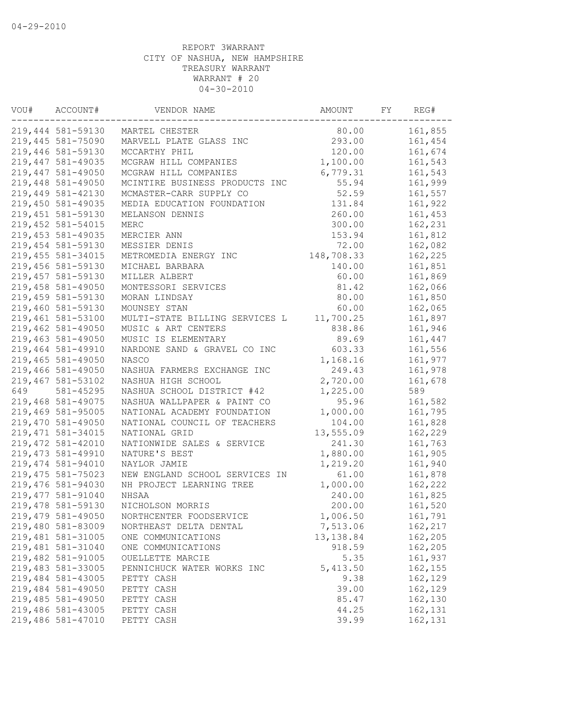| VOU# | ACCOUNT#           | VENDOR NAME                    | AMOUNT     | FY | REG#    |
|------|--------------------|--------------------------------|------------|----|---------|
|      | 219,444 581-59130  | MARTEL CHESTER                 | 80.00      |    | 161,855 |
|      | 219,445 581-75090  | MARVELL PLATE GLASS INC        | 293.00     |    | 161,454 |
|      | 219,446 581-59130  | MCCARTHY PHIL                  | 120.00     |    | 161,674 |
|      | 219,447 581-49035  | MCGRAW HILL COMPANIES          | 1,100.00   |    | 161,543 |
|      | 219,447 581-49050  | MCGRAW HILL COMPANIES          | 6,779.31   |    | 161,543 |
|      | 219,448 581-49050  | MCINTIRE BUSINESS PRODUCTS INC | 55.94      |    | 161,999 |
|      | 219,449 581-42130  | MCMASTER-CARR SUPPLY CO        | 52.59      |    | 161,557 |
|      | 219,450 581-49035  | MEDIA EDUCATION FOUNDATION     | 131.84     |    | 161,922 |
|      | 219,451 581-59130  | MELANSON DENNIS                | 260.00     |    | 161,453 |
|      | 219,452 581-54015  | MERC                           | 300.00     |    | 162,231 |
|      | 219, 453 581-49035 | MERCIER ANN                    | 153.94     |    | 161,812 |
|      | 219,454 581-59130  | MESSIER DENIS                  | 72.00      |    | 162,082 |
|      | 219, 455 581-34015 | METROMEDIA ENERGY INC          | 148,708.33 |    | 162,225 |
|      | 219,456 581-59130  | MICHAEL BARBARA                | 140.00     |    | 161,851 |
|      | 219,457 581-59130  | MILLER ALBERT                  | 60.00      |    | 161,869 |
|      | 219,458 581-49050  | MONTESSORI SERVICES            | 81.42      |    | 162,066 |
|      | 219,459 581-59130  | MORAN LINDSAY                  | 80.00      |    | 161,850 |
|      | 219,460 581-59130  | MOUNSEY STAN                   | 60.00      |    | 162,065 |
|      | 219,461 581-53100  | MULTI-STATE BILLING SERVICES L | 11,700.25  |    | 161,897 |
|      | 219,462 581-49050  | MUSIC & ART CENTERS            | 838.86     |    | 161,946 |
|      | 219,463 581-49050  | MUSIC IS ELEMENTARY            | 89.69      |    | 161,447 |
|      | 219,464 581-49910  | NARDONE SAND & GRAVEL CO INC   | 603.33     |    | 161,556 |
|      | 219,465 581-49050  | NASCO                          | 1,168.16   |    | 161,977 |
|      | 219,466 581-49050  | NASHUA FARMERS EXCHANGE INC    | 249.43     |    | 161,978 |
|      | 219,467 581-53102  | NASHUA HIGH SCHOOL             | 2,720.00   |    | 161,678 |
| 649  | 581-45295          | NASHUA SCHOOL DISTRICT #42     | 1,225.00   |    | 589     |
|      | 219,468 581-49075  | NASHUA WALLPAPER & PAINT CO    | 95.96      |    | 161,582 |
|      | 219,469 581-95005  | NATIONAL ACADEMY FOUNDATION    | 1,000.00   |    | 161,795 |
|      | 219,470 581-49050  | NATIONAL COUNCIL OF TEACHERS   | 104.00     |    | 161,828 |
|      | 219, 471 581-34015 | NATIONAL GRID                  | 13,555.09  |    | 162,229 |
|      | 219,472 581-42010  | NATIONWIDE SALES & SERVICE     | 241.30     |    | 161,763 |
|      | 219, 473 581-49910 | NATURE'S BEST                  | 1,880.00   |    | 161,905 |
|      | 219,474 581-94010  | NAYLOR JAMIE                   | 1,219.20   |    | 161,940 |
|      | 219, 475 581-75023 | NEW ENGLAND SCHOOL SERVICES IN | 61.00      |    | 161,878 |
|      | 219,476 581-94030  | NH PROJECT LEARNING TREE       | 1,000.00   |    | 162,222 |
|      | 219, 477 581-91040 | NHSAA                          | 240.00     |    | 161,825 |
|      | 219,478 581-59130  | NICHOLSON MORRIS               | 200.00     |    | 161,520 |
|      | 219,479 581-49050  | NORTHCENTER FOODSERVICE        | 1,006.50   |    | 161,791 |
|      | 219,480 581-83009  | NORTHEAST DELTA DENTAL         | 7,513.06   |    | 162,217 |
|      | 219,481 581-31005  | ONE COMMUNICATIONS             | 13, 138.84 |    | 162,205 |
|      | 219,481 581-31040  | ONE COMMUNICATIONS             | 918.59     |    | 162,205 |
|      | 219,482 581-91005  | OUELLETTE MARCIE               | 5.35       |    | 161,937 |
|      | 219,483 581-33005  | PENNICHUCK WATER WORKS INC     | 5, 413.50  |    | 162,155 |
|      | 219,484 581-43005  | PETTY CASH                     | 9.38       |    | 162,129 |
|      | 219,484 581-49050  | PETTY CASH                     | 39.00      |    | 162,129 |
|      | 219,485 581-49050  | PETTY CASH                     | 85.47      |    | 162,130 |
|      | 219,486 581-43005  | PETTY CASH                     | 44.25      |    | 162,131 |
|      | 219,486 581-47010  | PETTY CASH                     | 39.99      |    | 162,131 |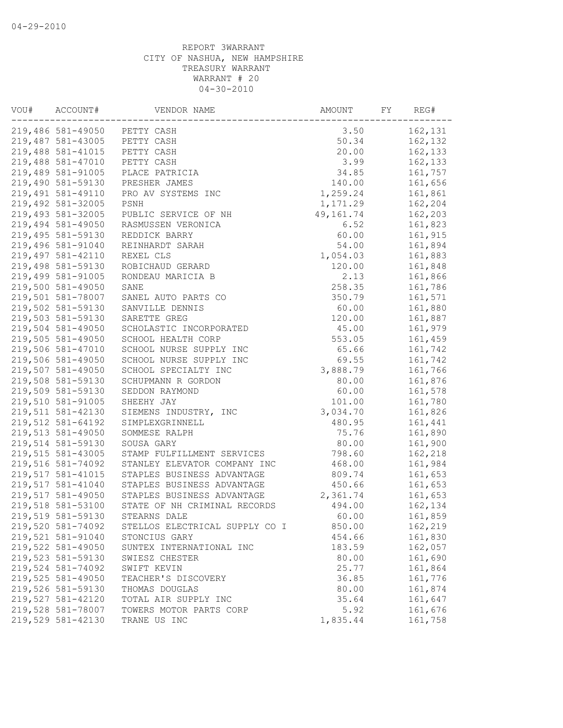| VOU# | ACCOUNT#          | VENDOR NAME                    | AMOUNT          | FY | REG#               |
|------|-------------------|--------------------------------|-----------------|----|--------------------|
|      | 219,486 581-49050 | PETTY CASH                     | 3.50            |    | 162,131            |
|      | 219,487 581-43005 | PETTY CASH                     | 50.34           |    | 162,132            |
|      | 219,488 581-41015 | PETTY CASH                     | 20.00           |    | 162,133            |
|      | 219,488 581-47010 | PETTY CASH                     | 3.99            |    | 162,133            |
|      | 219,489 581-91005 | PLACE PATRICIA                 | 34.85           |    | 161,757            |
|      | 219,490 581-59130 | PRESHER JAMES                  | 140.00          |    | 161,656            |
|      | 219,491 581-49110 | PRO AV SYSTEMS INC             | 1,259.24        |    | 161,861            |
|      | 219,492 581-32005 | PSNH                           | 1,171.29        |    | 162,204            |
|      | 219,493 581-32005 | PUBLIC SERVICE OF NH           | 49,161.74       |    | 162,203            |
|      | 219,494 581-49050 | RASMUSSEN VERONICA             | 6.52            |    | 161,823            |
|      | 219,495 581-59130 | REDDICK BARRY                  | 60.00           |    | 161,915            |
|      | 219,496 581-91040 | REINHARDT SARAH                | 54.00           |    | 161,894            |
|      | 219,497 581-42110 | REXEL CLS                      | 1,054.03        |    | 161,883            |
|      | 219,498 581-59130 | ROBICHAUD GERARD               | 120.00          |    | 161,848            |
|      | 219,499 581-91005 | RONDEAU MARICIA B              | 2.13            |    | 161,866            |
|      | 219,500 581-49050 | SANE                           | 258.35          |    | 161,786            |
|      | 219,501 581-78007 | SANEL AUTO PARTS CO            | 350.79          |    | 161,571            |
|      | 219,502 581-59130 | SANVILLE DENNIS                | 60.00           |    | 161,880            |
|      | 219,503 581-59130 | SARETTE GREG                   | 120.00          |    | 161,887            |
|      | 219,504 581-49050 | SCHOLASTIC INCORPORATED        | 45.00           |    | 161,979            |
|      | 219,505 581-49050 | SCHOOL HEALTH CORP             | 553.05          |    | 161,459            |
|      | 219,506 581-47010 | SCHOOL NURSE SUPPLY INC        | 65.66           |    | 161,742            |
|      | 219,506 581-49050 | SCHOOL NURSE SUPPLY INC        | 69.55           |    | 161,742            |
|      | 219,507 581-49050 | SCHOOL SPECIALTY INC           | 3,888.79        |    | 161,766            |
|      | 219,508 581-59130 | SCHUPMANN R GORDON             | 80.00           |    | 161,876            |
|      | 219,509 581-59130 | SEDDON RAYMOND                 | 60.00           |    | 161,578            |
|      | 219,510 581-91005 | SHEEHY JAY                     | 101.00          |    | 161,780            |
|      | 219,511 581-42130 | SIEMENS INDUSTRY, INC          | 3,034.70        |    | 161,826            |
|      | 219,512 581-64192 |                                |                 |    |                    |
|      | 219,513 581-49050 | SIMPLEXGRINNELL                | 480.95<br>75.76 |    | 161,441<br>161,890 |
|      | 219,514 581-59130 | SOMMESE RALPH                  | 80.00           |    |                    |
|      |                   | SOUSA GARY                     |                 |    | 161,900            |
|      | 219,515 581-43005 | STAMP FULFILLMENT SERVICES     | 798.60          |    | 162,218            |
|      | 219,516 581-74092 | STANLEY ELEVATOR COMPANY INC   | 468.00          |    | 161,984            |
|      | 219,517 581-41015 | STAPLES BUSINESS ADVANTAGE     | 809.74          |    | 161,653            |
|      | 219,517 581-41040 | STAPLES BUSINESS ADVANTAGE     | 450.66          |    | 161,653            |
|      | 219,517 581-49050 | STAPLES BUSINESS ADVANTAGE     | 2,361.74        |    | 161,653            |
|      | 219,518 581-53100 | STATE OF NH CRIMINAL RECORDS   | 494.00          |    | 162,134            |
|      | 219,519 581-59130 | STEARNS DALE                   | 60.00           |    | 161,859            |
|      | 219,520 581-74092 | STELLOS ELECTRICAL SUPPLY CO I | 850.00          |    | 162,219            |
|      | 219,521 581-91040 | STONCIUS GARY                  | 454.66          |    | 161,830            |
|      | 219,522 581-49050 | SUNTEX INTERNATIONAL INC       | 183.59          |    | 162,057            |
|      | 219,523 581-59130 | SWIESZ CHESTER                 | 80.00           |    | 161,690            |
|      | 219,524 581-74092 | SWIFT KEVIN                    | 25.77           |    | 161,864            |
|      | 219,525 581-49050 | TEACHER'S DISCOVERY            | 36.85           |    | 161,776            |
|      | 219,526 581-59130 | THOMAS DOUGLAS                 | 80.00           |    | 161,874            |
|      | 219,527 581-42120 | TOTAL AIR SUPPLY INC           | 35.64           |    | 161,647            |
|      | 219,528 581-78007 | TOWERS MOTOR PARTS CORP        | 5.92            |    | 161,676            |
|      | 219,529 581-42130 | TRANE US INC                   | 1,835.44        |    | 161,758            |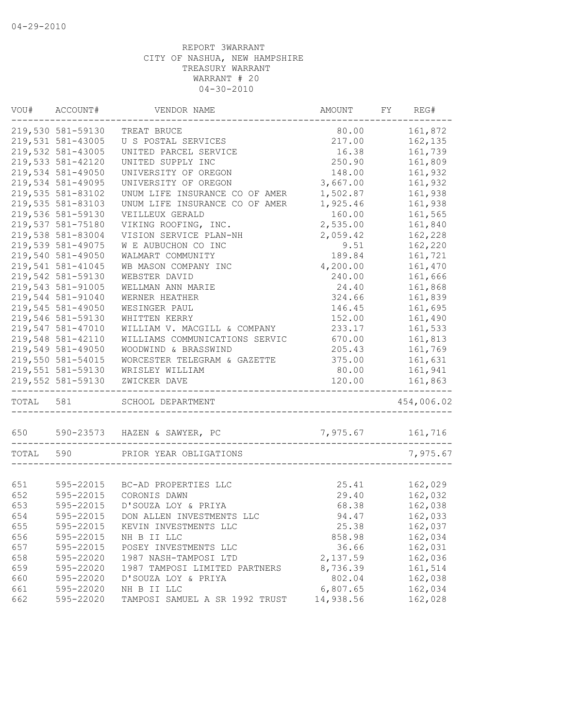|           | VOU# ACCOUNT#     | VENDOR NAME                         | AMOUNT           | FY REG#    |
|-----------|-------------------|-------------------------------------|------------------|------------|
|           | 219,530 581-59130 | TREAT BRUCE                         | 80.00            | 161,872    |
|           | 219,531 581-43005 | U S POSTAL SERVICES                 | 217.00           | 162,135    |
|           | 219,532 581-43005 | UNITED PARCEL SERVICE               | 16.38            | 161,739    |
|           | 219,533 581-42120 | UNITED SUPPLY INC                   | 250.90           | 161,809    |
|           | 219,534 581-49050 | UNIVERSITY OF OREGON                | 148.00           | 161,932    |
|           | 219,534 581-49095 | UNIVERSITY OF OREGON                | 3,667.00         | 161,932    |
|           | 219,535 581-83102 | UNUM LIFE INSURANCE CO OF AMER      | 1,502.87         | 161,938    |
|           | 219,535 581-83103 | UNUM LIFE INSURANCE CO OF AMER      | 1,925.46         | 161,938    |
|           | 219,536 581-59130 | VEILLEUX GERALD                     | 160.00           | 161,565    |
|           | 219,537 581-75180 | VIKING ROOFING, INC.                | 2,535.00         | 161,840    |
|           | 219,538 581-83004 | VISION SERVICE PLAN-NH              | 2,059.42         | 162,228    |
|           | 219,539 581-49075 | W E AUBUCHON CO INC                 | 9.51             | 162,220    |
|           | 219,540 581-49050 | WALMART COMMUNITY                   | 189.84           | 161,721    |
|           | 219,541 581-41045 | WB MASON COMPANY INC                | 4,200.00         | 161,470    |
|           | 219,542 581-59130 | WEBSTER DAVID                       | 240.00           | 161,666    |
|           | 219,543 581-91005 | WELLMAN ANN MARIE                   | 24.40            | 161,868    |
|           | 219,544 581-91040 | WERNER HEATHER                      | 324.66           | 161,839    |
|           | 219,545 581-49050 | WESINGER PAUL                       | 146.45           | 161,695    |
|           | 219,546 581-59130 | WHITTEN KERRY                       | 152.00           | 161,490    |
|           | 219,547 581-47010 | WILLIAM V. MACGILL & COMPANY        | 233.17           | 161,533    |
|           | 219,548 581-42110 | WILLIAMS COMMUNICATIONS SERVIC      | 670.00           | 161,813    |
|           | 219,549 581-49050 | WOODWIND & BRASSWIND                | 205.43           | 161,769    |
|           | 219,550 581-54015 | WORCESTER TELEGRAM & GAZETTE        | 375.00           | 161,631    |
|           | 219,551 581-59130 | WRISLEY WILLIAM                     | 80.00            | 161,941    |
|           | 219,552 581-59130 | ZWICKER DAVE                        | 120.00           | 161,863    |
| TOTAL 581 |                   | SCHOOL DEPARTMENT                   |                  | 454,006.02 |
|           |                   | 650 590-23573 HAZEN & SAWYER, PC    | 7,975.67 161,716 |            |
| TOTAL 590 |                   | PRIOR YEAR OBLIGATIONS              |                  | 7,975.67   |
|           |                   |                                     |                  |            |
| 651       |                   | 595-22015 BC-AD PROPERTIES LLC      | 25.41            | 162,029    |
| 652       | 595-22015         | CORONIS DAWN                        | 29.40            | 162,032    |
| 653       | 595-22015         | D'SOUZA LOY & PRIYA                 | 68.38            | 162,038    |
| 654       |                   | 595-22015 DON ALLEN INVESTMENTS LLC | 94.47            | 162,033    |
| 655       | 595-22015         | KEVIN INVESTMENTS LLC               | 25.38            | 162,037    |
| 656       | 595-22015         | NH B II LLC                         | 858.98           | 162,034    |
| 657       | 595-22015         | POSEY INVESTMENTS LLC               | 36.66            | 162,031    |
| 658       | 595-22020         | 1987 NASH-TAMPOSI LTD               | 2,137.59         | 162,036    |
| 659       | 595-22020         | 1987 TAMPOSI LIMITED PARTNERS       | 8,736.39         | 161,514    |
| 660       | 595-22020         | D'SOUZA LOY & PRIYA                 | 802.04           | 162,038    |
| 661       | 595-22020         | NH B II LLC                         | 6,807.65         | 162,034    |
| 662       | 595-22020         | TAMPOSI SAMUEL A SR 1992 TRUST      | 14,938.56        | 162,028    |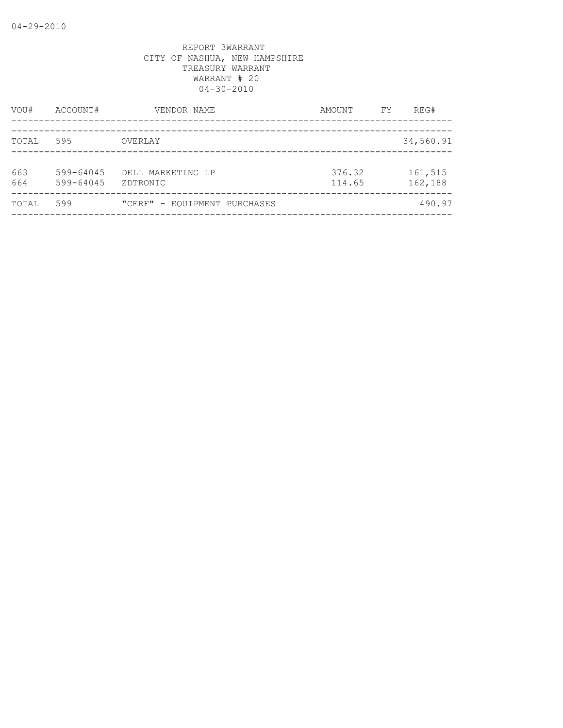| VOU#       | ACCOUNT#               | VENDOR NAME                   | AMOUNT           | FY | REG#               |
|------------|------------------------|-------------------------------|------------------|----|--------------------|
| TOTAL      | 595                    | OVERLAY                       |                  |    | 34,560.91          |
| 663<br>664 | 599-64045<br>599-64045 | DELL MARKETING LP<br>ZDTRONIC | 376.32<br>114.65 |    | 161,515<br>162,188 |
| TOTAL      | 599                    | "CERF" - EQUIPMENT PURCHASES  |                  |    | 490.97             |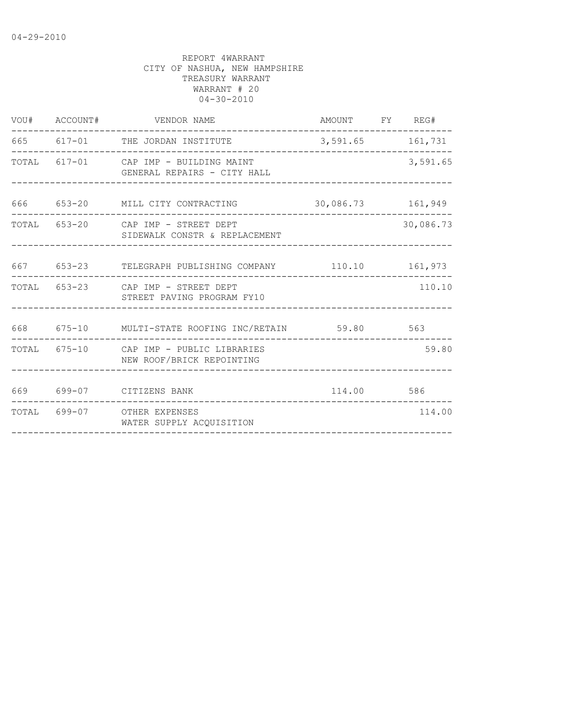|                               |                                                                                                                                                                                                                                                                                                                                                      |                          | 3,591.65                                                                                                                                                                                                                |
|-------------------------------|------------------------------------------------------------------------------------------------------------------------------------------------------------------------------------------------------------------------------------------------------------------------------------------------------------------------------------------------------|--------------------------|-------------------------------------------------------------------------------------------------------------------------------------------------------------------------------------------------------------------------|
|                               |                                                                                                                                                                                                                                                                                                                                                      |                          |                                                                                                                                                                                                                         |
| SIDEWALK CONSTR & REPLACEMENT |                                                                                                                                                                                                                                                                                                                                                      |                          | 30,086.73                                                                                                                                                                                                               |
|                               |                                                                                                                                                                                                                                                                                                                                                      |                          |                                                                                                                                                                                                                         |
|                               |                                                                                                                                                                                                                                                                                                                                                      |                          | 110.10                                                                                                                                                                                                                  |
|                               |                                                                                                                                                                                                                                                                                                                                                      |                          |                                                                                                                                                                                                                         |
| NEW ROOF/BRICK REPOINTING     |                                                                                                                                                                                                                                                                                                                                                      |                          | 59.80                                                                                                                                                                                                                   |
|                               |                                                                                                                                                                                                                                                                                                                                                      |                          |                                                                                                                                                                                                                         |
| WATER SUPPLY ACQUISITION      |                                                                                                                                                                                                                                                                                                                                                      |                          | 114.00                                                                                                                                                                                                                  |
|                               | VOU# ACCOUNT# VENDOR NAME<br>665 617-01 THE JORDAN INSTITUTE<br>TOTAL 617-01 CAP IMP - BUILDING MAINT<br>GENERAL REPAIRS - CITY HALL<br>TOTAL 653-20 CAP IMP - STREET DEPT<br>TOTAL 653-23 CAP IMP - STREET DEPT<br>STREET PAVING PROGRAM FY10<br>TOTAL 675-10 CAP IMP - PUBLIC LIBRARIES<br>669 699-07 CITIZENS BANK<br>TOTAL 699-07 OTHER EXPENSES | ------------------------ | AMOUNT FY REG#<br>3,591.65 161,731<br>666 653-20 MILL CITY CONTRACTING 30,086.73 161,949<br>667 653-23 TELEGRAPH PUBLISHING COMPANY 110.10 161,973<br>668 675-10 MULTI-STATE ROOFING INC/RETAIN 59.80 563<br>114.00 586 |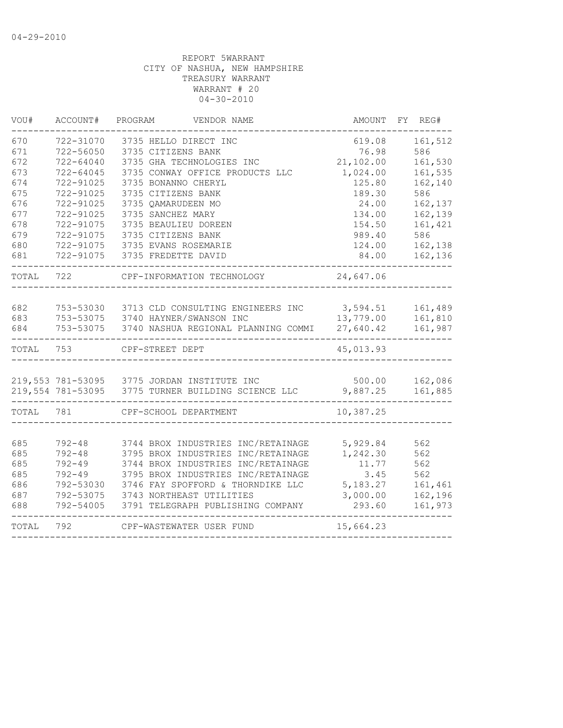| VOU#      | ACCOUNT#      | PROGRAM<br>VENDOR NAME                             | AMOUNT    | FY REG# |
|-----------|---------------|----------------------------------------------------|-----------|---------|
| 670       | 722-31070     | 3735 HELLO DIRECT INC                              | 619.08    | 161,512 |
| 671       | 722-56050     | 3735 CITIZENS BANK                                 | 76.98     | 586     |
| 672       | $722 - 64040$ | 3735 GHA TECHNOLOGIES INC                          | 21,102.00 | 161,530 |
| 673       | $722 - 64045$ | 3735 CONWAY OFFICE PRODUCTS LLC                    | 1,024.00  | 161,535 |
| 674       | 722-91025     | 3735 BONANNO CHERYL                                | 125.80    | 162,140 |
| 675       | 722-91025     | 3735 CITIZENS BANK                                 | 189.30    | 586     |
| 676       | 722-91025     | 3735 QAMARUDEEN MO                                 | 24.00     | 162,137 |
| 677       | 722-91025     | 3735 SANCHEZ MARY                                  | 134.00    | 162,139 |
| 678       | 722-91075     | 3735 BEAULIEU DOREEN                               | 154.50    | 161,421 |
| 679       | 722-91075     | 3735 CITIZENS BANK                                 | 989.40    | 586     |
| 680       | 722-91075     | 3735 EVANS ROSEMARIE                               | 124.00    | 162,138 |
| 681       | 722-91075     | 3735 FREDETTE DAVID                                | 84.00     | 162,136 |
| TOTAL     | 722           | CPF-INFORMATION TECHNOLOGY                         | 24,647.06 |         |
|           |               |                                                    |           |         |
| 682       | 753-53030     | 3713 CLD CONSULTING ENGINEERS INC                  | 3,594.51  | 161,489 |
| 683       |               | 753-53075 3740 HAYNER/SWANSON INC                  | 13,779.00 | 161,810 |
| 684       | 753-53075     | 3740 NASHUA REGIONAL PLANNING COMMI                | 27,640.42 | 161,987 |
| TOTAL     | 753           | CPF-STREET DEPT                                    | 45,013.93 |         |
|           |               |                                                    |           |         |
|           |               | 219,553 781-53095 3775 JORDAN INSTITUTE INC        | 500.00    | 162,086 |
|           |               | 219,554 781-53095 3775 TURNER BUILDING SCIENCE LLC | 9,887.25  | 161,885 |
| TOTAL 781 |               | CPF-SCHOOL DEPARTMENT                              | 10,387.25 |         |
| 685       | $792 - 48$    | 3744 BROX INDUSTRIES INC/RETAINAGE                 | 5,929.84  | 562     |
| 685       | $792 - 48$    | 3795 BROX INDUSTRIES INC/RETAINAGE                 | 1,242.30  | 562     |
| 685       | $792 - 49$    | 3744 BROX INDUSTRIES INC/RETAINAGE                 | 11.77     | 562     |
| 685       | $792 - 49$    | 3795 BROX INDUSTRIES INC/RETAINAGE                 | 3.45      | 562     |
| 686       | 792-53030     | 3746 FAY SPOFFORD & THORNDIKE LLC                  | 5,183.27  | 161,461 |
| 687       | 792-53075     | 3743 NORTHEAST UTILITIES                           | 3,000.00  | 162,196 |
| 688       | 792-54005     | 3791 TELEGRAPH PUBLISHING COMPANY                  | 293.60    | 161,973 |
| TOTAL     | 792           | CPF-WASTEWATER USER FUND                           | 15,664.23 |         |
|           |               |                                                    |           |         |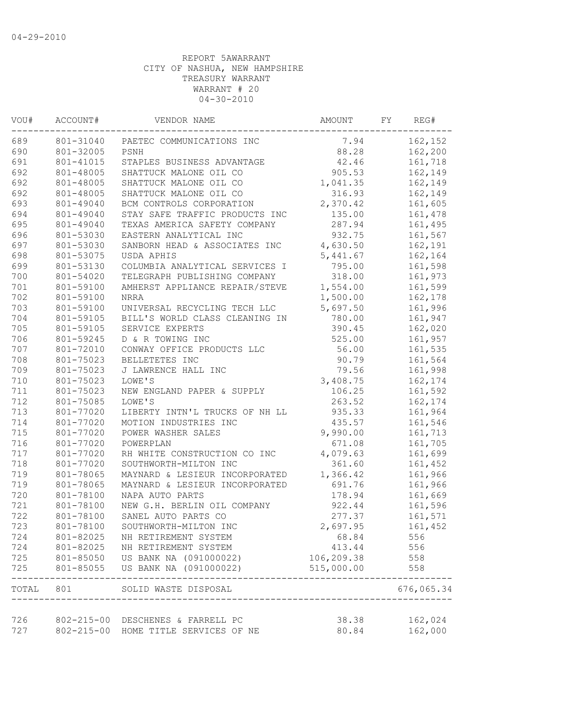| VOU#      | ACCOUNT#<br>VENDOR NAME |                                   | AMOUNT     | FY | REG#       |
|-----------|-------------------------|-----------------------------------|------------|----|------------|
| 689       | 801-31040               | PAETEC COMMUNICATIONS INC         | 7.94       |    | 162,152    |
| 690       | 801-32005               | 88.28<br>PSNH                     |            |    | 162,200    |
| 691       | 801-41015               | STAPLES BUSINESS ADVANTAGE        | 42.46      |    | 161,718    |
| 692       | 801-48005               | SHATTUCK MALONE OIL CO            | 905.53     |    | 162,149    |
| 692       | 801-48005               | SHATTUCK MALONE OIL CO            | 1,041.35   |    | 162,149    |
| 692       | 801-48005               | SHATTUCK MALONE OIL CO            | 316.93     |    | 162,149    |
| 693       | 801-49040               | BCM CONTROLS CORPORATION          | 2,370.42   |    | 161,605    |
| 694       | 801-49040               | STAY SAFE TRAFFIC PRODUCTS INC    | 135.00     |    | 161,478    |
| 695       | 801-49040               | TEXAS AMERICA SAFETY COMPANY      | 287.94     |    | 161,495    |
| 696       | 801-53030               | EASTERN ANALYTICAL INC            | 932.75     |    | 161,567    |
| 697       | 801-53030               | SANBORN HEAD & ASSOCIATES INC     | 4,630.50   |    | 162,191    |
| 698       | 801-53075               | USDA APHIS                        | 5,441.67   |    | 162,164    |
| 699       | 801-53130               | COLUMBIA ANALYTICAL SERVICES I    | 795.00     |    | 161,598    |
| 700       | 801-54020               | TELEGRAPH PUBLISHING COMPANY      | 318.00     |    | 161,973    |
| 701       | 801-59100               | AMHERST APPLIANCE REPAIR/STEVE    | 1,554.00   |    | 161,599    |
| 702       | 801-59100               | <b>NRRA</b>                       | 1,500.00   |    | 162,178    |
| 703       | 801-59100               | UNIVERSAL RECYCLING TECH LLC      | 5,697.50   |    | 161,996    |
| 704       | 801-59105               | BILL'S WORLD CLASS CLEANING IN    | 780.00     |    | 161,947    |
| 705       | 801-59105               | SERVICE EXPERTS                   | 390.45     |    | 162,020    |
| 706       | 801-59245               | D & R TOWING INC                  | 525.00     |    | 161,957    |
| 707       | 801-72010               | CONWAY OFFICE PRODUCTS LLC        | 56.00      |    | 161,535    |
| 708       | 801-75023               | BELLETETES INC                    | 90.79      |    | 161,564    |
| 709       | 801-75023               | J LAWRENCE HALL INC               | 79.56      |    | 161,998    |
| 710       | 801-75023               | LOWE'S                            | 3,408.75   |    | 162,174    |
| 711       | 801-75023               | NEW ENGLAND PAPER & SUPPLY        | 106.25     |    | 161,592    |
| 712       | 801-75085               | LOWE'S                            | 263.52     |    | 162,174    |
| 713       | 801-77020               | LIBERTY INTN'L TRUCKS OF NH LL    | 935.33     |    | 161,964    |
| 714       | 801-77020               | MOTION INDUSTRIES INC             | 435.57     |    | 161,546    |
| 715       | 801-77020               | POWER WASHER SALES                | 9,990.00   |    | 161,713    |
| 716       | 801-77020               | POWERPLAN                         | 671.08     |    | 161,705    |
| 717       | 801-77020               | RH WHITE CONSTRUCTION CO INC      | 4,079.63   |    | 161,699    |
| 718       | 801-77020               | SOUTHWORTH-MILTON INC             | 361.60     |    | 161,452    |
| 719       | 801-78065               | MAYNARD & LESIEUR INCORPORATED    | 1,366.42   |    | 161,966    |
| 719       | 801-78065               | MAYNARD & LESIEUR INCORPORATED    | 691.76     |    | 161,966    |
| 720       | 801-78100               | NAPA AUTO PARTS                   | 178.94     |    | 161,669    |
| 721       | 801-78100               | NEW G.H. BERLIN OIL COMPANY       | 922.44     |    | 161,596    |
| 722       | 801-78100               | SANEL AUTO PARTS CO               | 277.37     |    | 161,571    |
| 723       | 801-78100               | SOUTHWORTH-MILTON INC             | 2,697.95   |    | 161,452    |
| 724       | 801-82025               | NH RETIREMENT SYSTEM              | 68.84      |    | 556        |
| 724       | 801-82025               | NH RETIREMENT SYSTEM              | 413.44     |    | 556        |
| 725       |                         | 801-85050 US BANK NA (091000022)  | 106,209.38 |    | 558        |
| 725       | 801-85055               | US BANK NA (091000022)            | 515,000.00 |    | 558        |
| TOTAL 801 |                         | SOLID WASTE DISPOSAL              |            |    | 676,065.34 |
|           |                         |                                   |            |    |            |
| 726       |                         | 802-215-00 DESCHENES & FARRELL PC | 38.38      |    | 162,024    |
| 727       | $802 - 215 - 00$        | HOME TITLE SERVICES OF NE         | 80.84      |    | 162,000    |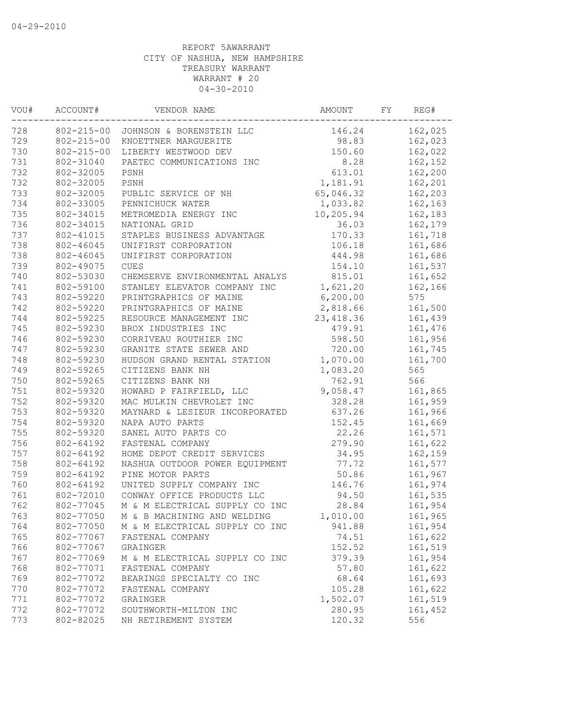| VOU#                    | ACCOUNT#         | VENDOR NAME                    | AMOUNT     | REG# |         |
|-------------------------|------------------|--------------------------------|------------|------|---------|
| 728<br>$802 - 215 - 00$ |                  | JOHNSON & BORENSTEIN LLC       | 146.24     |      | 162,025 |
| 729                     | $802 - 215 - 00$ | KNOETTNER MARGUERITE           | 98.83      |      | 162,023 |
| 730                     | $802 - 215 - 00$ | LIBERTY WESTWOOD DEV           | 150.60     |      | 162,022 |
| 731                     | 802-31040        | PAETEC COMMUNICATIONS INC      | 8.28       |      | 162,152 |
| 732                     | 802-32005        | PSNH                           | 613.01     |      | 162,200 |
| 732                     | 802-32005        | PSNH                           | 1,181.91   |      | 162,201 |
| 733                     | 802-32005        | PUBLIC SERVICE OF NH           | 65,046.32  |      | 162,203 |
| 734                     | 802-33005        | PENNICHUCK WATER               | 1,033.82   |      | 162,163 |
| 735                     | 802-34015        | METROMEDIA ENERGY INC          | 10,205.94  |      | 162,183 |
| 736                     | 802-34015        | NATIONAL GRID                  | 36.03      |      | 162,179 |
| 737                     | 802-41015        | STAPLES BUSINESS ADVANTAGE     | 170.33     |      | 161,718 |
| 738                     | 802-46045        | UNIFIRST CORPORATION           | 106.18     |      | 161,686 |
| 738                     | 802-46045        | UNIFIRST CORPORATION           | 444.98     |      | 161,686 |
| 739                     | 802-49075        | <b>CUES</b>                    | 154.10     |      | 161,537 |
| 740                     | 802-53030        | CHEMSERVE ENVIRONMENTAL ANALYS | 815.01     |      | 161,652 |
| 741                     | 802-59100        | STANLEY ELEVATOR COMPANY INC   | 1,621.20   |      | 162,166 |
| 743                     | 802-59220        | PRINTGRAPHICS OF MAINE         | 6, 200.00  |      | 575     |
| 742                     | 802-59220        | PRINTGRAPHICS OF MAINE         | 2,818.66   |      | 161,500 |
| 744                     | 802-59225        | RESOURCE MANAGEMENT INC        | 23, 418.36 |      | 161,439 |
| 745                     | 802-59230        | BROX INDUSTRIES INC            | 479.91     |      | 161,476 |
| 746                     | 802-59230        | CORRIVEAU ROUTHIER INC         | 598.50     |      | 161,956 |
| 747                     | 802-59230        | GRANITE STATE SEWER AND        | 720.00     |      | 161,745 |
| 748                     | 802-59230        | HUDSON GRAND RENTAL STATION    | 1,070.00   |      | 161,700 |
| 749                     | 802-59265        | CITIZENS BANK NH               | 1,083.20   |      | 565     |
| 750                     | 802-59265        | CITIZENS BANK NH               | 762.91     |      | 566     |
| 751                     | 802-59320        | HOWARD P FAIRFIELD, LLC        | 9,058.47   |      | 161,865 |
| 752                     | 802-59320        | MAC MULKIN CHEVROLET INC       | 328.28     |      | 161,959 |
| 753                     | 802-59320        | MAYNARD & LESIEUR INCORPORATED | 637.26     |      | 161,966 |
| 754                     | 802-59320        | NAPA AUTO PARTS                | 152.45     |      | 161,669 |
| 755                     | 802-59320        | SANEL AUTO PARTS CO            | 22.26      |      | 161,571 |
| 756                     | 802-64192        | FASTENAL COMPANY               | 279.90     |      | 161,622 |
| 757                     | 802-64192        | HOME DEPOT CREDIT SERVICES     | 34.95      |      | 162,159 |
| 758                     | 802-64192        | NASHUA OUTDOOR POWER EQUIPMENT | 77.72      |      | 161,577 |
| 759                     | 802-64192        | PINE MOTOR PARTS               | 50.86      |      | 161,967 |
| 760                     | 802-64192        | UNITED SUPPLY COMPANY INC      | 146.76     |      | 161,974 |
| 761                     | 802-72010        | CONWAY OFFICE PRODUCTS LLC     | 94.50      |      | 161,535 |
| 762                     | 802-77045        | M & M ELECTRICAL SUPPLY CO INC | 28.84      |      | 161,954 |
| 763                     | 802-77050        | M & B MACHINING AND WELDING    | 1,010.00   |      | 161,965 |
| 764                     | 802-77050        | M & M ELECTRICAL SUPPLY CO INC | 941.88     |      | 161,954 |
| 765                     | 802-77067        | FASTENAL COMPANY               | 74.51      |      | 161,622 |
| 766                     | 802-77067        | GRAINGER                       | 152.52     |      | 161,519 |
| 767                     | 802-77069        | M & M ELECTRICAL SUPPLY CO INC | 379.39     |      | 161,954 |
| 768                     | 802-77071        | FASTENAL COMPANY               | 57.80      |      | 161,622 |
| 769                     | 802-77072        | BEARINGS SPECIALTY CO INC      | 68.64      |      | 161,693 |
| 770                     | 802-77072        | FASTENAL COMPANY               | 105.28     |      | 161,622 |
| 771                     | 802-77072        | GRAINGER                       | 1,502.07   |      | 161,519 |
| 772                     | 802-77072        | SOUTHWORTH-MILTON INC          | 280.95     |      | 161,452 |
| 773                     | 802-82025        | NH RETIREMENT SYSTEM           | 120.32     |      | 556     |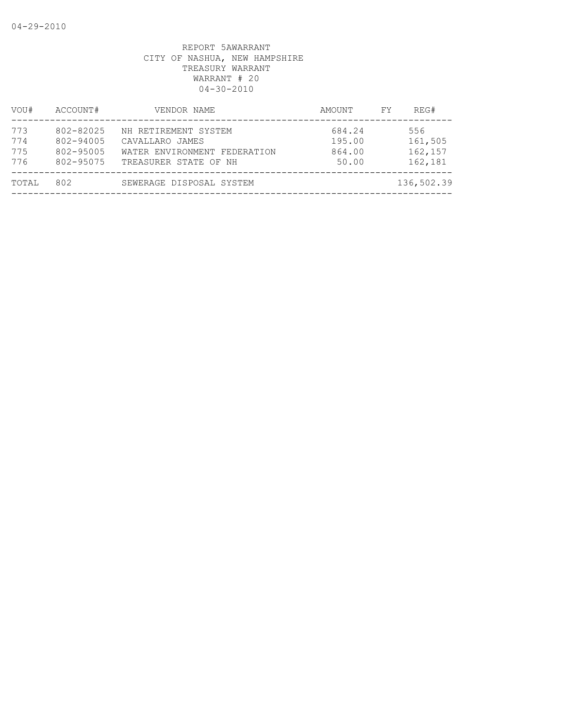| VOU#                     | ACCOUNT#                                         | VENDOR NAME                                                                                      | AMOUNT                              | FY. | REG#                                 |
|--------------------------|--------------------------------------------------|--------------------------------------------------------------------------------------------------|-------------------------------------|-----|--------------------------------------|
| 773<br>774<br>775<br>776 | 802-82025<br>802-94005<br>802-95005<br>802-95075 | NH RETIREMENT SYSTEM<br>CAVALLARO JAMES<br>WATER ENVIRONMENT FEDERATION<br>TREASURER STATE OF NH | 684.24<br>195.00<br>864.00<br>50.00 |     | 556<br>161,505<br>162,157<br>162,181 |
| TOTAL                    | 802                                              | SEWERAGE DISPOSAL SYSTEM                                                                         |                                     |     | 136,502.39                           |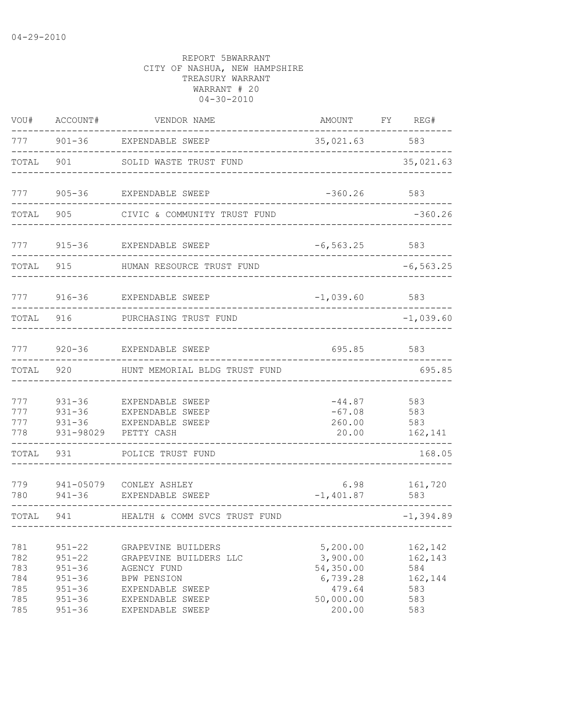| VOU#                                          | ACCOUNT#                                                                                       | VENDOR NAME                                                                                                                                   | AMOUNT                                                                         | FY REG#                                                   |
|-----------------------------------------------|------------------------------------------------------------------------------------------------|-----------------------------------------------------------------------------------------------------------------------------------------------|--------------------------------------------------------------------------------|-----------------------------------------------------------|
| 777                                           | $901 - 36$                                                                                     | EXPENDABLE SWEEP                                                                                                                              | 35,021.63                                                                      | 583                                                       |
| TOTAL                                         | 901                                                                                            | SOLID WASTE TRUST FUND                                                                                                                        |                                                                                | 35,021.63                                                 |
| 777                                           |                                                                                                | 905-36 EXPENDABLE SWEEP                                                                                                                       | $-360.26$                                                                      | 583                                                       |
| TOTAL                                         | 905                                                                                            | CIVIC & COMMUNITY TRUST FUND                                                                                                                  |                                                                                | $-360.26$                                                 |
| 777                                           | $915 - 36$                                                                                     | EXPENDABLE SWEEP                                                                                                                              | $-6, 563.25$                                                                   | 583                                                       |
| TOTAL                                         | 915                                                                                            | HUMAN RESOURCE TRUST FUND                                                                                                                     |                                                                                | $-6, 563.25$                                              |
| 777                                           |                                                                                                | 916-36 EXPENDABLE SWEEP                                                                                                                       | $-1,039.60$ 583                                                                |                                                           |
| TOTAL                                         | 916                                                                                            | PURCHASING TRUST FUND                                                                                                                         |                                                                                | $-1,039.60$                                               |
| 777                                           |                                                                                                | 920-36 EXPENDABLE SWEEP                                                                                                                       | 695.85                                                                         | 583                                                       |
| TOTAL                                         | 920                                                                                            | HUNT MEMORIAL BLDG TRUST FUND                                                                                                                 |                                                                                | 695.85                                                    |
| 777<br>777<br>777<br>778                      | $931 - 36$<br>$931 - 36$<br>$931 - 36$<br>931-98029                                            | EXPENDABLE SWEEP<br>EXPENDABLE SWEEP<br>EXPENDABLE SWEEP<br>PETTY CASH                                                                        | $-44.87$<br>$-67.08$<br>260.00<br>20.00                                        | 583<br>583<br>583<br>162,141                              |
| TOTAL                                         | 931                                                                                            | POLICE TRUST FUND                                                                                                                             |                                                                                | 168.05                                                    |
| 779<br>780                                    | 941-05079<br>941-36                                                                            | CONLEY ASHLEY<br>EXPENDABLE SWEEP                                                                                                             | 6.98<br>$-1,401.87$                                                            | 161,720<br>583                                            |
| TOTAL                                         | 941                                                                                            | HEALTH & COMM SVCS TRUST FUND                                                                                                                 |                                                                                | $-1, 394.89$                                              |
| 781<br>782<br>783<br>784<br>785<br>785<br>785 | $951 - 22$<br>$951 - 22$<br>$951 - 36$<br>$951 - 36$<br>$951 - 36$<br>$951 - 36$<br>$951 - 36$ | GRAPEVINE BUILDERS<br>GRAPEVINE BUILDERS LLC<br>AGENCY FUND<br><b>BPW PENSION</b><br>EXPENDABLE SWEEP<br>EXPENDABLE SWEEP<br>EXPENDABLE SWEEP | 5,200.00<br>3,900.00<br>54,350.00<br>6,739.28<br>479.64<br>50,000.00<br>200.00 | 162,142<br>162,143<br>584<br>162,144<br>583<br>583<br>583 |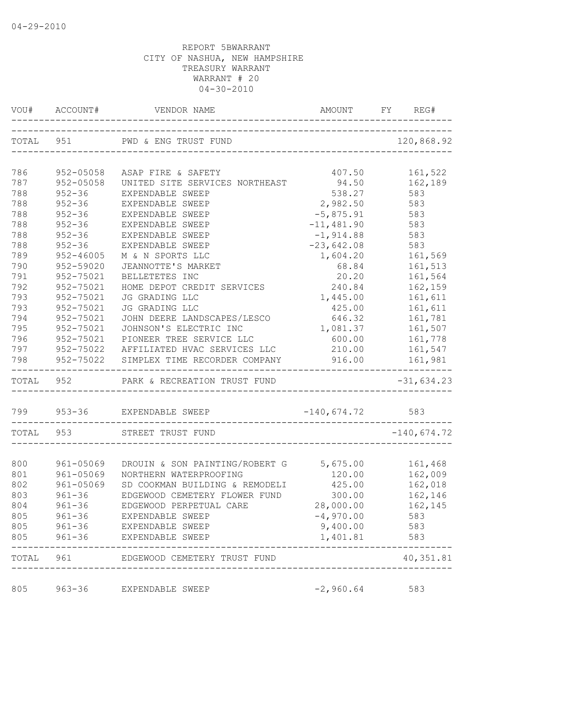|            | VOU# ACCOUNT# VENDOR NAME AND AMOUNT FY RE |                                         |                                   | AMOUNT FY REG#     |
|------------|--------------------------------------------|-----------------------------------------|-----------------------------------|--------------------|
|            |                                            | TOTAL 951 PWD & ENG TRUST FUND          |                                   | 120,868.92         |
|            |                                            |                                         |                                   |                    |
| 786        | 952-05058                                  | ASAP FIRE & SAFETY                      | 407.50                            | 161,522            |
| 787        | 952-05058                                  | UNITED SITE SERVICES NORTHEAST          | 94.50                             | 162,189            |
| 788        | $952 - 36$                                 | EXPENDABLE SWEEP                        | 538.27                            | 583                |
| 788        | $952 - 36$                                 | EXPENDABLE SWEEP                        | 2,982.50                          | 583                |
| 788        | $952 - 36$                                 | EXPENDABLE SWEEP                        | $-5,875.91$                       | 583                |
| 788        | $952 - 36$                                 | EXPENDABLE SWEEP                        | $-11,481.90$                      | 583                |
| 788        | $952 - 36$                                 | EXPENDABLE SWEEP                        | $-1,914.88$                       | 583                |
| 788        | $952 - 36$                                 | EXPENDABLE SWEEP                        | $-23,642.08$                      | 583                |
| 789<br>790 | 952-46005                                  | M & N SPORTS LLC                        | 1,604.20                          | 161,569            |
|            | 952-59020                                  | JEANNOTTE'S MARKET                      | 68.84                             | 161,513            |
| 791<br>792 | 952-75021<br>952-75021                     | BELLETETES INC                          | 20.20                             | 161,564            |
| 793        | 952-75021                                  | HOME DEPOT CREDIT SERVICES              | 240.84                            | 162,159            |
| 793        | 952-75021                                  | JG GRADING LLC<br>JG GRADING LLC        | 1,445.00<br>425.00                | 161,611<br>161,611 |
| 794        | 952-75021                                  | JOHN DEERE LANDSCAPES/LESCO             | 646.32                            | 161,781            |
| 795        | 952-75021                                  | JOHNSON'S ELECTRIC INC                  | 1,081.37                          | 161,507            |
| 796        | 952-75021                                  | PIONEER TREE SERVICE LLC                | 600.00                            | 161,778            |
| 797        |                                            | 952-75022 AFFILIATED HVAC SERVICES LLC  |                                   | 210.00    161,547  |
| 798        |                                            | 952-75022 SIMPLEX TIME RECORDER COMPANY |                                   | 916.00    161,981  |
|            |                                            |                                         |                                   |                    |
|            | TOTAL 952                                  | PARK & RECREATION TRUST FUND            | _________________________________ | $-31,634.23$       |
|            |                                            | 799 953-36 EXPENDABLE SWEEP             | $-140,674.72$ 583                 |                    |
|            | TOTAL 953                                  | STREET TRUST FUND                       |                                   | $-140,674.72$      |
|            |                                            |                                         |                                   |                    |
| 800        | 961-05069                                  | DROUIN & SON PAINTING/ROBERT G 5,675.00 |                                   | 161,468            |
| 801        | 961-05069                                  | NORTHERN WATERPROOFING                  | 120.00                            | 162,009            |
| 802        | 961-05069                                  | SD COOKMAN BUILDING & REMODELI          | 425.00                            | 162,018            |
| 803        | $961 - 36$                                 | EDGEWOOD CEMETERY FLOWER FUND           | 300.00                            | 162,146            |
| 804        | $961 - 36$                                 | EDGEWOOD PERPETUAL CARE                 | 28,000.00                         | 162,145            |
| 805        | $961 - 36$                                 | EXPENDABLE SWEEP                        | $-4,970.00$                       | 583                |
| 805<br>805 | 961-36<br>$961 - 36$                       | EXPENDABLE SWEEP<br>EXPENDABLE SWEEP    | 9,400.00<br>1,401.81              | 583<br>583         |
|            | TOTAL 961                                  | EDGEWOOD CEMETERY TRUST FUND            |                                   | 40, 351.81         |
|            |                                            |                                         |                                   |                    |
| 805        | $963 - 36$                                 | EXPENDABLE SWEEP                        | $-2,960.64$                       | 583                |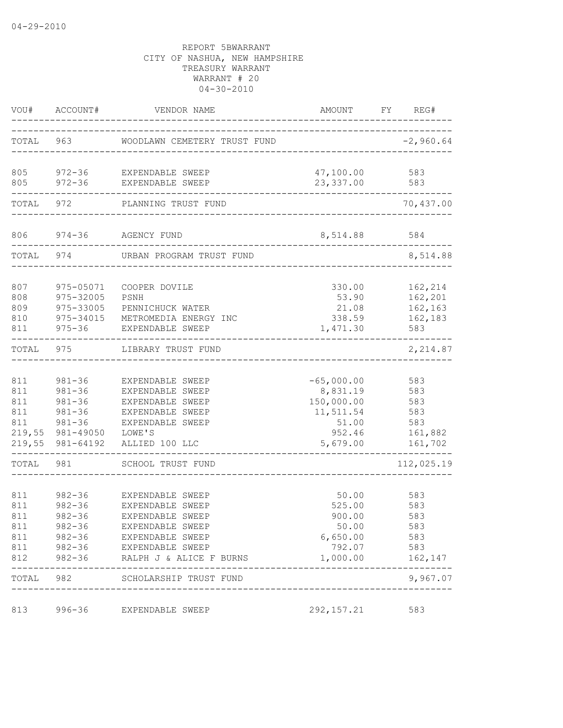|                                 | VOU# ACCOUNT#                                                                                 | VENDOR NAME                                                                                                                                                                             | AMOUNT                                                                             | FY REG#                                               |
|---------------------------------|-----------------------------------------------------------------------------------------------|-----------------------------------------------------------------------------------------------------------------------------------------------------------------------------------------|------------------------------------------------------------------------------------|-------------------------------------------------------|
| TOTAL 963                       |                                                                                               | WOODLAWN CEMETERY TRUST FUND                                                                                                                                                            |                                                                                    | $-2,960.64$                                           |
|                                 |                                                                                               | 805 972-36 EXPENDABLE SWEEP<br>805 972-36 EXPENDABLE SWEEP                                                                                                                              | 47,100.00<br>23,337.00                                                             | 583<br>583                                            |
|                                 | TOTAL 972                                                                                     | PLANNING TRUST FUND                                                                                                                                                                     |                                                                                    | 70,437.00                                             |
|                                 | 806 974-36                                                                                    | AGENCY FUND                                                                                                                                                                             | 8,514.88                                                                           | 584                                                   |
| TOTAL                           | 974                                                                                           | URBAN PROGRAM TRUST FUND                                                                                                                                                                |                                                                                    | 8,514.88                                              |
| 807<br>808<br>809<br>810<br>811 | 975-05071<br>975-32005<br>975-33005                                                           | COOPER DOVILE<br>PSNH<br>PENNICHUCK WATER<br>975-34015 METROMEDIA ENERGY INC<br>975-36 EXPENDABLE SWEEP                                                                                 | 330.00<br>53.90<br>21.08<br>338.59<br>1,471.30                                     | 162,214<br>162,201<br>162,163<br>162,183<br>583       |
| TOTAL                           | 975                                                                                           | LIBRARY TRUST FUND                                                                                                                                                                      |                                                                                    | 2,214.87                                              |
| 811<br>811<br>811<br>811<br>811 | $981 - 36$<br>$981 - 36$<br>$981 - 36$<br>$981 - 36$<br>$981 - 36$<br>219,55 981-49050 LOWE'S | EXPENDABLE SWEEP<br>EXPENDABLE SWEEP<br>EXPENDABLE SWEEP<br>EXPENDABLE SWEEP<br>EXPENDABLE SWEEP<br>219,55 981-64192 ALLIED 100 LLC                                                     | $-65,000.00$<br>8,831.19<br>150,000.00<br>11,511.54<br>51.00<br>952.46<br>5,679.00 | 583<br>583<br>583<br>583<br>583<br>161,882<br>161,702 |
| TOTAL                           | 981                                                                                           | SCHOOL TRUST FUND                                                                                                                                                                       |                                                                                    | 112,025.19                                            |
| 811<br>811<br>811<br>811        | $982 - 36$<br>$982 - 36$<br>982-36                                                            | 982-36 EXPENDABLE SWEEP<br>EXPENDABLE SWEEP<br>EXPENDABLE SWEEP<br>EXPENDABLE SWEEP<br>811 982-36 EXPENDABLE SWEEP<br>811 982-36 EXPENDABLE SWEEP<br>812 982-36 RALPH J & ALICE F BURNS | 50.00<br>525.00<br>900.00<br>50.00<br>6,650.00<br>792.07<br>1,000.00               | 583<br>583<br>583<br>583<br>583<br>583<br>162,147     |
| TOTAL                           | 982                                                                                           | SCHOLARSHIP TRUST FUND                                                                                                                                                                  |                                                                                    | 9,967.07                                              |
| 813                             | 996-36                                                                                        | EXPENDABLE SWEEP                                                                                                                                                                        | 292, 157.21                                                                        | 583                                                   |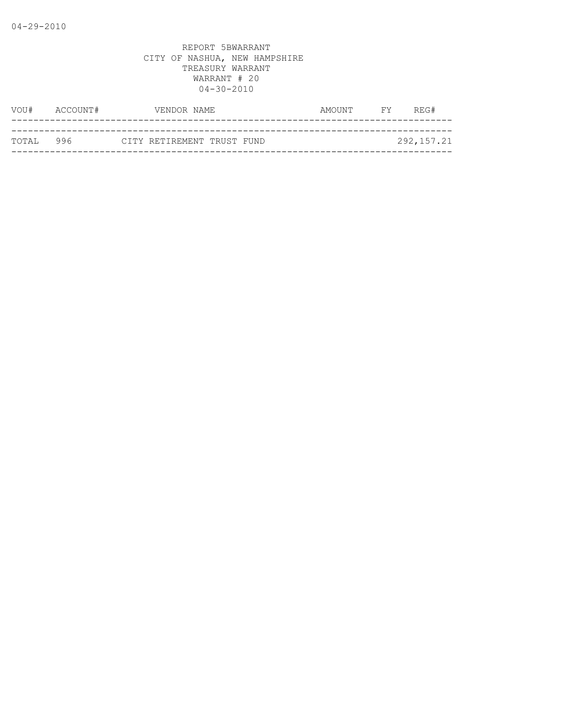| VOU#       | ACCOUNT# | VENDOR NAME                |  | AMOUNT | <b>FY</b> | REG#       |
|------------|----------|----------------------------|--|--------|-----------|------------|
|            |          |                            |  |        |           |            |
| тотат. 996 |          | CITY RETIREMENT TRUST FUND |  |        |           | 292,157.21 |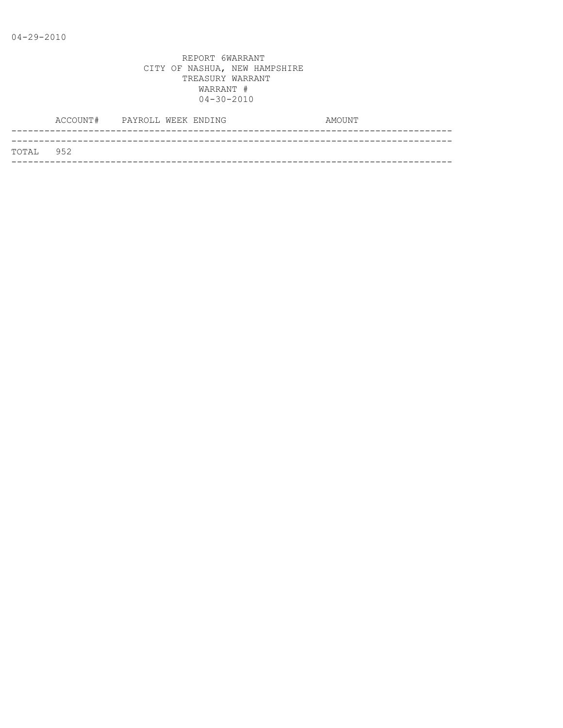|           | ACCOUNT# PAYROLL WEEK ENDING |  |  | AMOUNT |
|-----------|------------------------------|--|--|--------|
|           |                              |  |  |        |
| TOTAL 952 |                              |  |  |        |
|           |                              |  |  |        |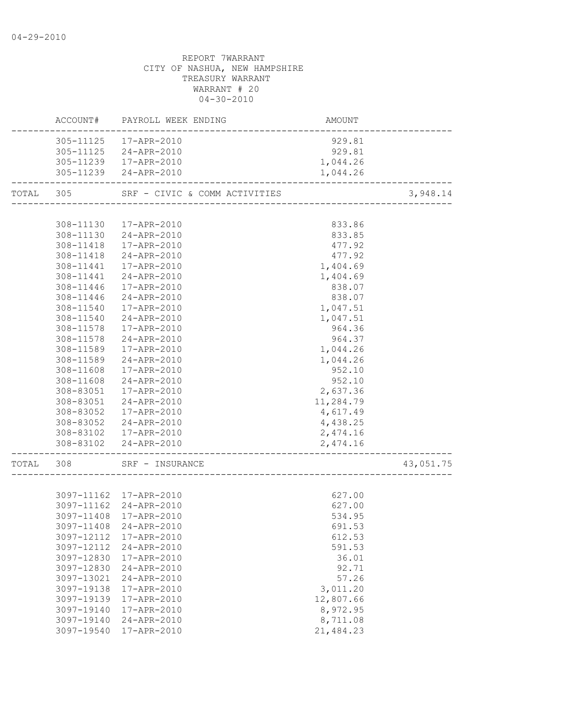REPORT 7WARRANT CITY OF NASHUA, NEW HAMPSHIRE TREASURY WARRANT WARRANT # 20  $04 - 30 - 2010$ ACCOUNT# PAYROLL WEEK ENDING AMOUNT -------------------------------------------------------------------------------- 305-11125 17-APR-2010 929.81 305-11125 24-APR-2010 929.81 305-11239 17-APR-2010 1,044.26 305-11239 24-APR-2010 1,044.26 -------------------------------------------------------------------------------- TOTAL 305 SRF - CIVIC & COMM ACTIVITIES 3,948.14 -------------------------------------------------------------------------------- 308-11130 17-APR-2010 833.86 308-11130 24-APR-2010 833.85 308-11418 17-APR-2010 477.92 308-11418 24-APR-2010 477.92 308-11441 17-APR-2010 1,404.69 308-11441 24-APR-2010 1,404.69 308-11446 17-APR-2010 838.07 308-11446 24-APR-2010 838.07 308-11540 17-APR-2010 1,047.51 308-11540 24-APR-2010 1,047.51 308-11578 17-APR-2010 964.36 308-11578 24-APR-2010 964.37 308-11589 17-APR-2010 1,044.26 308-11589 24-APR-2010 1,044.26 308-11608 17-APR-2010 952.10 308-11608 24-APR-2010 952.10 308-83051 17-APR-2010 2,637.36 308-83051 24-APR-2010 11,284.79 308-83052 17-APR-2010 4,617.49 308-83052 24-APR-2010 4,438.25 308-83102 17-APR-2010 2,474.16 308-83102 24-APR-2010 2,474.16 -------------------------------------------------------------------------------- TOTAL 308 SRF – INSURANCE 43,051.75 -------------------------------------------------------------------------------- 3097-11162 17-APR-2010 627.00 3097-11162 24-APR-2010 627.00 3097-11408 17-APR-2010 534.95 3097-11408 24-APR-2010 691.53 3097-12112 17-APR-2010 612.53 3097-12112 24-APR-2010 591.53 3097-12830 17-APR-2010 36.01 3097-12830 24-APR-2010 92.71 3097-13021 24-APR-2010 57.26 3097-19138 17-APR-2010 3,011.20 3097-19139 17-APR-2010 12,807.66 3097-19140 17-APR-2010 8,972.95

 3097-19140 24-APR-2010 8,711.08 3097-19540 17-APR-2010 21,484.23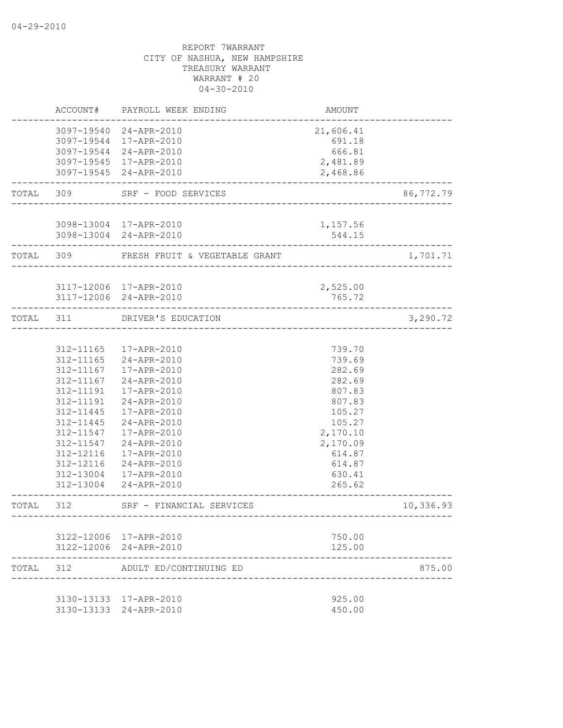|           | ACCOUNT#                                                                                                                                                 | PAYROLL WEEK ENDING                                                                                                                                                                                                                 | AMOUNT                                                                                                                                       |           |
|-----------|----------------------------------------------------------------------------------------------------------------------------------------------------------|-------------------------------------------------------------------------------------------------------------------------------------------------------------------------------------------------------------------------------------|----------------------------------------------------------------------------------------------------------------------------------------------|-----------|
|           |                                                                                                                                                          | 3097-19540 24-APR-2010<br>3097-19544 17-APR-2010<br>3097-19544 24-APR-2010<br>3097-19545 17-APR-2010<br>3097-19545 24-APR-2010                                                                                                      | 21,606.41<br>691.18<br>666.81<br>2,481.89<br>2,468.86                                                                                        |           |
| TOTAL     | 309                                                                                                                                                      | SRF - FOOD SERVICES                                                                                                                                                                                                                 |                                                                                                                                              | 86,772.79 |
|           |                                                                                                                                                          | 3098-13004 17-APR-2010<br>3098-13004 24-APR-2010                                                                                                                                                                                    | 1,157.56<br>544.15                                                                                                                           |           |
| TOTAL 309 |                                                                                                                                                          | FRESH FRUIT & VEGETABLE GRANT                                                                                                                                                                                                       |                                                                                                                                              | 1,701.71  |
|           |                                                                                                                                                          | 3117-12006 17-APR-2010<br>3117-12006 24-APR-2010                                                                                                                                                                                    | 2,525.00<br>765.72                                                                                                                           |           |
| TOTAL     | 311                                                                                                                                                      | DRIVER'S EDUCATION<br>--------------------------                                                                                                                                                                                    |                                                                                                                                              | 3,290.72  |
|           | 312-11167<br>312-11167<br>312-11191<br>312-11191<br>312-11445<br>312-11445<br>312-11547<br>312-11547<br>312-12116<br>312-12116<br>312-13004<br>312-13004 | 312-11165  17-APR-2010<br>312-11165 24-APR-2010<br>17-APR-2010<br>24-APR-2010<br>17-APR-2010<br>24-APR-2010<br>17-APR-2010<br>24-APR-2010<br>17-APR-2010<br>24-APR-2010<br>17-APR-2010<br>24-APR-2010<br>17-APR-2010<br>24-APR-2010 | 739.70<br>739.69<br>282.69<br>282.69<br>807.83<br>807.83<br>105.27<br>105.27<br>2,170.10<br>2,170.09<br>614.87<br>614.87<br>630.41<br>265.62 |           |
| TOTAL     | 312                                                                                                                                                      | SRF - FINANCIAL SERVICES                                                                                                                                                                                                            | ----------------------------------                                                                                                           | 10,336.93 |
|           |                                                                                                                                                          | 3122-12006 17-APR-2010<br>3122-12006 24-APR-2010                                                                                                                                                                                    | 750.00<br>125.00                                                                                                                             |           |
| TOTAL 312 |                                                                                                                                                          | ADULT ED/CONTINUING ED                                                                                                                                                                                                              |                                                                                                                                              | 875.00    |
|           |                                                                                                                                                          | 3130-13133 17-APR-2010<br>3130-13133 24-APR-2010                                                                                                                                                                                    | 925.00<br>450.00                                                                                                                             |           |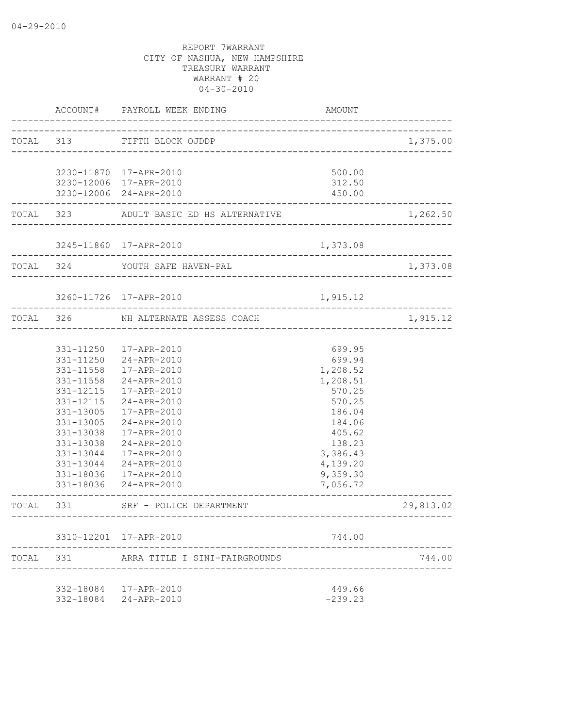|           | ACCOUNT#               | PAYROLL WEEK ENDING                     | AMOUNT           |           |
|-----------|------------------------|-----------------------------------------|------------------|-----------|
|           |                        | TOTAL 313 FIFTH BLOCK OJDDP             |                  | 1,375.00  |
|           |                        |                                         |                  |           |
|           |                        | 3230-11870 17-APR-2010                  | 500.00           |           |
|           |                        | 3230-12006 17-APR-2010                  | 312.50           |           |
|           |                        | 3230-12006 24-APR-2010                  | 450.00           |           |
|           |                        | TOTAL 323 ADULT BASIC ED HS ALTERNATIVE |                  | 1,262.50  |
|           |                        | 3245-11860 17-APR-2010                  | 1,373.08         |           |
|           |                        | ---------------------------             |                  |           |
|           |                        | TOTAL 324 YOUTH SAFE HAVEN-PAL          |                  | 1,373.08  |
|           |                        |                                         |                  |           |
|           |                        | 3260-11726 17-APR-2010                  | 1,915.12         |           |
|           |                        | TOTAL 326 NH ALTERNATE ASSESS COACH     |                  | 1,915.12  |
|           |                        |                                         |                  |           |
|           |                        | 331-11250  17-APR-2010                  | 699.95           |           |
|           |                        | 331-11250 24-APR-2010                   | 699.94           |           |
|           | 331-11558              | 17-APR-2010                             | 1,208.52         |           |
|           | 331-11558              | 24-APR-2010                             | 1,208.51         |           |
|           | 331-12115<br>331-12115 | 17-APR-2010<br>24-APR-2010              | 570.25<br>570.25 |           |
|           | 331-13005              | 17-APR-2010                             | 186.04           |           |
|           | 331-13005              | 24-APR-2010                             | 184.06           |           |
|           | 331-13038              | 17-APR-2010                             | 405.62           |           |
|           | 331-13038              | 24-APR-2010                             | 138.23           |           |
|           | 331-13044              | 17-APR-2010                             | 3,386.43         |           |
|           | 331-13044              | 24-APR-2010                             | 4,139.20         |           |
|           |                        | 331-18036 17-APR-2010                   | 9,359.30         |           |
|           |                        | 331-18036 24-APR-2010                   | 7,056.72         |           |
| TOTAL 331 |                        | SRF - POLICE DEPARTMENT                 |                  | 29,813.02 |
|           |                        |                                         |                  |           |
|           |                        | 3310-12201 17-APR-2010                  | 744.00           |           |
| TOTAL     | 331                    | ARRA TITLE I SINI-FAIRGROUNDS           |                  | 744.00    |
|           |                        |                                         |                  |           |
|           |                        | 332-18084 17-APR-2010                   | 449.66           |           |
|           |                        | 332-18084 24-APR-2010                   | $-239.23$        |           |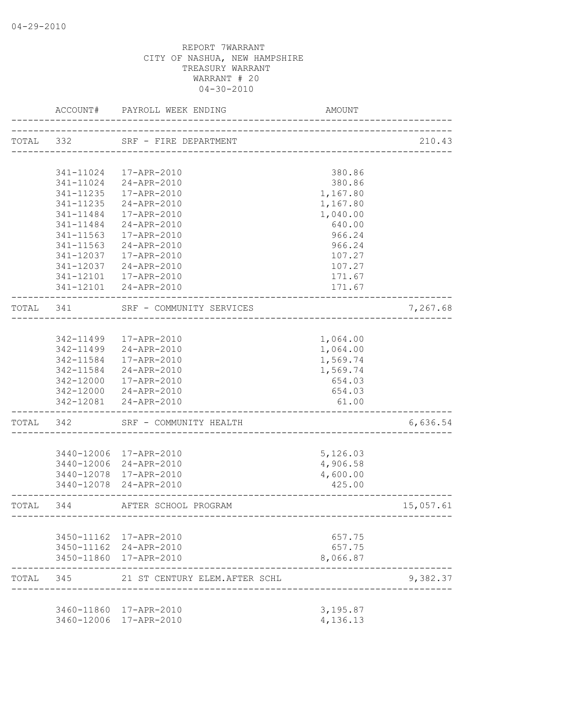|           | ACCOUNT#      | PAYROLL WEEK ENDING                                   | AMOUNT   |           |
|-----------|---------------|-------------------------------------------------------|----------|-----------|
| TOTAL 332 |               | SRF - FIRE DEPARTMENT                                 |          | 210.43    |
|           |               |                                                       |          |           |
|           | 341-11024     | 17-APR-2010                                           | 380.86   |           |
|           | 341-11024     | 24-APR-2010                                           | 380.86   |           |
|           | 341-11235     | 17-APR-2010                                           | 1,167.80 |           |
|           | 341-11235     | 24-APR-2010                                           | 1,167.80 |           |
|           | 341-11484     | 17-APR-2010                                           | 1,040.00 |           |
|           | $341 - 11484$ | 24-APR-2010                                           | 640.00   |           |
|           | 341-11563     | 17-APR-2010                                           | 966.24   |           |
|           | 341-11563     | 24-APR-2010                                           | 966.24   |           |
|           | 341-12037     | 17-APR-2010                                           | 107.27   |           |
|           | 341-12037     | 24-APR-2010                                           | 107.27   |           |
|           | 341-12101     | 17-APR-2010                                           | 171.67   |           |
|           |               | 341-12101 24-APR-2010                                 | 171.67   |           |
| TOTAL 341 |               | SRF - COMMUNITY SERVICES<br>------------------------- |          | 7,267.68  |
|           |               |                                                       |          |           |
|           |               | 342-11499  17-APR-2010                                | 1,064.00 |           |
|           |               | 342-11499 24-APR-2010                                 | 1,064.00 |           |
|           | 342-11584     | 17-APR-2010                                           | 1,569.74 |           |
|           | 342-11584     | 24-APR-2010                                           | 1,569.74 |           |
|           | 342-12000     | 17-APR-2010                                           | 654.03   |           |
|           | 342-12000     | 24-APR-2010                                           | 654.03   |           |
|           |               | 342-12081 24-APR-2010                                 | 61.00    |           |
| TOTAL     | 342           | SRF - COMMUNITY HEALTH                                |          | 6,636.54  |
|           |               |                                                       |          |           |
|           |               | 3440-12006 17-APR-2010                                | 5,126.03 |           |
|           |               | 3440-12006 24-APR-2010                                | 4,906.58 |           |
|           | 3440-12078    | 17-APR-2010                                           | 4,600.00 |           |
|           | 3440-12078    | 24-APR-2010                                           | 425.00   |           |
| TOTAL 344 |               | AFTER SCHOOL PROGRAM                                  |          | 15,057.61 |
|           |               |                                                       |          |           |
|           |               | 3450-11162 17-APR-2010                                | 657.75   |           |
|           |               | 3450-11162 24-APR-2010                                | 657.75   |           |
|           |               | 3450-11860 17-APR-2010                                | 8,066.87 |           |
| TOTAL     | 345           | 21 ST CENTURY ELEM.AFTER SCHL                         |          | 9,382.37  |
|           |               | 3460-11860 17-APR-2010                                | 3,195.87 |           |
|           |               | 3460-12006 17-APR-2010                                | 4,136.13 |           |
|           |               |                                                       |          |           |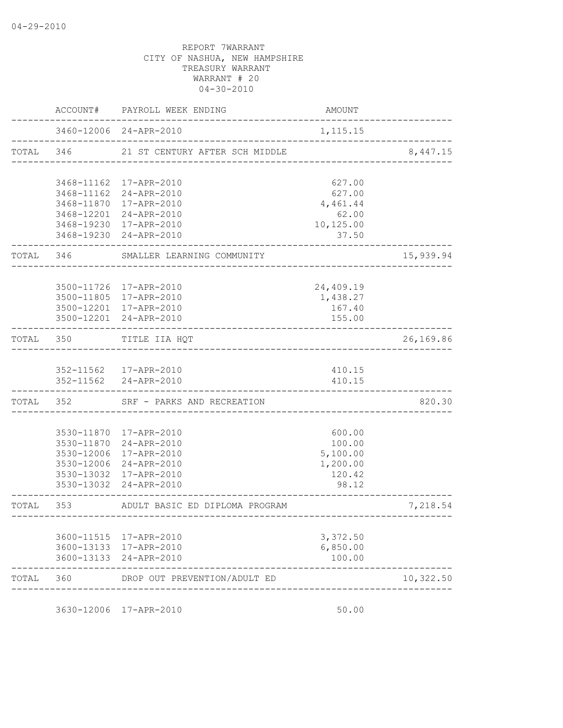|           |           | ACCOUNT# PAYROLL WEEK ENDING                                  | AMOUNT                              |           |
|-----------|-----------|---------------------------------------------------------------|-------------------------------------|-----------|
|           |           | 3460-12006 24-APR-2010<br>___________________________________ | 1, 115.15                           |           |
|           |           | TOTAL 346 21 ST CENTURY AFTER SCH MIDDLE                      |                                     | 8,447.15  |
|           |           | 3468-11162 17-APR-2010                                        | 627.00                              |           |
|           |           | 3468-11162 24-APR-2010                                        | 627.00                              |           |
|           |           | 3468-11870 17-APR-2010<br>3468-12201 24-APR-2010              | 4,461.44<br>62.00                   |           |
|           |           | 3468-19230 17-APR-2010                                        | 10,125.00                           |           |
|           |           | 3468-19230 24-APR-2010                                        | 37.50                               |           |
|           |           | TOTAL 346 SMALLER LEARNING COMMUNITY                          |                                     | 15,939.94 |
|           |           | 3500-11726 17-APR-2010                                        | 24,409.19                           |           |
|           |           | 3500-11805 17-APR-2010                                        | 1,438.27                            |           |
|           |           | 3500-12201 17-APR-2010                                        | 167.40                              |           |
|           |           | 3500-12201 24-APR-2010                                        | 155.00                              |           |
|           | TOTAL 350 | TITLE IIA HQT                                                 |                                     | 26,169.86 |
|           |           | 352-11562 17-APR-2010                                         | 410.15                              |           |
|           |           | 352-11562 24-APR-2010                                         | 410.15                              |           |
|           |           | TOTAL 352 SRF - PARKS AND RECREATION                          |                                     | 820.30    |
|           |           | 3530-11870 17-APR-2010                                        | 600.00                              |           |
|           |           | 3530-11870 24-APR-2010                                        | 100.00                              |           |
|           |           | 3530-12006 17-APR-2010                                        | 5,100.00                            |           |
|           |           | 3530-12006 24-APR-2010                                        | 1,200.00                            |           |
|           |           | 3530-13032 17-APR-2010                                        | 120.42                              |           |
|           |           | 3530-13032 24-APR-2010                                        | 98.12                               |           |
| TOTAL 353 |           | ADULT BASIC ED DIPLOMA PROGRAM                                | ----------------------------------- | 7,218.54  |
|           |           |                                                               |                                     |           |
|           |           | 3600-11515 17-APR-2010<br>3600-13133 17-APR-2010              | 3,372.50<br>6,850.00                |           |
|           |           | 3600-13133 24-APR-2010                                        | 100.00                              |           |
| TOTAL     | 360       | DROP OUT PREVENTION/ADULT ED                                  |                                     | 10,322.50 |
|           |           |                                                               |                                     |           |

3630-12006 17-APR-2010 50.00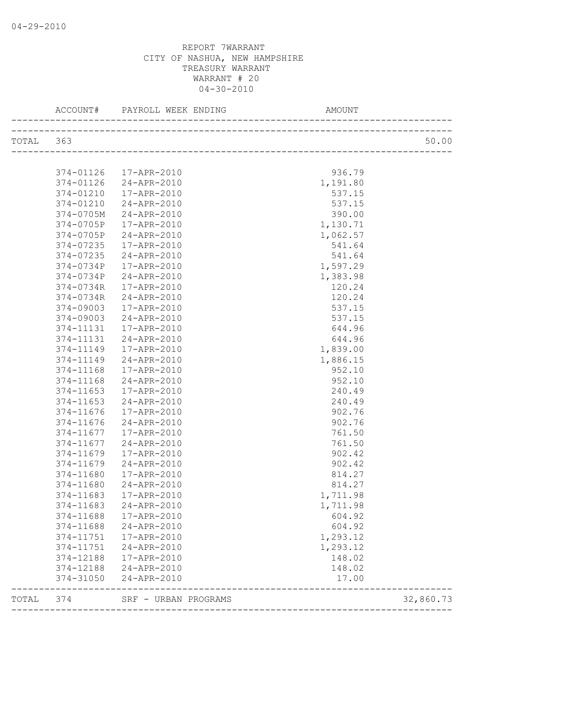|       | ACCOUNT#  | PAYROLL WEEK ENDING<br>__________________ | AMOUNT                              |           |
|-------|-----------|-------------------------------------------|-------------------------------------|-----------|
| TOTAL | 363       |                                           |                                     | 50.00     |
|       |           |                                           |                                     |           |
|       | 374-01126 | 17-APR-2010                               | 936.79                              |           |
|       | 374-01126 | 24-APR-2010                               | 1,191.80                            |           |
|       | 374-01210 | 17-APR-2010                               | 537.15                              |           |
|       | 374-01210 | 24-APR-2010                               | 537.15                              |           |
|       | 374-0705M | 24-APR-2010                               | 390.00                              |           |
|       | 374-0705P | 17-APR-2010                               | 1,130.71                            |           |
|       | 374-0705P | 24-APR-2010                               | 1,062.57                            |           |
|       | 374-07235 | 17-APR-2010                               | 541.64                              |           |
|       | 374-07235 | 24-APR-2010                               | 541.64                              |           |
|       | 374-0734P | 17-APR-2010                               | 1,597.29                            |           |
|       | 374-0734P | 24-APR-2010                               | 1,383.98                            |           |
|       | 374-0734R | 17-APR-2010                               | 120.24                              |           |
|       | 374-0734R | 24-APR-2010                               | 120.24                              |           |
|       | 374-09003 | 17-APR-2010                               | 537.15                              |           |
|       | 374-09003 | 24-APR-2010                               | 537.15                              |           |
|       | 374-11131 | 17-APR-2010                               | 644.96                              |           |
|       | 374-11131 | 24-APR-2010                               | 644.96                              |           |
|       | 374-11149 | 17-APR-2010                               | 1,839.00                            |           |
|       | 374-11149 | 24-APR-2010                               | 1,886.15                            |           |
|       | 374-11168 | 17-APR-2010                               | 952.10                              |           |
|       | 374-11168 | 24-APR-2010                               | 952.10                              |           |
|       | 374-11653 | 17-APR-2010                               | 240.49                              |           |
|       | 374-11653 | 24-APR-2010                               | 240.49                              |           |
|       | 374-11676 | 17-APR-2010                               | 902.76                              |           |
|       | 374-11676 | 24-APR-2010                               | 902.76                              |           |
|       | 374-11677 | 17-APR-2010                               | 761.50                              |           |
|       | 374-11677 | 24-APR-2010                               | 761.50                              |           |
|       | 374-11679 | 17-APR-2010                               | 902.42                              |           |
|       | 374-11679 | 24-APR-2010                               | 902.42                              |           |
|       | 374-11680 | 17-APR-2010                               | 814.27                              |           |
|       | 374-11680 | 24-APR-2010                               | 814.27                              |           |
|       | 374-11683 | 17-APR-2010                               | 1,711.98                            |           |
|       | 374-11683 | 24-APR-2010                               | 1,711.98                            |           |
|       | 374-11688 | 17-APR-2010                               | 604.92                              |           |
|       | 374-11688 | 24-APR-2010                               | 604.92                              |           |
|       | 374-11751 | 17-APR-2010                               | 1,293.12                            |           |
|       | 374-11751 | 24-APR-2010                               | 1,293.12                            |           |
|       | 374-12188 | 17-APR-2010                               | 148.02                              |           |
|       | 374-12188 | 24-APR-2010                               | 148.02                              |           |
|       | 374-31050 | 24-APR-2010                               | 17.00                               |           |
| TOTAL | 374       | SRF - URBAN PROGRAMS                      | ----------------------------------- | 32,860.73 |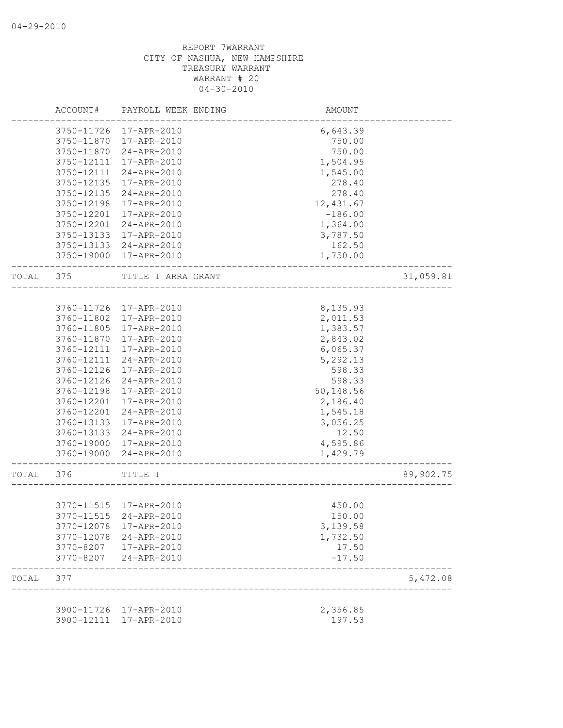|       | ACCOUNT#   | PAYROLL WEEK ENDING    | AMOUNT     |           |
|-------|------------|------------------------|------------|-----------|
|       | 3750-11726 | 17-APR-2010            | 6,643.39   |           |
|       | 3750-11870 | 17-APR-2010            | 750.00     |           |
|       | 3750-11870 | 24-APR-2010            | 750.00     |           |
|       | 3750-12111 | 17-APR-2010            | 1,504.95   |           |
|       | 3750-12111 | 24-APR-2010            | 1,545.00   |           |
|       | 3750-12135 | 17-APR-2010            | 278.40     |           |
|       | 3750-12135 | 24-APR-2010            | 278.40     |           |
|       | 3750-12198 | 17-APR-2010            | 12, 431.67 |           |
|       | 3750-12201 | 17-APR-2010            | $-186.00$  |           |
|       | 3750-12201 | 24-APR-2010            | 1,364.00   |           |
|       | 3750-13133 | 17-APR-2010            | 3,787.50   |           |
|       | 3750-13133 | 24-APR-2010            | 162.50     |           |
|       |            | 17-APR-2010            |            |           |
|       | 3750-19000 |                        | 1,750.00   |           |
| TOTAL | 375        | TITLE I ARRA GRANT     |            | 31,059.81 |
|       |            |                        |            |           |
|       | 3760-11726 | 17-APR-2010            | 8,135.93   |           |
|       | 3760-11802 | 17-APR-2010            | 2,011.53   |           |
|       | 3760-11805 | 17-APR-2010            | 1,383.57   |           |
|       | 3760-11870 | 17-APR-2010            | 2,843.02   |           |
|       | 3760-12111 | 17-APR-2010            | 6,065.37   |           |
|       | 3760-12111 | 24-APR-2010            | 5,292.13   |           |
|       | 3760-12126 | 17-APR-2010            | 598.33     |           |
|       | 3760-12126 | 24-APR-2010            | 598.33     |           |
|       | 3760-12198 | 17-APR-2010            | 50,148.56  |           |
|       | 3760-12201 | 17-APR-2010            | 2,186.40   |           |
|       | 3760-12201 | 24-APR-2010            | 1,545.18   |           |
|       | 3760-13133 | 17-APR-2010            | 3,056.25   |           |
|       | 3760-13133 | 24-APR-2010            | 12.50      |           |
|       | 3760-19000 | 17-APR-2010            | 4,595.86   |           |
|       | 3760-19000 | 24-APR-2010            | 1,429.79   |           |
|       |            |                        |            |           |
| TOTAL | 376        | TITLE I                |            | 89,902.75 |
|       |            |                        |            |           |
|       |            | 3770-11515 17-APR-2010 | 450.00     |           |
|       |            | 3770-11515 24-APR-2010 | 150.00     |           |
|       | 3770-12078 | 17-APR-2010            | 3,139.58   |           |
|       | 3770-12078 | 24-APR-2010            | 1,732.50   |           |
|       | 3770-8207  | 17-APR-2010            | 17.50      |           |
|       | 3770-8207  | 24-APR-2010            | $-17.50$   |           |
| TOTAL | 377        |                        |            | 5,472.08  |
|       |            |                        |            |           |
|       | 3900-11726 | 17-APR-2010            | 2,356.85   |           |
|       | 3900-12111 | 17-APR-2010            | 197.53     |           |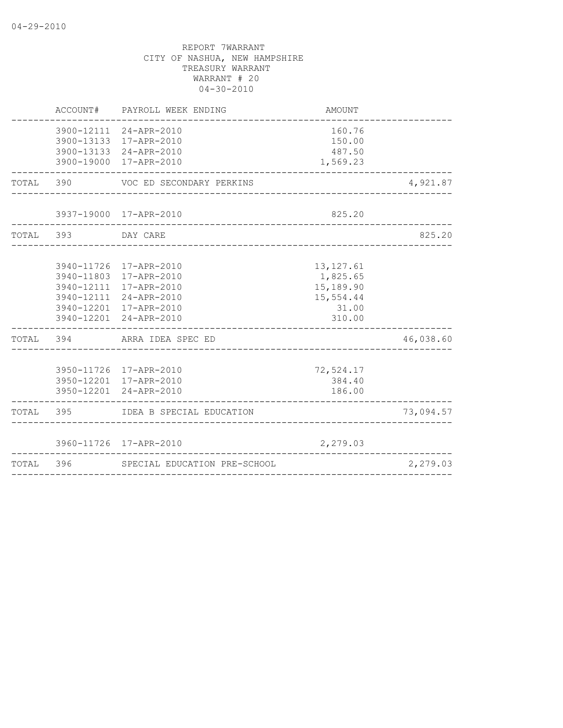| TOTAL 396 |            | SPECIAL EDUCATION PRE-SCHOOL                                                                                                                             |                                                                     | 2,279.03  |
|-----------|------------|----------------------------------------------------------------------------------------------------------------------------------------------------------|---------------------------------------------------------------------|-----------|
|           |            | 3960-11726 17-APR-2010                                                                                                                                   | 2,279.03                                                            |           |
| TOTAL 395 |            | IDEA B SPECIAL EDUCATION                                                                                                                                 |                                                                     | 73,094.57 |
|           |            | 3950-11726 17-APR-2010<br>3950-12201 17-APR-2010<br>3950-12201 24-APR-2010                                                                               | 72,524.17<br>384.40<br>186.00                                       |           |
|           | TOTAL 394  | ARRA IDEA SPEC ED                                                                                                                                        |                                                                     | 46,038.60 |
|           |            | 3940-11726 17-APR-2010<br>3940-11803 17-APR-2010<br>3940-12111 17-APR-2010<br>3940-12111 24-APR-2010<br>3940-12201 17-APR-2010<br>3940-12201 24-APR-2010 | 13, 127.61<br>1,825.65<br>15,189.90<br>15,554.44<br>31.00<br>310.00 |           |
|           | TOTAL 393  | DAY CARE                                                                                                                                                 |                                                                     | 825.20    |
|           |            | 3937-19000 17-APR-2010                                                                                                                                   | 825.20                                                              |           |
|           | TOTAL 390  | VOC ED SECONDARY PERKINS                                                                                                                                 |                                                                     | 4,921.87  |
|           | 3900-13133 | 3900-12111 24-APR-2010<br>17-APR-2010<br>3900-13133 24-APR-2010<br>3900-19000 17-APR-2010                                                                | 160.76<br>150.00<br>487.50<br>1,569.23                              |           |
|           | ACCOUNT#   | PAYROLL WEEK ENDING                                                                                                                                      | <b>AMOUNT</b>                                                       |           |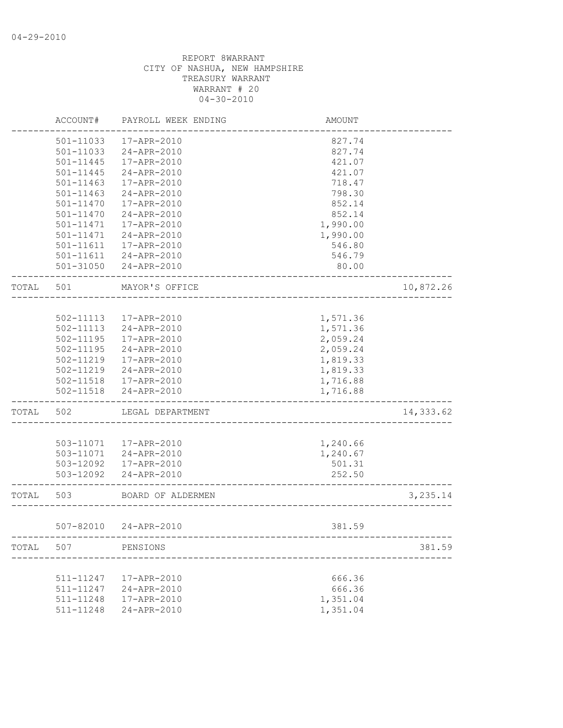|       | ACCOUNT#      | PAYROLL WEEK ENDING    | <b>AMOUNT</b> |           |
|-------|---------------|------------------------|---------------|-----------|
|       | 501-11033     | 17-APR-2010            | 827.74        |           |
|       | 501-11033     | 24-APR-2010            | 827.74        |           |
|       | 501-11445     | 17-APR-2010            | 421.07        |           |
|       | $501 - 11445$ | 24-APR-2010            | 421.07        |           |
|       | 501-11463     | 17-APR-2010            | 718.47        |           |
|       | 501-11463     | 24-APR-2010            | 798.30        |           |
|       | 501-11470     | 17-APR-2010            | 852.14        |           |
|       | 501-11470     | 24-APR-2010            | 852.14        |           |
|       | 501-11471     | 17-APR-2010            | 1,990.00      |           |
|       | 501-11471     | 24-APR-2010            | 1,990.00      |           |
|       | 501-11611     | 17-APR-2010            | 546.80        |           |
|       | 501-11611     | 24-APR-2010            | 546.79        |           |
|       |               | 501-31050 24-APR-2010  | 80.00         |           |
| TOTAL | 501           | MAYOR'S OFFICE         |               | 10,872.26 |
|       |               |                        |               |           |
|       | 502-11113     | 17-APR-2010            | 1,571.36      |           |
|       | 502-11113     | 24-APR-2010            | 1,571.36      |           |
|       | $502 - 11195$ | 17-APR-2010            | 2,059.24      |           |
|       | 502-11195     | 24-APR-2010            | 2,059.24      |           |
|       |               |                        |               |           |
|       | 502-11219     | 17-APR-2010            | 1,819.33      |           |
|       | 502-11219     | 24-APR-2010            | 1,819.33      |           |
|       | 502-11518     | 17-APR-2010            | 1,716.88      |           |
|       | $502 - 11518$ | 24-APR-2010            | 1,716.88      |           |
| TOTAL | 502           | LEGAL DEPARTMENT       |               | 14,333.62 |
|       |               |                        |               |           |
|       |               | 503-11071  17-APR-2010 | 1,240.66      |           |
|       | 503-11071     | 24-APR-2010            | 1,240.67      |           |
|       | 503-12092     | 17-APR-2010            | 501.31        |           |
|       | 503-12092     | 24-APR-2010            | 252.50        |           |
| TOTAL | 503           | BOARD OF ALDERMEN      |               | 3,235.14  |
|       |               |                        |               |           |
|       |               | 507-82010 24-APR-2010  | 381.59        |           |
| TOTAL | 507           | PENSIONS               |               | 381.59    |
|       |               |                        |               |           |
|       | 511-11247     | 17-APR-2010            | 666.36        |           |
|       | 511-11247     | 24-APR-2010            | 666.36        |           |
|       | 511-11248     | 17-APR-2010            | 1,351.04      |           |
|       | 511-11248     | 24-APR-2010            | 1,351.04      |           |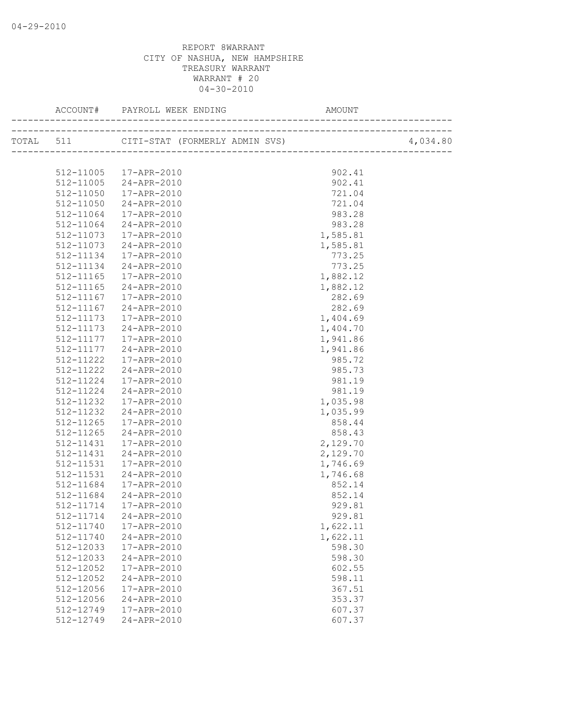|           |                                          | AMOUNT                                                                              |
|-----------|------------------------------------------|-------------------------------------------------------------------------------------|
|           | TOTAL 511 CITI-STAT (FORMERLY ADMIN SVS) | ____________________________________<br>4,034.80<br>})<br>------------------------- |
|           |                                          |                                                                                     |
|           | 512-11005 17-APR-2010                    | 902.41                                                                              |
|           | 512-11005 24-APR-2010                    | 902.41                                                                              |
| 512-11050 | 17-APR-2010                              | 721.04                                                                              |
| 512-11050 | 24-APR-2010                              | 721.04                                                                              |
| 512-11064 | 17-APR-2010                              | 983.28                                                                              |
| 512-11064 | $24 - APR - 2010$                        | 983.28                                                                              |
| 512-11073 | 17-APR-2010                              | 1,585.81                                                                            |
| 512-11073 | 24-APR-2010                              | 1,585.81                                                                            |
| 512-11134 | 17-APR-2010                              | 773.25                                                                              |
| 512-11134 | 24-APR-2010                              | 773.25                                                                              |
| 512-11165 | 17-APR-2010                              | 1,882.12                                                                            |
| 512-11165 | 24-APR-2010                              | 1,882.12                                                                            |
| 512-11167 | 17-APR-2010                              | 282.69                                                                              |
| 512-11167 | 24-APR-2010                              | 282.69                                                                              |
| 512-11173 | 17-APR-2010                              | 1,404.69                                                                            |
| 512-11173 | 24-APR-2010                              | 1,404.70                                                                            |
|           | 512-11177   17-APR-2010                  | 1,941.86                                                                            |
| 512-11177 | 24-APR-2010                              | 1,941.86                                                                            |
| 512-11222 | 17-APR-2010                              | 985.72                                                                              |
| 512-11222 | 24-APR-2010                              | 985.73                                                                              |
| 512-11224 | 17-APR-2010                              | 981.19                                                                              |
| 512-11224 | 24-APR-2010                              | 981.19                                                                              |
| 512-11232 | 17-APR-2010                              | 1,035.98                                                                            |
| 512-11232 | 24-APR-2010                              | 1,035.99                                                                            |
| 512-11265 | 17-APR-2010                              | 858.44                                                                              |
| 512-11265 | 24-APR-2010                              | 858.43                                                                              |
| 512-11431 | 17-APR-2010                              | 2,129.70                                                                            |
| 512-11431 | 24-APR-2010                              | 2,129.70                                                                            |
| 512-11531 | 17-APR-2010                              | 1,746.69                                                                            |
| 512-11531 | 24-APR-2010                              | 1,746.68                                                                            |
| 512-11684 | 17-APR-2010                              | 852.14                                                                              |
| 512-11684 | 24-APR-2010                              | 852.14                                                                              |
| 512-11714 | 17-APR-2010                              | 929.81                                                                              |
|           | 512-11714 24-APR-2010                    | 929.81                                                                              |
| 512-11740 | 17-APR-2010                              | 1,622.11                                                                            |
| 512-11740 | 24-APR-2010                              | 1,622.11                                                                            |
| 512-12033 | 17-APR-2010                              | 598.30                                                                              |
| 512-12033 | 24-APR-2010                              | 598.30                                                                              |
| 512-12052 | 17-APR-2010                              | 602.55                                                                              |
| 512-12052 | 24-APR-2010                              | 598.11                                                                              |
| 512-12056 | 17-APR-2010                              | 367.51                                                                              |
| 512-12056 | 24-APR-2010                              | 353.37                                                                              |
| 512-12749 | 17-APR-2010                              | 607.37                                                                              |
| 512-12749 | 24-APR-2010                              | 607.37                                                                              |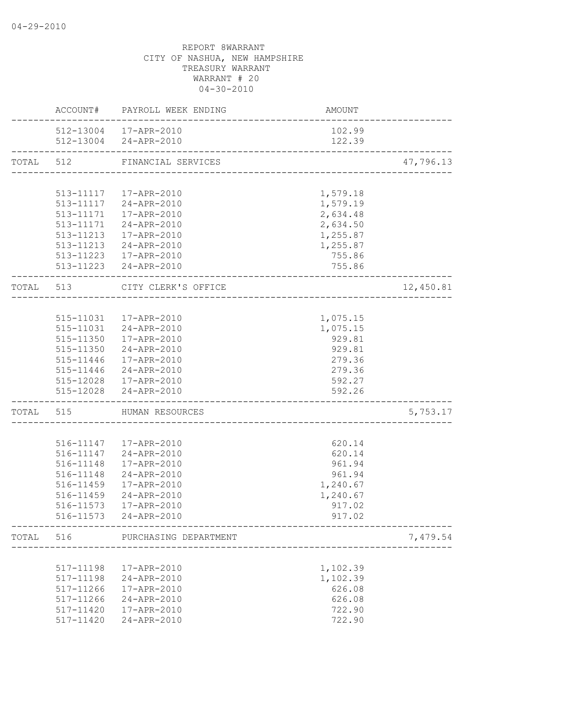|           |                        | ACCOUNT# PAYROLL WEEK ENDING                   | <b>AMOUNT</b>                                           |           |
|-----------|------------------------|------------------------------------------------|---------------------------------------------------------|-----------|
|           |                        | 512-13004 17-APR-2010<br>512-13004 24-APR-2010 | 102.99<br>122.39<br>----------------------------------- |           |
| TOTAL 512 | ---------------------- | FINANCIAL SERVICES                             |                                                         | 47,796.13 |
|           |                        |                                                |                                                         |           |
|           |                        | 513-11117   17-APR-2010                        | 1,579.18                                                |           |
|           |                        | 513-11117 24-APR-2010                          | 1,579.19                                                |           |
|           |                        | 513-11171  17-APR-2010                         | 2,634.48                                                |           |
|           |                        | 513-11171 24-APR-2010                          | 2,634.50                                                |           |
|           |                        | 513-11213  17-APR-2010                         | 1,255.87                                                |           |
|           |                        | 513-11213 24-APR-2010                          | 1,255.87                                                |           |
|           |                        | 513-11223 17-APR-2010                          | 755.86                                                  |           |
|           |                        | 513-11223 24-APR-2010                          | 755.86                                                  |           |
|           |                        | TOTAL 513 CITY CLERK'S OFFICE                  |                                                         | 12,450.81 |
|           |                        |                                                |                                                         |           |
|           |                        | 515-11031  17-APR-2010                         | 1,075.15                                                |           |
|           |                        | 515-11031 24-APR-2010                          | 1,075.15                                                |           |
|           |                        | 515-11350  17-APR-2010                         | 929.81                                                  |           |
|           |                        | 515-11350 24-APR-2010                          | 929.81                                                  |           |
|           |                        | 515-11446 17-APR-2010                          | 279.36                                                  |           |
|           |                        | 515-11446 24-APR-2010                          | 279.36                                                  |           |
|           |                        | 515-12028  17-APR-2010                         | 592.27                                                  |           |
|           | __________________     | 515-12028 24-APR-2010                          | 592.26<br>----------------------------------            |           |
|           |                        | TOTAL 515 HUMAN RESOURCES                      | --------------------------                              | 5,753.17  |
|           |                        |                                                |                                                         |           |
|           |                        | 516-11147  17-APR-2010                         | 620.14                                                  |           |
|           |                        | 516-11147 24-APR-2010                          | 620.14                                                  |           |
|           | 516-11148              | 17-APR-2010                                    | 961.94                                                  |           |
|           | 516-11148              | 24-APR-2010                                    | 961.94                                                  |           |
|           | 516-11459              | 17-APR-2010                                    | 1,240.67                                                |           |
|           | 516-11459              | 24-APR-2010                                    | 1,240.67                                                |           |
|           |                        | 516-11573   17-APR-2010                        | 917.02                                                  |           |
|           |                        | 516-11573 24-APR-2010                          | 917.02                                                  |           |
| TOTAL     | 516                    | PURCHASING DEPARTMENT                          |                                                         | 7,479.54  |
|           |                        |                                                |                                                         |           |
|           | 517-11198              | 17-APR-2010                                    | 1,102.39                                                |           |
|           | 517-11198              | 24-APR-2010                                    | 1,102.39                                                |           |
|           | 517-11266              | 17-APR-2010                                    | 626.08                                                  |           |
|           | 517-11266              | 24-APR-2010                                    | 626.08                                                  |           |
|           | 517-11420              | 17-APR-2010                                    | 722.90                                                  |           |
|           | 517-11420              | 24-APR-2010                                    | 722.90                                                  |           |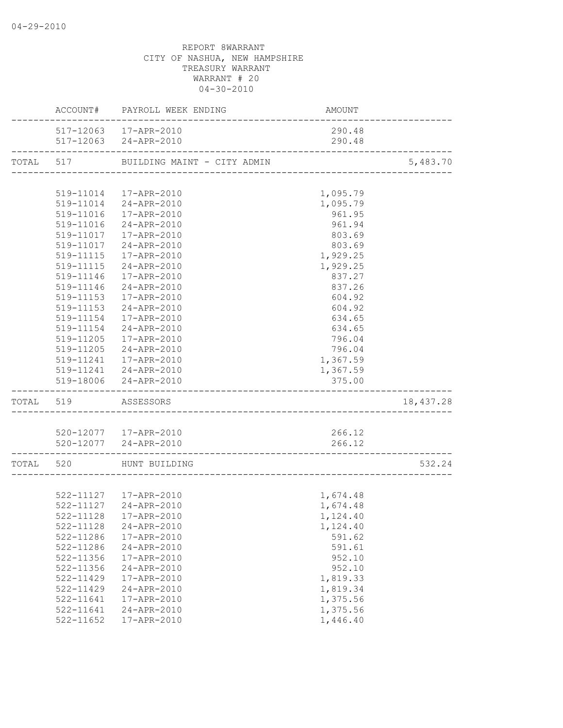|           |           | ACCOUNT# PAYROLL WEEK ENDING                   | AMOUNT   |           |
|-----------|-----------|------------------------------------------------|----------|-----------|
|           |           | 517-12063  17-APR-2010                         | 290.48   |           |
|           |           | 517-12063 24-APR-2010                          | 290.48   |           |
|           |           | TOTAL 517 BUILDING MAINT - CITY ADMIN          |          | 5,483.70  |
|           |           |                                                |          |           |
|           |           | 519-11014  17-APR-2010                         | 1,095.79 |           |
|           |           | 519-11014 24-APR-2010                          | 1,095.79 |           |
|           |           | 519-11016  17-APR-2010                         | 961.95   |           |
|           |           | 519-11016 24-APR-2010                          | 961.94   |           |
|           |           | 519-11017  17-APR-2010                         | 803.69   |           |
|           |           | 519-11017 24-APR-2010                          | 803.69   |           |
|           |           | 519-11115  17-APR-2010                         | 1,929.25 |           |
|           |           | 519-11115 24-APR-2010                          | 1,929.25 |           |
|           |           | 519-11146  17-APR-2010                         | 837.27   |           |
|           |           | 519-11146 24-APR-2010                          | 837.26   |           |
|           |           | 519-11153  17-APR-2010                         | 604.92   |           |
|           | 519-11153 | 24-APR-2010                                    | 604.92   |           |
|           | 519-11154 | 17-APR-2010                                    | 634.65   |           |
|           | 519-11154 | 24-APR-2010                                    | 634.65   |           |
|           | 519-11205 | 17-APR-2010                                    | 796.04   |           |
|           | 519-11205 | 24-APR-2010                                    | 796.04   |           |
|           |           | 519-11241  17-APR-2010                         | 1,367.59 |           |
|           |           | 519-11241 24-APR-2010                          | 1,367.59 |           |
|           |           | 519-18006 24-APR-2010                          | 375.00   |           |
| TOTAL 519 |           | ASSESSORS                                      |          | 18,437.28 |
|           |           |                                                |          |           |
|           |           | 520-12077  17-APR-2010                         | 266.12   |           |
|           |           | 520-12077 24-APR-2010                          | 266.12   |           |
|           |           | TOTAL 520 HUNT BUILDING                        |          | 532.24    |
|           |           |                                                |          |           |
|           |           |                                                | 1,674.48 |           |
|           |           | 522-11127 17-APR-2010<br>522-11127 24-APR-2010 | 1,674.48 |           |
|           |           | 522-11128  17-APR-2010                         | 1,124.40 |           |
|           | 522-11128 | 24-APR-2010                                    | 1,124.40 |           |
|           | 522-11286 | 17-APR-2010                                    | 591.62   |           |
|           | 522-11286 | 24-APR-2010                                    | 591.61   |           |
|           | 522-11356 | 17-APR-2010                                    | 952.10   |           |
|           | 522-11356 | 24-APR-2010                                    | 952.10   |           |
|           | 522-11429 | 17-APR-2010                                    | 1,819.33 |           |
|           | 522-11429 | 24-APR-2010                                    | 1,819.34 |           |
|           | 522-11641 | 17-APR-2010                                    | 1,375.56 |           |
|           | 522-11641 | 24-APR-2010                                    | 1,375.56 |           |
|           | 522-11652 | 17-APR-2010                                    | 1,446.40 |           |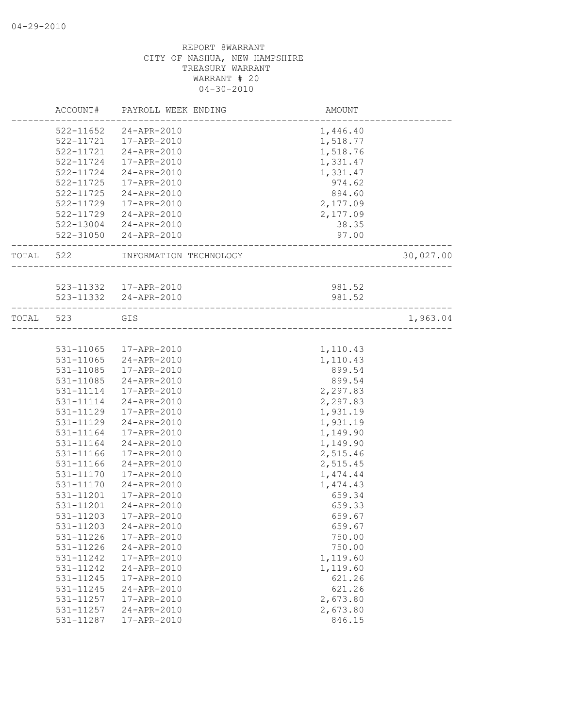|           | ACCOUNT#      | PAYROLL WEEK ENDING    | AMOUNT               |           |
|-----------|---------------|------------------------|----------------------|-----------|
|           |               | 522-11652 24-APR-2010  | 1,446.40             |           |
|           |               | 522-11721  17-APR-2010 | 1,518.77             |           |
|           |               | 522-11721 24-APR-2010  | 1,518.76             |           |
|           | 522-11724     | 17-APR-2010            | 1,331.47             |           |
|           | 522-11724     | 24-APR-2010            | 1,331.47             |           |
|           | 522-11725     | 17-APR-2010            | 974.62               |           |
|           | 522-11725     | 24-APR-2010            | 894.60               |           |
|           | 522-11729     | 17-APR-2010            | 2,177.09             |           |
|           | 522-11729     | 24-APR-2010            | 2,177.09             |           |
|           |               | 522-13004 24-APR-2010  | 38.35                |           |
|           |               | 522-31050 24-APR-2010  | 97.00                |           |
|           |               |                        | -------------------- |           |
| TOTAL 522 |               | INFORMATION TECHNOLOGY | ____________________ | 30,027.00 |
|           |               |                        |                      |           |
|           |               | 523-11332  17-APR-2010 | 981.52               |           |
|           |               | 523-11332 24-APR-2010  | 981.52               |           |
| TOTAL 523 |               | GIS                    |                      | 1,963.04  |
|           |               |                        |                      |           |
|           |               | 531-11065 17-APR-2010  | 1,110.43             |           |
|           | 531-11065     | 24-APR-2010            | 1,110.43             |           |
|           | $531 - 11085$ | 17-APR-2010            | 899.54               |           |
|           | 531-11085     | 24-APR-2010            | 899.54               |           |
|           | 531-11114     | 17-APR-2010            | 2,297.83             |           |
|           | 531-11114     | 24-APR-2010            | 2,297.83             |           |
|           | 531-11129     | 17-APR-2010            | 1,931.19             |           |
|           | 531-11129     | 24-APR-2010            | 1,931.19             |           |
|           | 531-11164     | 17-APR-2010            | 1,149.90             |           |
|           | 531-11164     | 24-APR-2010            | 1,149.90             |           |
|           | 531-11166     | 17-APR-2010            | 2,515.46             |           |
|           | 531-11166     | 24-APR-2010            | 2,515.45             |           |
|           | 531-11170     | 17-APR-2010            | 1,474.44             |           |
|           | 531-11170     | 24-APR-2010            | 1,474.43             |           |
|           | 531-11201     | 17-APR-2010            | 659.34               |           |
|           | 531-11201     | 24-APR-2010            | 659.33               |           |
|           | 531-11203     | 17-APR-2010            | 659.67               |           |
|           | 531-11203     | 24-APR-2010            | 659.67               |           |
|           | 531-11226     | 17-APR-2010            | 750.00               |           |
|           | 531-11226     | 24-APR-2010            | 750.00               |           |
|           | 531-11242     | 17-APR-2010            | 1,119.60             |           |
|           | 531-11242     | 24-APR-2010            | 1,119.60             |           |
|           | 531-11245     | 17-APR-2010            | 621.26               |           |
|           | 531-11245     | 24-APR-2010            | 621.26               |           |
|           | 531-11257     | 17-APR-2010            | 2,673.80             |           |
|           | 531-11257     | 24-APR-2010            | 2,673.80             |           |
|           | 531-11287     | 17-APR-2010            | 846.15               |           |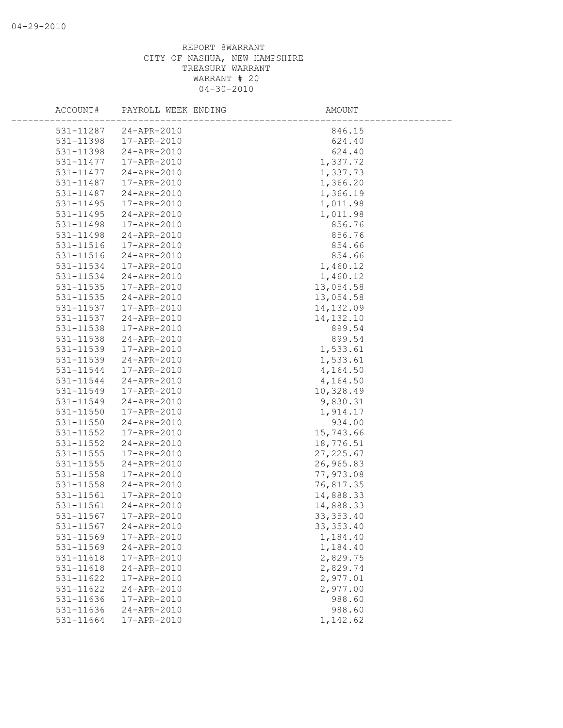| ACCOUNT#               | PAYROLL WEEK ENDING        | AMOUNT           |
|------------------------|----------------------------|------------------|
|                        |                            |                  |
| 531-11287<br>531-11398 | 24-APR-2010<br>17-APR-2010 | 846.15<br>624.40 |
| 531-11398              | 24-APR-2010                | 624.40           |
| 531-11477              | 17-APR-2010                | 1,337.72         |
| 531-11477              | 24-APR-2010                | 1,337.73         |
| 531-11487              | 17-APR-2010                | 1,366.20         |
| 531-11487              | 24-APR-2010                | 1,366.19         |
| $531 - 11495$          | 17-APR-2010                | 1,011.98         |
| 531-11495              | 24-APR-2010                | 1,011.98         |
| 531-11498              | 17-APR-2010                | 856.76           |
| 531-11498              | 24-APR-2010                | 856.76           |
| 531-11516              | 17-APR-2010                | 854.66           |
| 531-11516              | 24-APR-2010                | 854.66           |
| 531-11534              | 17-APR-2010                | 1,460.12         |
| 531-11534              | 24-APR-2010                | 1,460.12         |
| 531-11535              | 17-APR-2010                | 13,054.58        |
| 531-11535              | 24-APR-2010                | 13,054.58        |
| 531-11537              | 17-APR-2010                | 14,132.09        |
| 531-11537              | 24-APR-2010                | 14, 132. 10      |
| 531-11538              | 17-APR-2010                | 899.54           |
| 531-11538              | 24-APR-2010                | 899.54           |
| 531-11539              | 17-APR-2010                | 1,533.61         |
| 531-11539              | 24-APR-2010                | 1,533.61         |
| 531-11544              | 17-APR-2010                | 4,164.50         |
| 531-11544              | 24-APR-2010                | 4,164.50         |
| 531-11549              | 17-APR-2010                | 10,328.49        |
| 531-11549              | 24-APR-2010                | 9,830.31         |
| 531-11550              | 17-APR-2010                | 1,914.17         |
| 531-11550              | 24-APR-2010                | 934.00           |
| 531-11552              | 17-APR-2010                | 15,743.66        |
| 531-11552              | 24-APR-2010                | 18,776.51        |
| 531-11555              | 17-APR-2010                | 27, 225.67       |
| 531-11555              | 24-APR-2010                | 26,965.83        |
| 531-11558              | 17-APR-2010                | 77,973.08        |
| 531-11558              | 24-APR-2010                | 76,817.35        |
| 531-11561              | 17-APR-2010                | 14,888.33        |
| 531-11561              | 24-APR-2010                | 14,888.33        |
| 531-11567              | 17-APR-2010                | 33, 353.40       |
| 531-11567              | 24-APR-2010                | 33, 353.40       |
| 531-11569              | 17-APR-2010                | 1,184.40         |
| 531-11569              | 24-APR-2010                | 1,184.40         |
| 531-11618              | 17-APR-2010                | 2,829.75         |
| 531-11618              | 24-APR-2010                | 2,829.74         |
| 531-11622              | 17-APR-2010                | 2,977.01         |
| 531-11622              | 24-APR-2010                | 2,977.00         |
| 531-11636              | 17-APR-2010                | 988.60           |
| 531-11636              | 24-APR-2010                | 988.60           |
| 531-11664              | 17-APR-2010                | 1,142.62         |
|                        |                            |                  |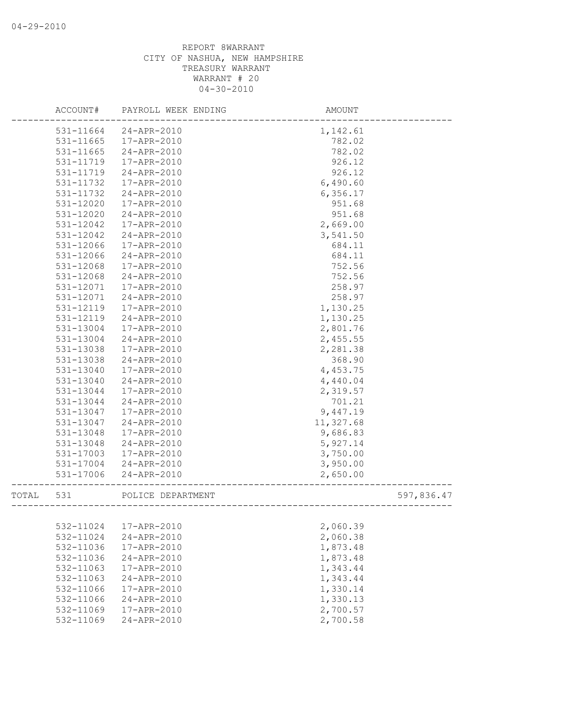|       | ACCOUNT#      | PAYROLL WEEK ENDING | AMOUNT    |            |
|-------|---------------|---------------------|-----------|------------|
|       | 531-11664     | 24-APR-2010         | 1,142.61  |            |
|       | 531-11665     | 17-APR-2010         | 782.02    |            |
|       | 531-11665     | 24-APR-2010         | 782.02    |            |
|       | 531-11719     | 17-APR-2010         | 926.12    |            |
|       | 531-11719     | 24-APR-2010         | 926.12    |            |
|       | 531-11732     | 17-APR-2010         | 6,490.60  |            |
|       | 531-11732     | 24-APR-2010         | 6, 356.17 |            |
|       | 531-12020     | 17-APR-2010         | 951.68    |            |
|       | 531-12020     | 24-APR-2010         | 951.68    |            |
|       | 531-12042     | 17-APR-2010         | 2,669.00  |            |
|       | 531-12042     | 24-APR-2010         | 3,541.50  |            |
|       | 531-12066     | 17-APR-2010         | 684.11    |            |
|       | 531-12066     | 24-APR-2010         | 684.11    |            |
|       | 531-12068     | 17-APR-2010         | 752.56    |            |
|       | 531-12068     | 24-APR-2010         | 752.56    |            |
|       | 531-12071     | 17-APR-2010         | 258.97    |            |
|       | 531-12071     | 24-APR-2010         | 258.97    |            |
|       | 531-12119     | 17-APR-2010         | 1,130.25  |            |
|       | 531-12119     | 24-APR-2010         | 1,130.25  |            |
|       | 531-13004     | 17-APR-2010         | 2,801.76  |            |
|       | 531-13004     | 24-APR-2010         | 2,455.55  |            |
|       | 531-13038     | 17-APR-2010         | 2,281.38  |            |
|       | 531-13038     | 24-APR-2010         | 368.90    |            |
|       | 531-13040     | 17-APR-2010         | 4,453.75  |            |
|       | 531-13040     | 24-APR-2010         | 4,440.04  |            |
|       | 531-13044     | 17-APR-2010         | 2,319.57  |            |
|       | 531-13044     | 24-APR-2010         | 701.21    |            |
|       | 531-13047     | 17-APR-2010         | 9,447.19  |            |
|       | 531-13047     | 24-APR-2010         | 11,327.68 |            |
|       | 531-13048     | 17-APR-2010         | 9,686.83  |            |
|       | 531-13048     | 24-APR-2010         | 5,927.14  |            |
|       | 531-17003     | 17-APR-2010         | 3,750.00  |            |
|       | 531-17004     | 24-APR-2010         | 3,950.00  |            |
|       | $531 - 17006$ | 24-APR-2010         | 2,650.00  |            |
| TOTAL | 531           | POLICE DEPARTMENT   |           | 597,836.47 |
|       |               |                     |           |            |
|       | 532-11024     | 17-APR-2010         | 2,060.39  |            |
|       | 532-11024     | 24-APR-2010         | 2,060.38  |            |
|       | 532-11036     | 17-APR-2010         | 1,873.48  |            |
|       | 532-11036     | 24-APR-2010         | 1,873.48  |            |
|       | 532-11063     | 17-APR-2010         | 1,343.44  |            |
|       | 532-11063     | $24 - APR - 2010$   | 1,343.44  |            |
|       | 532-11066     | 17-APR-2010         | 1,330.14  |            |
|       | 532-11066     | 24-APR-2010         | 1,330.13  |            |
|       | 532-11069     | 17-APR-2010         | 2,700.57  |            |
|       | 532-11069     | 24-APR-2010         | 2,700.58  |            |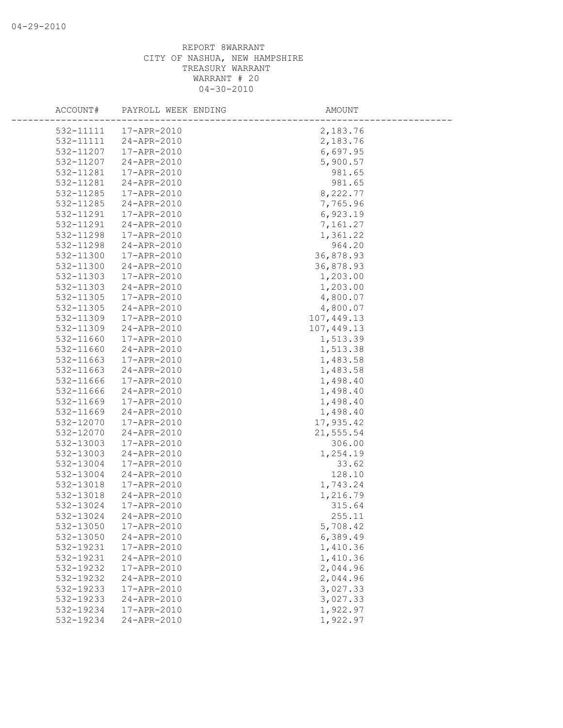| ACCOUNT#               | PAYROLL WEEK ENDING        | AMOUNT                 |
|------------------------|----------------------------|------------------------|
|                        |                            |                        |
| 532-11111              | 17-APR-2010                | 2,183.76               |
| 532-11111              | 24-APR-2010                | 2,183.76               |
| 532-11207              | 17-APR-2010                | 6,697.95               |
| 532-11207              | 24-APR-2010                | 5,900.57               |
| 532-11281              | 17-APR-2010                | 981.65                 |
| 532-11281              | 24-APR-2010                | 981.65                 |
| 532-11285              | 17-APR-2010                | 8,222.77               |
| 532-11285              | 24-APR-2010                | 7,765.96               |
| 532-11291              | 17-APR-2010                | 6,923.19               |
| 532-11291              | 24-APR-2010                | 7,161.27               |
| 532-11298              | 17-APR-2010                | 1,361.22               |
| 532-11298              | 24-APR-2010                | 964.20                 |
| 532-11300              | 17-APR-2010                | 36,878.93              |
| 532-11300              | 24-APR-2010                | 36,878.93              |
| 532-11303              | 17-APR-2010                | 1,203.00               |
| 532-11303              | 24-APR-2010                | 1,203.00               |
| 532-11305              | 17-APR-2010                | 4,800.07               |
| 532-11305              | 24-APR-2010                | 4,800.07               |
| 532-11309              | 17-APR-2010                | 107,449.13             |
| 532-11309              | 24-APR-2010                | 107,449.13             |
| 532-11660              | 17-APR-2010                | 1,513.39               |
| 532-11660              | 24-APR-2010                | 1,513.38               |
| 532-11663              | 17-APR-2010                | 1,483.58               |
| 532-11663              | 24-APR-2010                | 1,483.58               |
| 532-11666              | 17-APR-2010                | 1,498.40               |
| 532-11666              | 24-APR-2010                | 1,498.40               |
| 532-11669              | 17-APR-2010<br>24-APR-2010 | 1,498.40               |
| 532-11669<br>532-12070 | 17-APR-2010                | 1,498.40               |
|                        | 24-APR-2010                | 17,935.42<br>21,555.54 |
| 532-12070<br>532-13003 | 17-APR-2010                | 306.00                 |
| 532-13003              | $24 - APR - 2010$          | 1,254.19               |
| 532-13004              | 17-APR-2010                | 33.62                  |
| 532-13004              | 24-APR-2010                | 128.10                 |
| 532-13018              | 17-APR-2010                | 1,743.24               |
| 532-13018              | 24-APR-2010                | 1,216.79               |
| 532-13024              | 17-APR-2010                | 315.64                 |
| 532-13024              | 24-APR-2010                | 255.11                 |
| 532-13050              | 17-APR-2010                | 5,708.42               |
| 532-13050              | 24-APR-2010                | 6,389.49               |
| 532-19231              | 17-APR-2010                | 1,410.36               |
| 532-19231              | 24-APR-2010                | 1,410.36               |
| 532-19232              | 17-APR-2010                | 2,044.96               |
| 532-19232              | 24-APR-2010                | 2,044.96               |
| 532-19233              | 17-APR-2010                | 3,027.33               |
| 532-19233              | 24-APR-2010                | 3,027.33               |
| 532-19234              | 17-APR-2010                | 1,922.97               |
| 532-19234              | 24-APR-2010                | 1,922.97               |
|                        |                            |                        |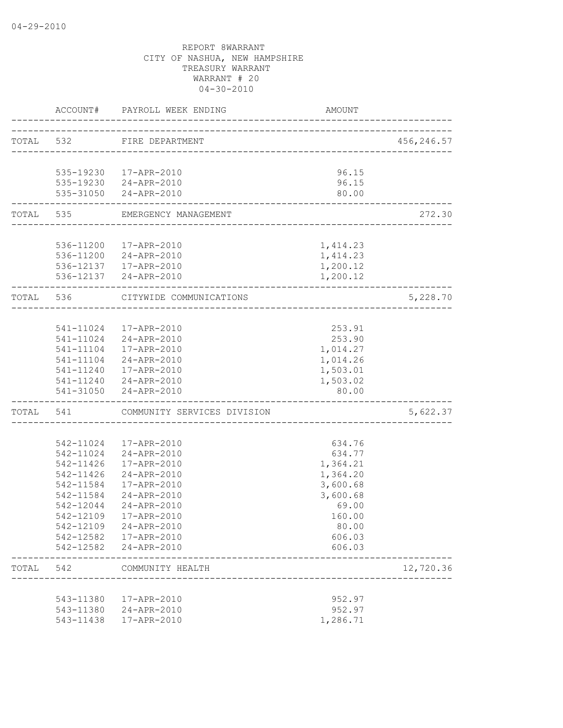|       |                   | ACCOUNT# PAYROLL WEEK ENDING          | AMOUNT                     |            |
|-------|-------------------|---------------------------------------|----------------------------|------------|
|       | TOTAL 532         | FIRE DEPARTMENT                       |                            | 456,246.57 |
|       |                   |                                       |                            |            |
|       |                   | 535-19230 17-APR-2010                 | 96.15                      |            |
|       |                   | 535-19230 24-APR-2010                 | 96.15                      |            |
|       | ----------------- | 535-31050 24-APR-2010                 | 80.00                      |            |
|       |                   | TOTAL 535 EMERGENCY MANAGEMENT        | __________________________ | 272.30     |
|       |                   |                                       |                            |            |
|       |                   | 536-11200  17-APR-2010                | 1,414.23                   |            |
|       |                   | 536-11200 24-APR-2010                 | 1,414.23                   |            |
|       |                   | 536-12137 17-APR-2010                 | 1,200.12                   |            |
|       |                   | 536-12137 24-APR-2010                 | 1,200.12                   |            |
|       | TOTAL 536         | CITYWIDE COMMUNICATIONS               |                            | 5,228.70   |
|       |                   |                                       |                            |            |
|       |                   | 541-11024 17-APR-2010                 | 253.91                     |            |
|       |                   | 541-11024 24-APR-2010                 | 253.90                     |            |
|       |                   | 541-11104  17-APR-2010                | 1,014.27                   |            |
|       |                   | 541-11104 24-APR-2010                 | 1,014.26                   |            |
|       |                   | 541-11240 17-APR-2010                 | 1,503.01                   |            |
|       |                   | 541-11240 24-APR-2010                 | 1,503.02                   |            |
|       |                   | 541-31050 24-APR-2010                 | 80.00                      |            |
|       |                   | TOTAL 541 COMMUNITY SERVICES DIVISION |                            | 5,622.37   |
|       |                   |                                       |                            |            |
|       |                   | 542-11024  17-APR-2010                | 634.76                     |            |
|       |                   | 542-11024 24-APR-2010                 | 634.77                     |            |
|       | 542-11426         | 17-APR-2010                           | 1,364.21                   |            |
|       | 542-11426         | 24-APR-2010                           | 1,364.20                   |            |
|       | 542-11584         | 17-APR-2010                           | 3,600.68                   |            |
|       | 542-11584         | 24-APR-2010                           | 3,600.68                   |            |
|       | 542-12044         | 24-APR-2010                           | 69.00                      |            |
|       | 542-12109         | 17-APR-2010                           | 160.00                     |            |
|       |                   | 542-12109 24-APR-2010                 | 80.00                      |            |
|       |                   | 542-12582  17-APR-2010                | 606.03                     |            |
|       |                   | 542-12582 24-APR-2010                 | 606.03                     |            |
| TOTAL | 542               | COMMUNITY HEALTH                      |                            | 12,720.36  |
|       |                   |                                       |                            |            |
|       | 543-11380         | 17-APR-2010                           | 952.97                     |            |
|       |                   | 543-11380 24-APR-2010                 | 952.97                     |            |
|       | 543-11438         | 17-APR-2010                           | 1,286.71                   |            |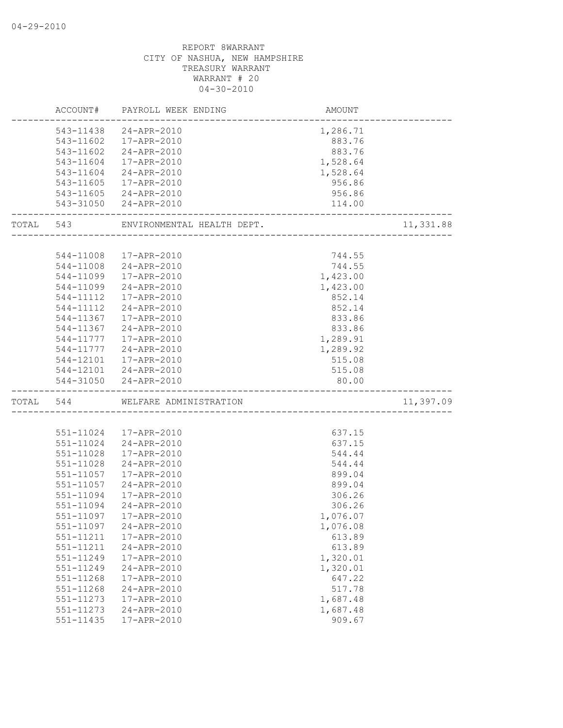|           | ACCOUNT#  | PAYROLL WEEK ENDING                             | AMOUNT   |           |
|-----------|-----------|-------------------------------------------------|----------|-----------|
|           |           | 543-11438 24-APR-2010                           | 1,286.71 |           |
|           |           | 543-11602  17-APR-2010                          | 883.76   |           |
|           | 543-11602 | 24-APR-2010                                     | 883.76   |           |
|           | 543-11604 | 17-APR-2010                                     | 1,528.64 |           |
|           | 543-11604 | 24-APR-2010                                     | 1,528.64 |           |
|           | 543-11605 | 17-APR-2010                                     | 956.86   |           |
|           |           | 543-11605 24-APR-2010                           | 956.86   |           |
|           | 543-31050 | 24-APR-2010                                     | 114.00   |           |
| TOTAL 543 |           | ENVIRONMENTAL HEALTH DEPT.                      |          | 11,331.88 |
|           |           |                                                 |          |           |
|           | 544-11008 | 17-APR-2010                                     | 744.55   |           |
|           | 544-11008 | 24-APR-2010                                     | 744.55   |           |
|           | 544-11099 | 17-APR-2010                                     | 1,423.00 |           |
|           | 544-11099 | 24-APR-2010                                     | 1,423.00 |           |
|           | 544-11112 | 17-APR-2010                                     | 852.14   |           |
|           | 544-11112 | 24-APR-2010                                     | 852.14   |           |
|           | 544-11367 | 17-APR-2010                                     | 833.86   |           |
|           | 544-11367 | 24-APR-2010                                     | 833.86   |           |
|           | 544-11777 | 17-APR-2010                                     | 1,289.91 |           |
|           | 544-11777 | 24-APR-2010                                     | 1,289.92 |           |
|           | 544-12101 | 17-APR-2010                                     | 515.08   |           |
|           |           | 544-12101 24-APR-2010                           | 515.08   |           |
|           | 544-31050 | 24-APR-2010                                     | 80.00    |           |
| TOTAL 544 |           | WELFARE ADMINISTRATION<br>--------------------- |          | 11,397.09 |
|           |           |                                                 |          |           |
|           |           | 551-11024  17-APR-2010                          | 637.15   |           |
|           | 551-11024 | 24-APR-2010                                     | 637.15   |           |
|           | 551-11028 | 17-APR-2010                                     | 544.44   |           |
|           | 551-11028 | 24-APR-2010                                     | 544.44   |           |
|           | 551-11057 | 17-APR-2010                                     | 899.04   |           |
|           | 551-11057 | 24-APR-2010                                     | 899.04   |           |
|           | 551-11094 | 17-APR-2010                                     | 306.26   |           |
|           | 551-11094 | 24-APR-2010                                     | 306.26   |           |
|           |           | 551-11097    17-APR-2010                        | 1,076.07 |           |
|           | 551-11097 | 24-APR-2010                                     | 1,076.08 |           |
|           | 551-11211 | 17-APR-2010                                     | 613.89   |           |
|           | 551-11211 | 24-APR-2010                                     | 613.89   |           |
|           | 551-11249 | 17-APR-2010                                     | 1,320.01 |           |
|           | 551-11249 | 24-APR-2010                                     | 1,320.01 |           |
|           | 551-11268 | 17-APR-2010                                     | 647.22   |           |
|           | 551-11268 | 24-APR-2010                                     | 517.78   |           |
|           | 551-11273 | 17-APR-2010                                     | 1,687.48 |           |
|           | 551-11273 | $24 - APR - 2010$                               | 1,687.48 |           |
|           | 551-11435 | 17-APR-2010                                     | 909.67   |           |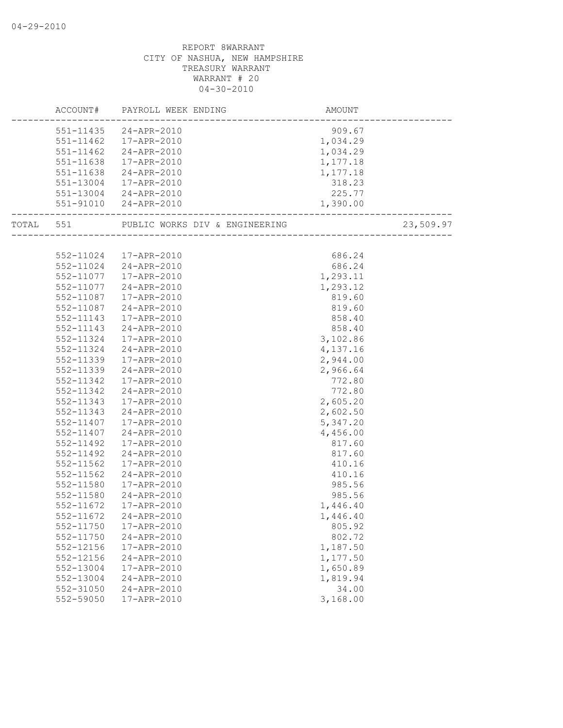|           | ACCOUNT# PAYROLL WEEK ENDING                    | AMOUNT               |           |
|-----------|-------------------------------------------------|----------------------|-----------|
|           | 551-11435 24-APR-2010                           | 909.67               |           |
|           | 551-11462  17-APR-2010                          | 1,034.29             |           |
|           | 551-11462 24-APR-2010                           | 1,034.29             |           |
|           | 551-11638 17-APR-2010                           | 1,177.18             |           |
|           | 551-11638 24-APR-2010                           | 1,177.18             |           |
|           | 551-13004 17-APR-2010                           | 318.23               |           |
|           | 551-13004 24-APR-2010                           | 225.77               |           |
|           | 551-91010 24-APR-2010                           | 1,390.00             |           |
|           | TOTAL 551 PUBLIC WORKS DIV & ENGINEERING (2001) |                      | 23,509.97 |
|           |                                                 |                      |           |
|           | 552-11024 17-APR-2010                           | 686.24               |           |
|           | 552-11024 24-APR-2010                           | 686.24               |           |
|           | 552-11077   17-APR-2010                         | 1,293.11             |           |
|           | 552-11077 24-APR-2010                           | 1,293.12             |           |
| 552-11087 | 17-APR-2010                                     | 819.60               |           |
| 552-11087 | 24-APR-2010                                     | 819.60               |           |
| 552-11143 | 17-APR-2010                                     | 858.40               |           |
| 552-11143 | 24-APR-2010                                     | $858.40$<br>3,102.86 |           |
|           | 552-11324 17-APR-2010                           |                      |           |
| 552-11324 | 24-APR-2010                                     | 4,137.16             |           |
| 552-11339 | 17-APR-2010                                     | 2,944.00             |           |
| 552-11339 | 24-APR-2010                                     | 2,966.64             |           |
| 552-11342 | 17-APR-2010                                     | 772.80               |           |
| 552-11342 | 24-APR-2010                                     | 772.80               |           |
| 552-11343 | 17-APR-2010                                     | 2,605.20             |           |
| 552-11343 | 24-APR-2010                                     | 2,602.50             |           |
|           | 552-11407  17-APR-2010                          | 5,347.20             |           |
| 552-11407 | 24-APR-2010                                     | 4,456.00             |           |
| 552-11492 | 17-APR-2010                                     | 817.60               |           |
| 552-11492 | 24-APR-2010                                     | 817.60               |           |
| 552-11562 | 17-APR-2010                                     | 410.16               |           |
| 552-11562 | 24-APR-2010                                     | 410.16               |           |
| 552-11580 | 17-APR-2010                                     | 985.56               |           |
| 552-11580 | 24-APR-2010                                     | 985.56               |           |
| 552-11672 | 17-APR-2010                                     | 1,446.40             |           |
|           | 552-11672 24-APR-2010                           | 1,446.40             |           |
| 552-11750 | 17-APR-2010                                     | 805.92               |           |
| 552-11750 | 24-APR-2010                                     | 802.72               |           |
| 552-12156 | 17-APR-2010                                     | 1,187.50             |           |
| 552-12156 | 24-APR-2010                                     | 1,177.50             |           |
| 552-13004 | 17-APR-2010                                     | 1,650.89             |           |
| 552-13004 | 24-APR-2010                                     | 1,819.94             |           |
| 552-31050 | 24-APR-2010                                     | 34.00                |           |
| 552-59050 | 17-APR-2010                                     | 3,168.00             |           |
|           |                                                 |                      |           |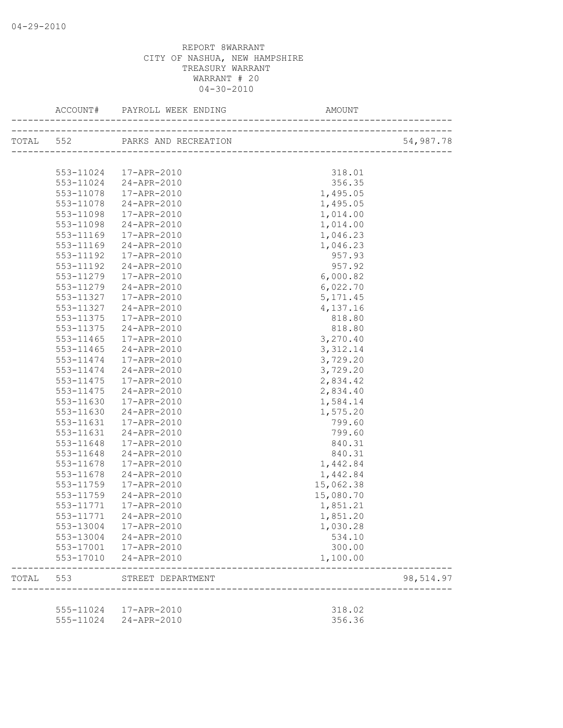|       |               | TOTAL 552 PARKS AND RECREATION | N<br>___________________________________ | 54,987.78 |
|-------|---------------|--------------------------------|------------------------------------------|-----------|
|       |               |                                |                                          |           |
|       |               | 553-11024  17-APR-2010         | 318.01                                   |           |
|       |               | 553-11024 24-APR-2010          | 356.35                                   |           |
|       | 553-11078     | 17-APR-2010                    | 1,495.05                                 |           |
|       | 553-11078     | 24-APR-2010                    | 1,495.05                                 |           |
|       | 553-11098     | 17-APR-2010                    | 1,014.00                                 |           |
|       | 553-11098     | 24-APR-2010                    | 1,014.00                                 |           |
|       | 553-11169     | 17-APR-2010                    | 1,046.23                                 |           |
|       | 553-11169     | 24-APR-2010                    | 1,046.23                                 |           |
|       | 553-11192     | 17-APR-2010                    | 957.93                                   |           |
|       | 553-11192     | 24-APR-2010                    | 957.92                                   |           |
|       | 553-11279     | 17-APR-2010                    | 6,000.82                                 |           |
|       | 553-11279     | 24-APR-2010                    | 6,022.70                                 |           |
|       | 553-11327     | 17-APR-2010                    | 5, 171.45                                |           |
|       | 553-11327     | 24-APR-2010                    | 4,137.16                                 |           |
|       | 553-11375     | 17-APR-2010                    | 818.80                                   |           |
|       | 553-11375     | 24-APR-2010                    | 818.80                                   |           |
|       | $553 - 11465$ | 17-APR-2010                    | 3,270.40                                 |           |
|       | $553 - 11465$ | 24-APR-2010                    | 3, 312.14                                |           |
|       | 553-11474     | 17-APR-2010                    | 3,729.20                                 |           |
|       | 553-11474     | 24-APR-2010                    | 3,729.20                                 |           |
|       | 553-11475     | 17-APR-2010                    | 2,834.42                                 |           |
|       | 553-11475     | 24-APR-2010                    | 2,834.40                                 |           |
|       | 553-11630     | 17-APR-2010                    | 1,584.14                                 |           |
|       | 553-11630     | 24-APR-2010                    | 1,575.20                                 |           |
|       | 553-11631     | 17-APR-2010                    | 799.60                                   |           |
|       | 553-11631     | 24-APR-2010                    | 799.60                                   |           |
|       | 553-11648     | 17-APR-2010                    | 840.31                                   |           |
|       | 553-11648     | 24-APR-2010                    | 840.31                                   |           |
|       | 553-11678     | 17-APR-2010                    | 1,442.84                                 |           |
|       | 553-11678     | 24-APR-2010                    | 1,442.84                                 |           |
|       | 553-11759     | 17-APR-2010                    | 15,062.38                                |           |
|       | 553-11759     | 24-APR-2010                    | 15,080.70                                |           |
|       | 553-11771     | 17-APR-2010                    | 1,851.21                                 |           |
|       | 553-11771     | 24-APR-2010                    | 1,851.20                                 |           |
|       |               | 553-13004 17-APR-2010          | 1,030.28                                 |           |
|       |               | 553-13004 24-APR-2010          | 534.10                                   |           |
|       |               | 553-17001  17-APR-2010         | 300.00                                   |           |
|       |               | 553-17010 24-APR-2010          | 1,100.00                                 |           |
| TOTAL | 553           | STREET DEPARTMENT              |                                          | 98,514.97 |
|       |               |                                |                                          |           |
|       |               | 555-11024  17-APR-2010         | 318.02                                   |           |
|       |               | 555-11024 24-APR-2010          | 356.36                                   |           |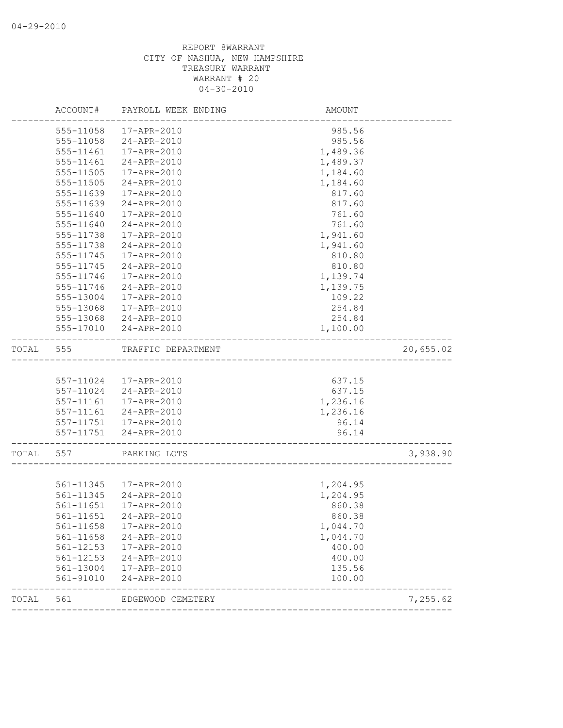|       | ACCOUNT#  | PAYROLL WEEK ENDING    | AMOUNT   |           |
|-------|-----------|------------------------|----------|-----------|
|       | 555-11058 | 17-APR-2010            | 985.56   |           |
|       | 555-11058 | 24-APR-2010            | 985.56   |           |
|       | 555-11461 | 17-APR-2010            | 1,489.36 |           |
|       | 555-11461 | 24-APR-2010            | 1,489.37 |           |
|       | 555-11505 | 17-APR-2010            | 1,184.60 |           |
|       | 555-11505 | 24-APR-2010            | 1,184.60 |           |
|       | 555-11639 | 17-APR-2010            | 817.60   |           |
|       | 555-11639 | 24-APR-2010            | 817.60   |           |
|       | 555-11640 | 17-APR-2010            | 761.60   |           |
|       | 555-11640 | 24-APR-2010            | 761.60   |           |
|       | 555-11738 | 17-APR-2010            | 1,941.60 |           |
|       | 555-11738 | 24-APR-2010            | 1,941.60 |           |
|       | 555-11745 | 17-APR-2010            | 810.80   |           |
|       | 555-11745 | 24-APR-2010            | 810.80   |           |
|       | 555-11746 | 17-APR-2010            | 1,139.74 |           |
|       | 555-11746 | 24-APR-2010            | 1,139.75 |           |
|       | 555-13004 | 17-APR-2010            | 109.22   |           |
|       | 555-13068 | 17-APR-2010            | 254.84   |           |
|       | 555-13068 | 24-APR-2010            | 254.84   |           |
|       | 555-17010 | 24-APR-2010            | 1,100.00 |           |
| TOTAL | 555       | TRAFFIC DEPARTMENT     |          | 20,655.02 |
|       |           |                        |          |           |
|       |           | 557-11024 17-APR-2010  | 637.15   |           |
|       | 557-11024 | 24-APR-2010            | 637.15   |           |
|       | 557-11161 | 17-APR-2010            | 1,236.16 |           |
|       |           | 557-11161 24-APR-2010  | 1,236.16 |           |
|       |           | 557-11751  17-APR-2010 | 96.14    |           |
|       |           | 557-11751 24-APR-2010  | 96.14    |           |
| TOTAL | 557       | PARKING LOTS           |          | 3,938.90  |
|       |           |                        |          |           |
|       |           | 561-11345 17-APR-2010  | 1,204.95 |           |
|       | 561-11345 | 24-APR-2010            | 1,204.95 |           |
|       | 561-11651 | 17-APR-2010            | 860.38   |           |
|       |           | 561-11651 24-APR-2010  | 860.38   |           |
|       | 561-11658 | 17-APR-2010            | 1,044.70 |           |
|       | 561-11658 | 24-APR-2010            | 1,044.70 |           |
|       | 561-12153 | 17-APR-2010            | 400.00   |           |
|       | 561-12153 | 24-APR-2010            | 400.00   |           |
|       | 561-13004 | 17-APR-2010            | 135.56   |           |
|       | 561-91010 | 24-APR-2010            | 100.00   |           |
| TOTAL | 561       | EDGEWOOD CEMETERY      |          | 7,255.62  |
|       |           |                        |          |           |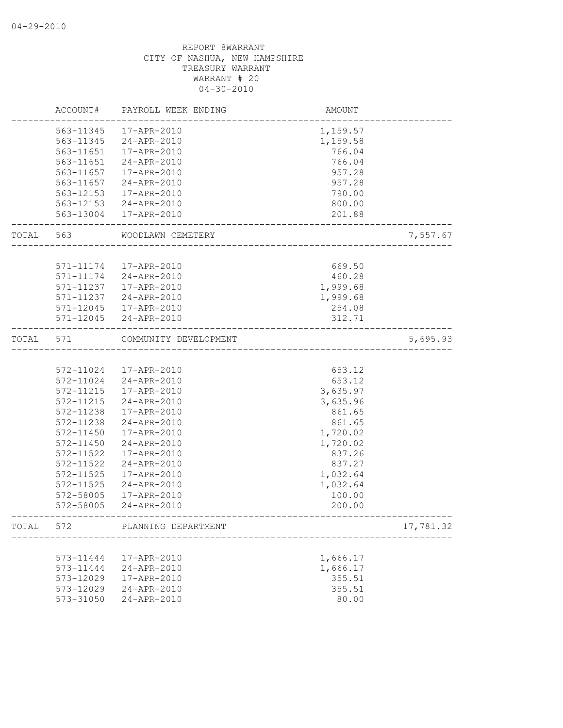|       | ACCOUNT#      | PAYROLL WEEK ENDING   | AMOUNT   |           |
|-------|---------------|-----------------------|----------|-----------|
|       | 563-11345     | 17-APR-2010           | 1,159.57 |           |
|       | 563-11345     | 24-APR-2010           | 1,159.58 |           |
|       | 563-11651     | 17-APR-2010           | 766.04   |           |
|       | 563-11651     | 24-APR-2010           | 766.04   |           |
|       | 563-11657     | 17-APR-2010           | 957.28   |           |
|       | 563-11657     | 24-APR-2010           | 957.28   |           |
|       | 563-12153     | 17-APR-2010           | 790.00   |           |
|       | 563-12153     | 24-APR-2010           | 800.00   |           |
|       |               | 563-13004 17-APR-2010 | 201.88   |           |
| TOTAL | 563           | WOODLAWN CEMETERY     |          | 7,557.67  |
|       |               |                       |          |           |
|       | 571-11174     | 17-APR-2010           | 669.50   |           |
|       | 571-11174     | 24-APR-2010           | 460.28   |           |
|       | 571-11237     | 17-APR-2010           | 1,999.68 |           |
|       | 571-11237     | 24-APR-2010           | 1,999.68 |           |
|       | $571 - 12045$ | 17-APR-2010           | 254.08   |           |
|       |               | 571-12045 24-APR-2010 | 312.71   |           |
| TOTAL | 571           | COMMUNITY DEVELOPMENT |          | 5,695.93  |
|       |               |                       |          |           |
|       | 572-11024     | 17-APR-2010           | 653.12   |           |
|       | 572-11024     | 24-APR-2010           | 653.12   |           |
|       | 572-11215     | 17-APR-2010           | 3,635.97 |           |
|       | 572-11215     | 24-APR-2010           | 3,635.96 |           |
|       | 572-11238     | 17-APR-2010           | 861.65   |           |
|       | 572-11238     | 24-APR-2010           | 861.65   |           |
|       | 572-11450     | 17-APR-2010           | 1,720.02 |           |
|       | 572-11450     | 24-APR-2010           | 1,720.02 |           |
|       | 572-11522     | 17-APR-2010           | 837.26   |           |
|       | 572-11522     | 24-APR-2010           | 837.27   |           |
|       | 572-11525     | 17-APR-2010           | 1,032.64 |           |
|       | 572-11525     | 24-APR-2010           | 1,032.64 |           |
|       | 572-58005     | 17-APR-2010           | 100.00   |           |
|       | 572-58005     | 24-APR-2010           | 200.00   |           |
| TOTAL | 572           | PLANNING DEPARTMENT   |          | 17,781.32 |
|       |               |                       |          |           |
|       | 573-11444     | 17-APR-2010           | 1,666.17 |           |
|       | 573-11444     | 24-APR-2010           | 1,666.17 |           |
|       | 573-12029     | 17-APR-2010           | 355.51   |           |
|       | 573-12029     | 24-APR-2010           | 355.51   |           |
|       | 573-31050     | 24-APR-2010           | 80.00    |           |
|       |               |                       |          |           |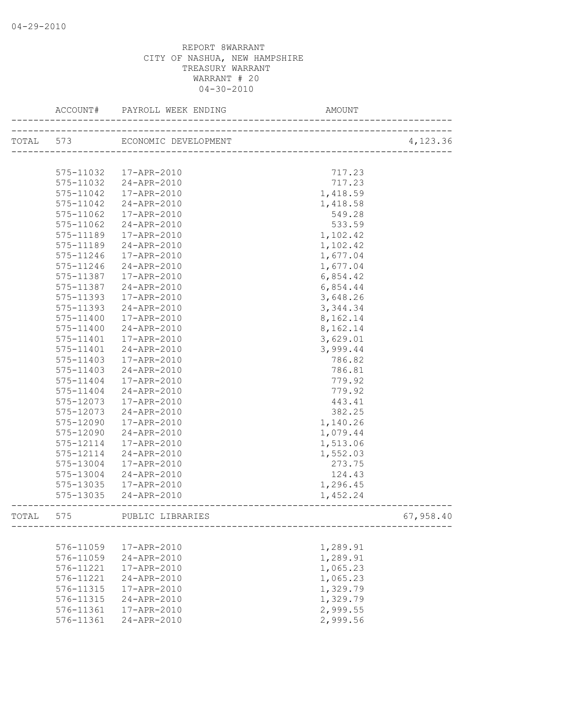|           | TOTAL 573 |                        |                      | 4,123.36  |
|-----------|-----------|------------------------|----------------------|-----------|
|           |           |                        |                      |           |
|           |           | 575-11032  17-APR-2010 | 717.23               |           |
|           |           | 575-11032 24-APR-2010  | 717.23               |           |
|           | 575-11042 | 17-APR-2010            | 1,418.59             |           |
|           | 575-11042 | 24-APR-2010            | 1,418.58             |           |
|           | 575-11062 | 17-APR-2010            | 549.28               |           |
|           | 575-11062 | 24-APR-2010            | 533.59               |           |
|           | 575-11189 | 17-APR-2010            | 1,102.42             |           |
|           | 575-11189 | 24-APR-2010            |                      |           |
|           | 575-11246 | 17-APR-2010            | 1,102.42<br>1,677.04 |           |
|           | 575-11246 | 24-APR-2010            |                      |           |
|           | 575-11387 | 17-APR-2010            | 1,677.04             |           |
|           |           |                        | 6,854.42             |           |
|           | 575-11387 | 24-APR-2010            | 6,854.44             |           |
|           | 575-11393 | 17-APR-2010            | 3,648.26             |           |
|           | 575-11393 | 24-APR-2010            | 3, 344.34            |           |
|           | 575-11400 | 17-APR-2010            | 8,162.14             |           |
|           | 575-11400 | 24-APR-2010            | 8,162.14             |           |
|           | 575-11401 | 17-APR-2010            | 3,629.01             |           |
|           | 575-11401 | 24-APR-2010            | 3,999.44             |           |
|           | 575-11403 | 17-APR-2010            | 786.82               |           |
|           | 575-11403 | 24-APR-2010            | 786.81               |           |
|           | 575-11404 | 17-APR-2010            | 779.92               |           |
|           | 575-11404 | 24-APR-2010            | 779.92               |           |
|           | 575-12073 | 17-APR-2010            | 443.41               |           |
|           | 575-12073 | 24-APR-2010            | 382.25               |           |
|           | 575-12090 | 17-APR-2010            | 1,140.26             |           |
|           | 575-12090 | 24-APR-2010            | 1,079.44             |           |
|           | 575-12114 | 17-APR-2010            | 1,513.06             |           |
|           | 575-12114 | 24-APR-2010            | 1,552.03             |           |
|           | 575-13004 | 17-APR-2010            | 273.75               |           |
|           | 575-13004 | 24-APR-2010            | 124.43               |           |
|           |           | 575-13035 17-APR-2010  | 1,296.45             |           |
|           |           | 575-13035 24-APR-2010  | 1,452.24             |           |
| TOTAL 575 |           | PUBLIC LIBRARIES       |                      | 67,958.40 |
|           |           |                        |                      |           |
|           | 576-11059 | 17-APR-2010            | 1,289.91             |           |
|           | 576-11059 | 24-APR-2010            | 1,289.91             |           |
|           | 576-11221 | 17-APR-2010            | 1,065.23             |           |
|           | 576-11221 | 24-APR-2010            | 1,065.23             |           |
|           | 576-11315 | 17-APR-2010            | 1,329.79             |           |
|           | 576-11315 | 24-APR-2010            | 1,329.79             |           |
|           | 576-11361 | 17-APR-2010            | 2,999.55             |           |
|           | 576-11361 | 24-APR-2010            | 2,999.56             |           |
|           |           |                        |                      |           |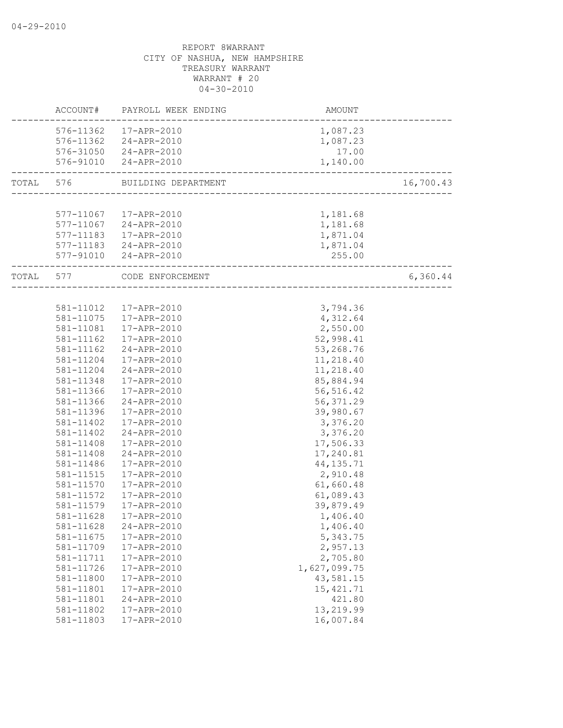|           |           | ACCOUNT# PAYROLL WEEK ENDING | <b>AMOUNT</b>                         |           |
|-----------|-----------|------------------------------|---------------------------------------|-----------|
|           |           | 576-11362 17-APR-2010        | 1,087.23                              |           |
|           |           | 576-11362 24-APR-2010        | 1,087.23                              |           |
|           |           | 576-31050 24-APR-2010        | 17.00                                 |           |
|           |           | 576-91010 24-APR-2010        | 1,140.00                              |           |
| TOTAL 576 |           | BUILDING DEPARTMENT          | _____________________________________ | 16,700.43 |
|           |           |                              |                                       |           |
|           |           | 577-11067  17-APR-2010       | 1,181.68                              |           |
|           |           | 577-11067 24-APR-2010        | 1,181.68                              |           |
|           |           | 577-11183  17-APR-2010       | 1,871.04                              |           |
|           |           | 577-11183 24-APR-2010        | 1,871.04                              |           |
|           |           | 577-91010 24-APR-2010        | 255.00                                |           |
| TOTAL 577 |           | CODE ENFORCEMENT             | _______________________               | 6,360.44  |
|           |           |                              |                                       |           |
|           |           | 581-11012  17-APR-2010       | 3,794.36                              |           |
|           | 581-11075 | 17-APR-2010                  | 4,312.64                              |           |
|           |           | 581-11081  17-APR-2010       | 2,550.00                              |           |
|           |           | 581-11162  17-APR-2010       | 52,998.41                             |           |
|           | 581-11162 | 24-APR-2010                  | 53,268.76                             |           |
|           | 581-11204 | 17-APR-2010                  | 11,218.40                             |           |
|           | 581-11204 | 24-APR-2010                  | 11,218.40                             |           |
|           | 581-11348 | 17-APR-2010                  | 85,884.94                             |           |
|           | 581-11366 | 17-APR-2010                  | 56, 516.42                            |           |
|           | 581-11366 | 24-APR-2010                  | 56, 371.29                            |           |
|           | 581-11396 | 17-APR-2010                  | 39,980.67                             |           |
|           | 581-11402 | 17-APR-2010                  | 3,376.20                              |           |
|           | 581-11402 | 24-APR-2010                  | 3,376.20                              |           |
|           | 581-11408 | 17-APR-2010                  | 17,506.33                             |           |
|           | 581-11408 | 24-APR-2010                  | 17,240.81                             |           |
|           | 581-11486 | 17-APR-2010                  | 44, 135.71                            |           |
|           | 581-11515 | 17-APR-2010                  | 2,910.48                              |           |
|           | 581-11570 | 17-APR-2010                  | 61,660.48                             |           |
|           | 581-11572 | 17-APR-2010                  | 61,089.43                             |           |
|           | 581-11579 | 17-APR-2010                  | 39,879.49                             |           |
|           | 581-11628 | 17-APR-2010                  | 1,406.40                              |           |
|           | 581-11628 | 24-APR-2010                  | 1,406.40                              |           |
|           | 581-11675 | 17-APR-2010                  | 5,343.75                              |           |
|           | 581-11709 | 17-APR-2010                  | 2,957.13                              |           |
|           | 581-11711 | 17-APR-2010                  | 2,705.80                              |           |
|           | 581-11726 | 17-APR-2010                  | 1,627,099.75                          |           |
|           | 581-11800 | 17-APR-2010                  | 43,581.15                             |           |
|           | 581-11801 | 17-APR-2010                  | 15, 421.71                            |           |
|           | 581-11801 | 24-APR-2010                  | 421.80                                |           |
|           | 581-11802 | 17-APR-2010                  | 13,219.99                             |           |
|           | 581-11803 | 17-APR-2010                  | 16,007.84                             |           |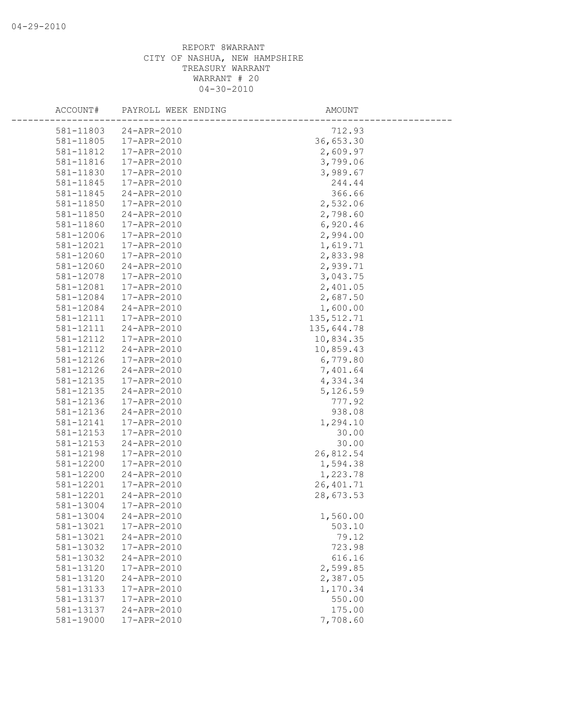| ACCOUNT#  | PAYROLL WEEK ENDING | AMOUNT      |
|-----------|---------------------|-------------|
|           |                     |             |
| 581-11803 | 24-APR-2010         | 712.93      |
| 581-11805 | 17-APR-2010         | 36,653.30   |
| 581-11812 | 17-APR-2010         | 2,609.97    |
| 581-11816 | 17-APR-2010         | 3,799.06    |
| 581-11830 | 17-APR-2010         | 3,989.67    |
| 581-11845 | 17-APR-2010         | 244.44      |
| 581-11845 | 24-APR-2010         | 366.66      |
| 581-11850 | 17-APR-2010         | 2,532.06    |
| 581-11850 | 24-APR-2010         | 2,798.60    |
| 581-11860 | 17-APR-2010         | 6,920.46    |
| 581-12006 | 17-APR-2010         | 2,994.00    |
| 581-12021 | 17-APR-2010         | 1,619.71    |
| 581-12060 | 17-APR-2010         | 2,833.98    |
| 581-12060 | 24-APR-2010         | 2,939.71    |
| 581-12078 | 17-APR-2010         | 3,043.75    |
| 581-12081 | 17-APR-2010         | 2,401.05    |
| 581-12084 | 17-APR-2010         | 2,687.50    |
| 581-12084 | 24-APR-2010         | 1,600.00    |
| 581-12111 | 17-APR-2010         | 135, 512.71 |
| 581-12111 | 24-APR-2010         | 135,644.78  |
| 581-12112 | 17-APR-2010         | 10,834.35   |
| 581-12112 | 24-APR-2010         | 10,859.43   |
| 581-12126 | 17-APR-2010         | 6,779.80    |
| 581-12126 | 24-APR-2010         | 7,401.64    |
| 581-12135 | 17-APR-2010         | 4,334.34    |
| 581-12135 | 24-APR-2010         | 5,126.59    |
| 581-12136 | 17-APR-2010         | 777.92      |
| 581-12136 | 24-APR-2010         | 938.08      |
| 581-12141 | 17-APR-2010         | 1,294.10    |
| 581-12153 | 17-APR-2010         | 30.00       |
| 581-12153 | 24-APR-2010         | 30.00       |
| 581-12198 | 17-APR-2010         | 26,812.54   |
| 581-12200 | 17-APR-2010         | 1,594.38    |
| 581-12200 | 24-APR-2010         | 1,223.78    |
| 581-12201 | 17-APR-2010         | 26, 401.71  |
| 581-12201 | 24-APR-2010         | 28,673.53   |
| 581-13004 | 17-APR-2010         |             |
| 581-13004 | 24-APR-2010         | 1,560.00    |
| 581-13021 | 17-APR-2010         | 503.10      |
| 581-13021 | 24-APR-2010         | 79.12       |
| 581-13032 | 17-APR-2010         | 723.98      |
| 581-13032 | 24-APR-2010         | 616.16      |
| 581-13120 | 17-APR-2010         | 2,599.85    |
| 581-13120 | 24-APR-2010         | 2,387.05    |
| 581-13133 | 17-APR-2010         | 1,170.34    |
| 581-13137 | 17-APR-2010         | 550.00      |
| 581-13137 | 24-APR-2010         | 175.00      |
| 581-19000 | 17-APR-2010         | 7,708.60    |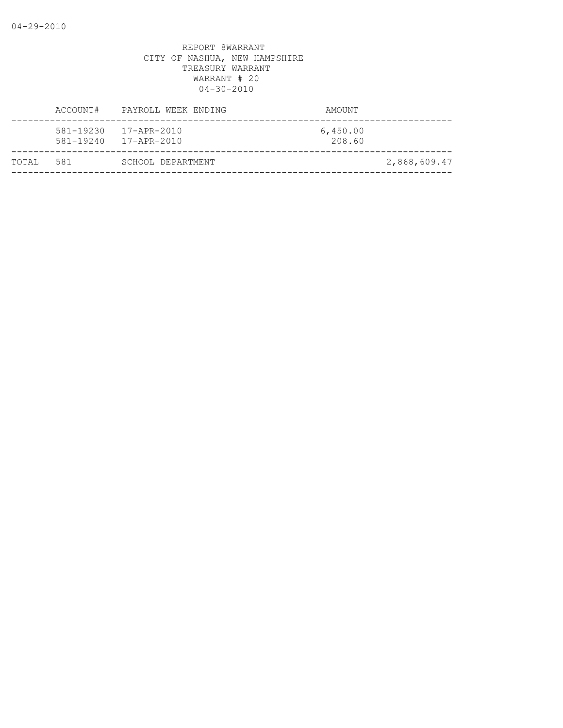|        | ACCOUNT# | PAYROLL WEEK ENDING                            | AMOUNT             |              |
|--------|----------|------------------------------------------------|--------------------|--------------|
|        |          | 581-19230 17-APR-2010<br>581-19240 17-APR-2010 | 6,450.00<br>208.60 |              |
| TOTAI, | 581      | SCHOOL DEPARTMENT                              |                    | 2,868,609.47 |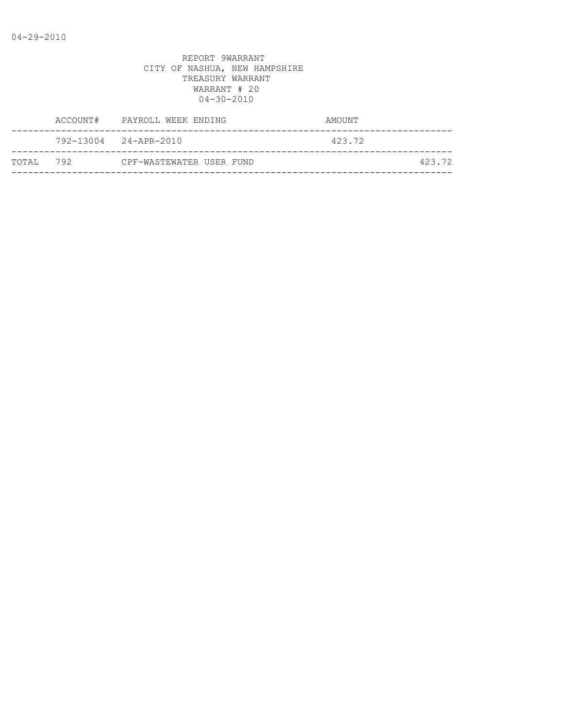| ACCOUNT#  | PAYROLL WEEK ENDING      | AMOUNT |
|-----------|--------------------------|--------|
|           | 792-13004 24-APR-2010    | 423.72 |
| TOTAL 792 | CPF-WASTEWATER USER FUND | 423.72 |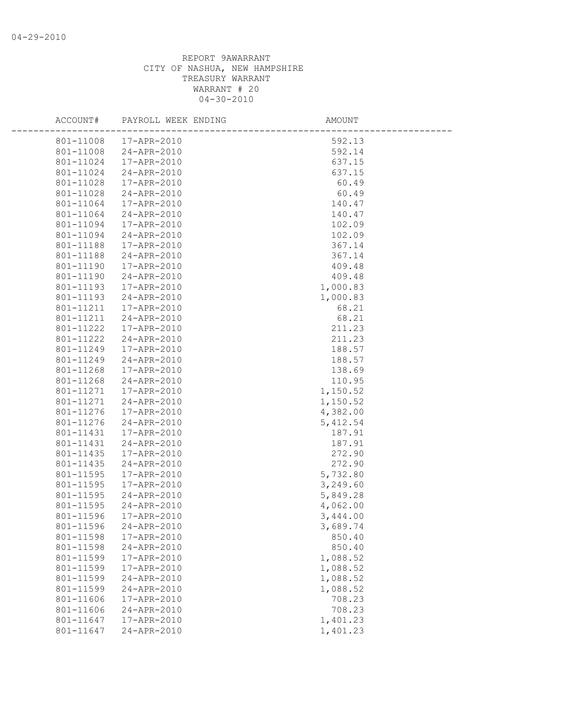| ACCOUNT#               | PAYROLL WEEK ENDING        | AMOUNT           |  |
|------------------------|----------------------------|------------------|--|
| 801-11008              | 17-APR-2010                | 592.13           |  |
| 801-11008              | 24-APR-2010                | 592.14           |  |
| 801-11024              | 17-APR-2010                | 637.15           |  |
| 801-11024              | 24-APR-2010                | 637.15           |  |
| 801-11028              | 17-APR-2010                | 60.49            |  |
| 801-11028              | 24-APR-2010                | 60.49            |  |
| 801-11064              | 17-APR-2010                | 140.47           |  |
| 801-11064              | 24-APR-2010                | 140.47           |  |
| 801-11094              | 17-APR-2010                | 102.09           |  |
| 801-11094              | 24-APR-2010                | 102.09           |  |
| 801-11188              | 17-APR-2010                | 367.14           |  |
| 801-11188              | 24-APR-2010                | 367.14           |  |
| 801-11190              | 17-APR-2010                | 409.48           |  |
| 801-11190              | 24-APR-2010                | 409.48           |  |
| 801-11193              | 17-APR-2010                | 1,000.83         |  |
| 801-11193              | 24-APR-2010                | 1,000.83         |  |
| 801-11211              | 17-APR-2010                | 68.21            |  |
| 801-11211              | 24-APR-2010                | 68.21            |  |
| 801-11222              | 17-APR-2010                | 211.23           |  |
| 801-11222              | 24-APR-2010                | 211.23           |  |
| 801-11249              | 17-APR-2010                | 188.57           |  |
| 801-11249              | 24-APR-2010                | 188.57           |  |
| 801-11268              | 17-APR-2010                | 138.69           |  |
| 801-11268              | 24-APR-2010                | 110.95           |  |
| 801-11271              | 17-APR-2010                | 1,150.52         |  |
| 801-11271              | 24-APR-2010                | 1,150.52         |  |
| 801-11276              | 17-APR-2010                | 4,382.00         |  |
| 801-11276              | 24-APR-2010                | 5,412.54         |  |
| 801-11431              | 17-APR-2010                | 187.91           |  |
| 801-11431              | 24-APR-2010                | 187.91           |  |
| 801-11435              | 17-APR-2010                | 272.90           |  |
| 801-11435              | 24-APR-2010                | 272.90           |  |
| 801-11595              | 17-APR-2010                | 5,732.80         |  |
| 801-11595              | 17-APR-2010                | 3,249.60         |  |
| 801-11595              | 24-APR-2010                | 5,849.28         |  |
| 801-11595              | 24-APR-2010                | 4,062.00         |  |
| 801-11596              | 17-APR-2010                | 3,444.00         |  |
|                        | 801-11596 24-APR-2010      | 3,689.74         |  |
| 801-11598<br>801-11598 | 17-APR-2010<br>24-APR-2010 | 850.40<br>850.40 |  |
|                        |                            | 1,088.52         |  |
| 801-11599<br>801-11599 | 17-APR-2010<br>17-APR-2010 | 1,088.52         |  |
| 801-11599              | 24-APR-2010                | 1,088.52         |  |
| 801-11599              | 24-APR-2010                | 1,088.52         |  |
| 801-11606              | 17-APR-2010                | 708.23           |  |
| 801-11606              | 24-APR-2010                | 708.23           |  |
| 801-11647              | 17-APR-2010                | 1,401.23         |  |
| 801-11647              | 24-APR-2010                | 1,401.23         |  |
|                        |                            |                  |  |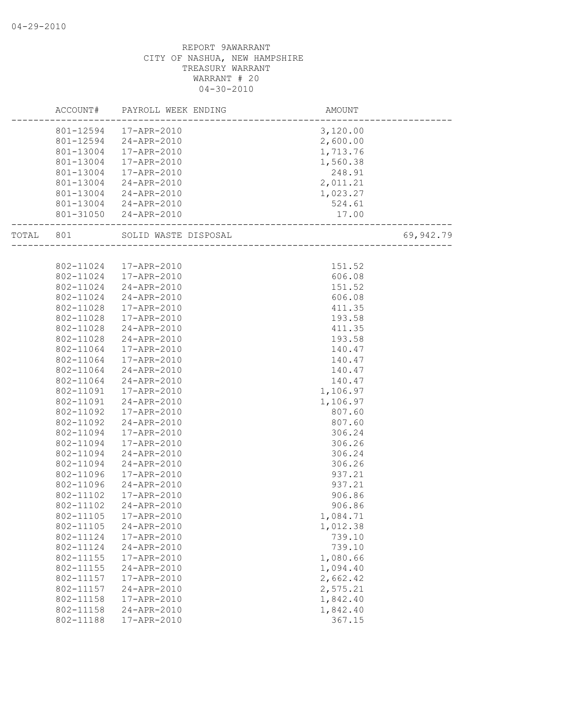|       | ACCOUNT#  | PAYROLL WEEK ENDING   | AMOUNT                           |           |
|-------|-----------|-----------------------|----------------------------------|-----------|
|       |           | 801-12594 17-APR-2010 | 3,120.00                         |           |
|       | 801-12594 | 24-APR-2010           | 2,600.00                         |           |
|       | 801-13004 | 17-APR-2010           | 1,713.76                         |           |
|       | 801-13004 | 17-APR-2010           | 1,560.38                         |           |
|       | 801-13004 | 17-APR-2010           | 248.91                           |           |
|       | 801-13004 | 24-APR-2010           | 2,011.21                         |           |
|       | 801-13004 | 24-APR-2010           | 1,023.27                         |           |
|       | 801-13004 | 24-APR-2010           | 524.61                           |           |
|       |           | 801-31050 24-APR-2010 | 17.00<br>----------------------- |           |
| TOTAL | 801       | SOLID WASTE DISPOSAL  | AL<br>________________________   | 69,942.79 |
|       |           |                       |                                  |           |
|       | 802-11024 | 17-APR-2010           | 151.52                           |           |
|       | 802-11024 | 17-APR-2010           | 606.08                           |           |
|       | 802-11024 | 24-APR-2010           | 151.52                           |           |
|       | 802-11024 | 24-APR-2010           | 606.08                           |           |
|       | 802-11028 | 17-APR-2010           | 411.35                           |           |
|       | 802-11028 | 17-APR-2010           | 193.58                           |           |
|       | 802-11028 | 24-APR-2010           | 411.35                           |           |
|       | 802-11028 | 24-APR-2010           | 193.58                           |           |
|       | 802-11064 | 17-APR-2010           | 140.47                           |           |
|       | 802-11064 | 17-APR-2010           | 140.47                           |           |
|       | 802-11064 | 24-APR-2010           | 140.47                           |           |
|       | 802-11064 | 24-APR-2010           | 140.47                           |           |
|       | 802-11091 | 17-APR-2010           | 1,106.97                         |           |
|       | 802-11091 | 24-APR-2010           | 1,106.97                         |           |
|       | 802-11092 | 17-APR-2010           | 807.60                           |           |
|       | 802-11092 | 24-APR-2010           | 807.60                           |           |
|       | 802-11094 | 17-APR-2010           | 306.24                           |           |
|       | 802-11094 | 17-APR-2010           | 306.26                           |           |
|       | 802-11094 | 24-APR-2010           | 306.24                           |           |
|       | 802-11094 | 24-APR-2010           | 306.26                           |           |
|       | 802-11096 | 17-APR-2010           | 937.21                           |           |
|       | 802-11096 | 24-APR-2010           | 937.21                           |           |
|       | 802-11102 | 17-APR-2010           | 906.86                           |           |
|       | 802-11102 | 24-APR-2010           | 906.86                           |           |
|       | 802-11105 | 17-APR-2010           | 1,084.71                         |           |
|       | 802-11105 | 24-APR-2010           | 1,012.38                         |           |
|       | 802-11124 | 17-APR-2010           | 739.10                           |           |
|       | 802-11124 | 24-APR-2010           | 739.10                           |           |
|       | 802-11155 | 17-APR-2010           | 1,080.66                         |           |
|       | 802-11155 | 24-APR-2010           | 1,094.40                         |           |
|       | 802-11157 | 17-APR-2010           | 2,662.42                         |           |
|       | 802-11157 | 24-APR-2010           | 2,575.21                         |           |
|       | 802-11158 | 17-APR-2010           | 1,842.40                         |           |
|       | 802-11158 | 24-APR-2010           | 1,842.40                         |           |
|       | 802-11188 | 17-APR-2010           | 367.15                           |           |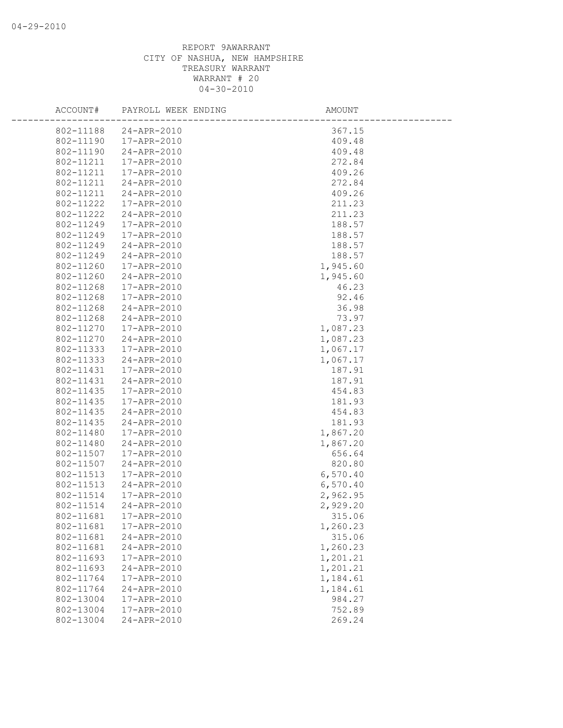| ACCOUNT#  | PAYROLL WEEK ENDING | <b>AMOUNT</b> |
|-----------|---------------------|---------------|
| 802-11188 | 24-APR-2010         | 367.15        |
| 802-11190 | 17-APR-2010         | 409.48        |
| 802-11190 | 24-APR-2010         | 409.48        |
| 802-11211 | 17-APR-2010         | 272.84        |
| 802-11211 | 17-APR-2010         | 409.26        |
| 802-11211 | 24-APR-2010         | 272.84        |
| 802-11211 | 24-APR-2010         | 409.26        |
| 802-11222 | 17-APR-2010         | 211.23        |
| 802-11222 | 24-APR-2010         | 211.23        |
| 802-11249 | 17-APR-2010         | 188.57        |
| 802-11249 | 17-APR-2010         | 188.57        |
| 802-11249 | 24-APR-2010         | 188.57        |
| 802-11249 | 24-APR-2010         | 188.57        |
| 802-11260 | 17-APR-2010         | 1,945.60      |
| 802-11260 | 24-APR-2010         | 1,945.60      |
| 802-11268 | 17-APR-2010         | 46.23         |
| 802-11268 | 17-APR-2010         | 92.46         |
| 802-11268 | 24-APR-2010         | 36.98         |
| 802-11268 | 24-APR-2010         | 73.97         |
| 802-11270 | 17-APR-2010         | 1,087.23      |
| 802-11270 | 24-APR-2010         | 1,087.23      |
| 802-11333 | 17-APR-2010         | 1,067.17      |
| 802-11333 | 24-APR-2010         | 1,067.17      |
| 802-11431 | 17-APR-2010         | 187.91        |
| 802-11431 | 24-APR-2010         | 187.91        |
| 802-11435 | 17-APR-2010         | 454.83        |
| 802-11435 | 17-APR-2010         | 181.93        |
| 802-11435 | 24-APR-2010         | 454.83        |
| 802-11435 | 24-APR-2010         | 181.93        |
| 802-11480 | 17-APR-2010         | 1,867.20      |
| 802-11480 | 24-APR-2010         | 1,867.20      |
| 802-11507 | 17-APR-2010         | 656.64        |
| 802-11507 | 24-APR-2010         | 820.80        |
| 802-11513 | 17-APR-2010         | 6,570.40      |
| 802-11513 | 24-APR-2010         | 6,570.40      |
| 802-11514 | 17-APR-2010         | 2,962.95      |
| 802-11514 | 24-APR-2010         | 2,929.20      |
| 802-11681 | 17-APR-2010         | 315.06        |
| 802-11681 | 17-APR-2010         | 1,260.23      |
| 802-11681 | 24-APR-2010         | 315.06        |
| 802-11681 | 24-APR-2010         | 1,260.23      |
| 802-11693 | 17-APR-2010         | 1,201.21      |
| 802-11693 | 24-APR-2010         | 1,201.21      |
| 802-11764 | 17-APR-2010         | 1,184.61      |
| 802-11764 | 24-APR-2010         | 1,184.61      |
| 802-13004 | 17-APR-2010         | 984.27        |
| 802-13004 | 17-APR-2010         | 752.89        |
| 802-13004 | $24 - APR - 2010$   | 269.24        |